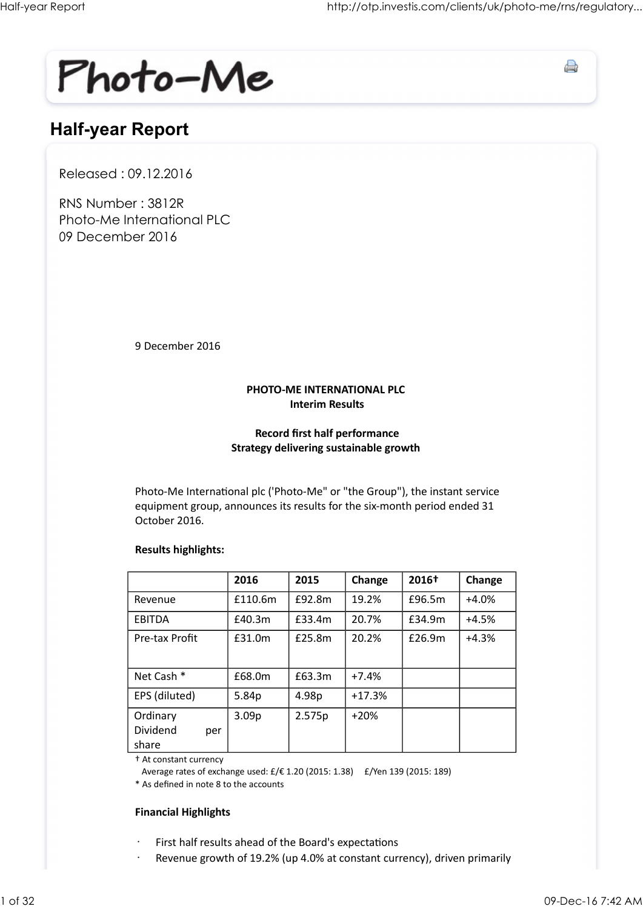

## Half-year Report

Released : 09.12.2016

RNS Number : 3812R Photo-Me International PLC 09 December 2016

#### PHOTO-ME INTERNATIONAL PLC Interim Results

#### Record first half performance Strategy delivering sustainable growth

#### Results highlights:

| 9 December 2016                                                                                                                                                                                        |                   |                        |                                                                                |                                                                          |         |
|--------------------------------------------------------------------------------------------------------------------------------------------------------------------------------------------------------|-------------------|------------------------|--------------------------------------------------------------------------------|--------------------------------------------------------------------------|---------|
|                                                                                                                                                                                                        |                   |                        |                                                                                |                                                                          |         |
|                                                                                                                                                                                                        |                   | <b>Interim Results</b> | PHOTO-ME INTERNATIONAL PLC                                                     |                                                                          |         |
|                                                                                                                                                                                                        |                   |                        | <b>Record first half performance</b><br>Strategy delivering sustainable growth |                                                                          |         |
| Photo-Me International plc ('Photo-Me" or "the Group"), the instant service<br>equipment group, announces its results for the six-month period ended 31<br>October 2016.<br><b>Results highlights:</b> |                   |                        |                                                                                |                                                                          |         |
|                                                                                                                                                                                                        | 2016              | 2015                   | Change                                                                         | 2016†                                                                    | Change  |
| Revenue                                                                                                                                                                                                | £110.6m           | £92.8m                 | 19.2%                                                                          | £96.5m                                                                   | $+4.0%$ |
| EBITDA                                                                                                                                                                                                 | £40.3m            | £33.4m                 | 20.7%                                                                          | £34.9m                                                                   | $+4.5%$ |
| Pre-tax Profit                                                                                                                                                                                         | £31.0m            | £25.8m                 | 20.2%                                                                          | £26.9m                                                                   | $+4.3%$ |
| Net Cash *                                                                                                                                                                                             | £68.0m            | £63.3m                 | $+7.4%$                                                                        |                                                                          |         |
| EPS (diluted)                                                                                                                                                                                          | 5.84p             | 4.98p                  | $+17.3%$                                                                       |                                                                          |         |
| Ordinary<br>Dividend<br>per<br>share                                                                                                                                                                   | 3.09 <sub>p</sub> | 2.575p                 | $+20%$                                                                         |                                                                          |         |
| + At constant currency<br>Average rates of exchange used: £/€ 1.20 (2015: 1.38)  £/Yen 139 (2015: 189)<br>* As defined in note 8 to the accounts                                                       |                   |                        |                                                                                |                                                                          |         |
| <b>Financial Highlights</b>                                                                                                                                                                            |                   |                        |                                                                                |                                                                          |         |
|                                                                                                                                                                                                        |                   |                        | First half results ahead of the Board's expectations                           | Revenue growth of 19.2% (up 4.0% at constant currency), driven primarily |         |

#### Financial Highlights

- First half results ahead of the Board's expectations
- Revenue growth of 19.2% (up 4.0% at constant currency), driven primarily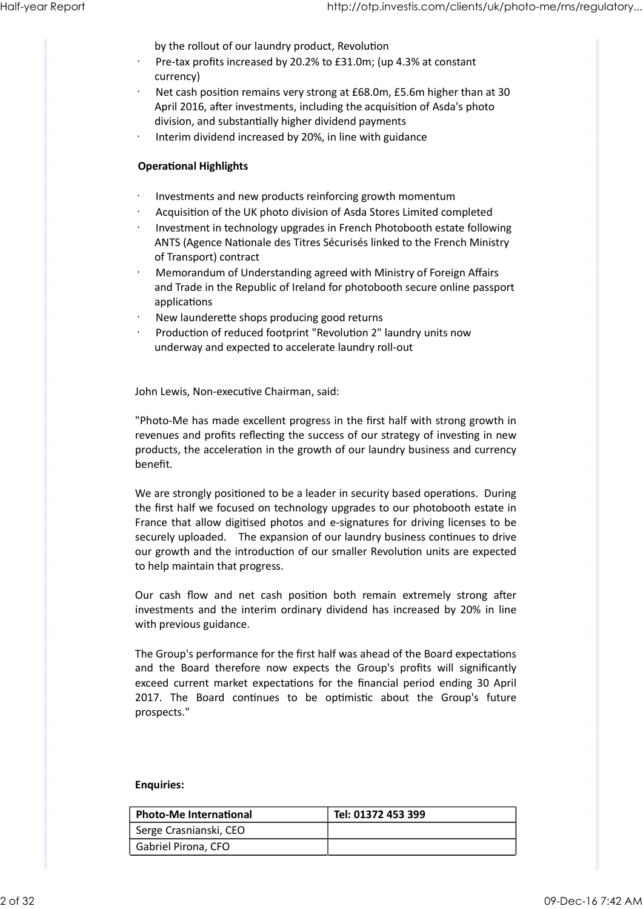by the rollout of our laundry product, Revolution

- Pre-tax profits increased by 20.2% to £31.0m; (up 4.3% at constant currency) Half-year Report<br>by the rollout of our laundry product, Revolution<br>Pre-tax profits increased by 20.2% to £31.0m; (up 4.3% at constant<br>expressed of 20.2% to £31.0m; (up 4.3% at constant
	- Net cash position remains very strong at £68.0m, £5.6m higher than at 30 April 2016, after investments, including the acquisition of Asda's photo division, and substantially higher dividend payments
	- Interim dividend increased by 20%, in line with guidance

#### **Operational Highlights**

- · Investments and new products reinforcing growth momentum
- Acquisition of the UK photo division of Asda Stores Limited completed
- Investment in technology upgrades in French Photobooth estate following ANTS (Agence Nationale des Titres Sécurisés linked to the French Ministry of Transport) contract
- · Memorandum of Understanding agreed with Ministry of Foreign Affairs and Trade in the Republic of Ireland for photobooth secure online passport applications
- New launderette shops producing good returns
- Production of reduced footprint "Revolution 2" laundry units now underway and expected to accelerate laundry roll-out

John Lewis, Non-executive Chairman, said:

"Photo-Me has made excellent progress in the first half with strong growth in revenues and profits reflecting the success of our strategy of investing in new products, the acceleration in the growth of our laundry business and currency benefit.

We are strongly positioned to be a leader in security based operations. During the first half we focused on technology upgrades to our photobooth estate in France that allow digitised photos and e-signatures for driving licenses to be securely uploaded. The expansion of our laundry business continues to drive our growth and the introduction of our smaller Revolution units are expected to help maintain that progress. Production of reduced footprint "Revolution 2" laundry units now<br>
underway and expected to accelerate laundry roll-out<br>
John Lewis, Non-executive Chairman, said:<br>
"Photo-Me has made excellent progress in the first half wit "Photo-Me has made excellent progress in the first half with strong growth in<br>revenues and profits reflecting the success of our strategy of investing in new<br>products, the acceleration in the growth of our laundry business revenues and profits reflecting the success of our strategy of investing in new products, the acceleration in the growth of our laundry business and currency benefit.<br>We are strongly positioned to be a leader in security b

investments and the interim ordinary dividend has increased by 20% in line with previous guidance.

The Group's performance for the first half was ahead of the Board expectations exceed current market expectations for the financial period ending 30 April prospects." our growth and the introduction of our smaller Revolution units are expected<br>to help maintain that progress.<br>Our cash flow and net cash position both remain extremely strong after<br>investments and the interim ordinary divid with previous guidance.<br>
The Group's performance for the first half was ahead of the Board expectations<br>
and the Board therefore now expects the Group's profits will significantly<br>
exceed current market expectations for th

#### Enquiries:

| <b>Photo-Me International</b> | Tel: 01372 453 399 |
|-------------------------------|--------------------|
| Serge Crasnianski, CEO        |                    |
| Gabriel Pirona, CFO           |                    |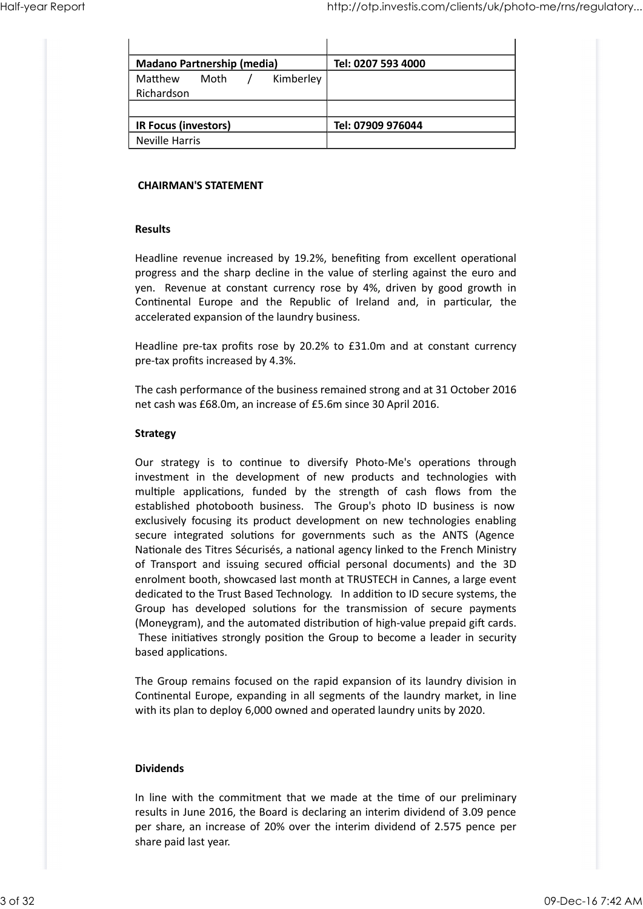| Half-year Report |                                                                                                                                                                                                        | http://otp.investis.com/clients/uk/photo-me/rns/regulatory                                                                                             |  |
|------------------|--------------------------------------------------------------------------------------------------------------------------------------------------------------------------------------------------------|--------------------------------------------------------------------------------------------------------------------------------------------------------|--|
|                  |                                                                                                                                                                                                        |                                                                                                                                                        |  |
|                  |                                                                                                                                                                                                        |                                                                                                                                                        |  |
|                  |                                                                                                                                                                                                        |                                                                                                                                                        |  |
|                  | <b>Madano Partnership (media)</b>                                                                                                                                                                      | Tel: 0207 593 4000                                                                                                                                     |  |
|                  | Kimberley<br>Matthew<br>Moth<br>Richardson                                                                                                                                                             |                                                                                                                                                        |  |
|                  |                                                                                                                                                                                                        |                                                                                                                                                        |  |
|                  | <b>IR Focus (investors)</b><br>Neville Harris                                                                                                                                                          | Tel: 07909 976044                                                                                                                                      |  |
|                  | <b>CHAIRMAN'S STATEMENT</b>                                                                                                                                                                            |                                                                                                                                                        |  |
|                  |                                                                                                                                                                                                        |                                                                                                                                                        |  |
|                  | <b>Results</b>                                                                                                                                                                                         |                                                                                                                                                        |  |
|                  | Headline revenue increased by 19.2%, benefiting from excellent operational<br>yen. Revenue at constant currency rose by 4%, driven by good growth in<br>accelerated expansion of the laundry business. | progress and the sharp decline in the value of sterling against the euro and<br>Continental Europe and the Republic of Ireland and, in particular, the |  |

#### CHAIRMAN'S STATEMENT

#### Results

The cash performance of the business remained strong and at 31 October 2016 net cash was £68.0m, an increase of £5.6m since 30 April 2016.

#### Strategy

**Results**<br>
Headline revenue increased by 19.2%, benefiting from excellent operational<br>
progress and the sharp decline in the value of sterling against the euro and<br>
yen. Revenue at constant currency rose by 4%, driven by g **Results**<br>**Results**<br>**Results**<br>**Regions** and the sharp decline in the value of sterling against the euro and<br>**progress and the sharp decline in the value of sterling against the euro and<br><b>Continental Europe** and the Republi **Results**<br> **Readline** revenue increased by 19.2%, benefiting from excellent operational<br>
progress and the sharp decline in the value of sterling against the euro and<br> **Continental** Europe and currency rose by 4%, driven by Headline revenue increased by 19.2%, benefiting from excellent operational<br>progress and the sharp decline in the value of sterling against the euro and<br>yen. Revenue at constant currency rose by 4%, driven by good growth in exclusively focusing its product development on new technologies enabling progress and the sharp decline in the value of sterling against the euro and<br>
Seven. Revenue at constant currency rose by 4%, driven by good growth in<br>
Continental Europe and the Republic of Ireland and, in particular, the yen. Revenue at constant currency rose by 4%, driven by good growth in<br>Continental Europe and the Republic of Ireland and, in particular, the<br>accelerated expansion of the laundry business.<br>Headline pre-tax profits increase Continental Europe and the Republic of Ireland and, in particular, the<br>accelerated expansion of the laundry business.<br>Headline pre-tax profits rose by 20.2% to £31.0m and at constant currency<br>pre-tax profits increased by 4 enrolment booth, showcased last month at TRUSTECH in Cannes, a large event dedicated to the Trust Based Technology. In addition to ID secure systems, the Headline pre-tax profits rose by 20.2% to £31.0m and at constant currency<br>pre-tax profits increased by 4.3%.<br>The cash performance of the business remained strong and at 31 October 2016<br>net cash was £68.0m, an increase of £ (Moneygram), and the automated distribution of high-value prepaid gift cards. These initiatives strongly position the Group to become a leader in security based applications.

The Group remains focused on the rapid expansion of its laundry division in Continental Europe, expanding in all segments of the laundry market, in line with its plan to deploy 6,000 owned and operated laundry units by 2020.

#### Dividends

In line with the commitment that we made at the time of our preliminary results in June 2016, the Board is declaring an interim dividend of 3.09 pence per share, an increase of 20% over the interim dividend of 2.575 pence per share paid last year. (Moneygram), and the automated distribution of high-value prepaid gift cards.<br>These initiatives strongly position the Group to become a leader in security<br>based applications.<br>The Group remains focused on the rapid expansio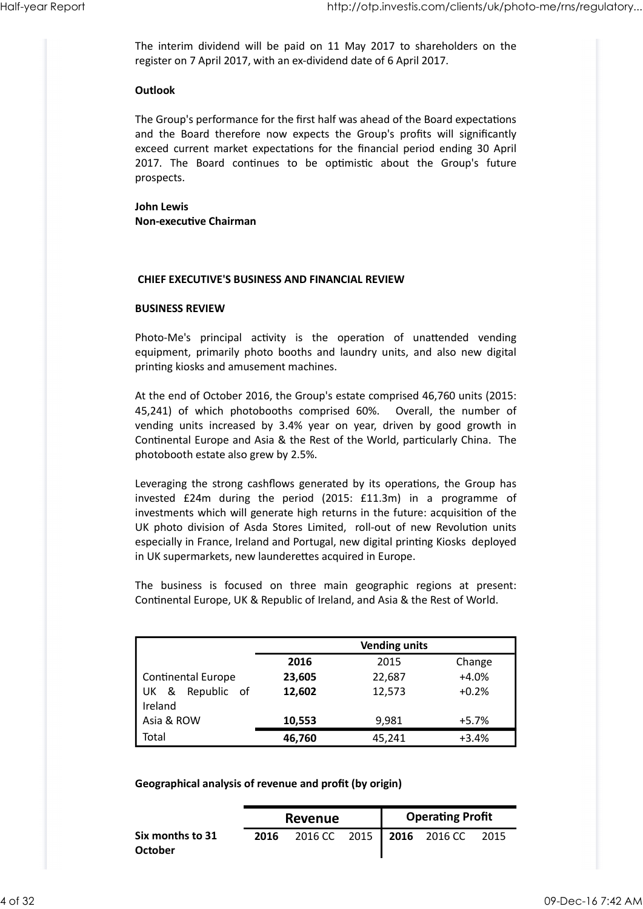The interim dividend will be paid on 11 May 2017 to shareholders on the register on 7 April 2017, with an ex-dividend date of 6 April 2017. Half-year Report<br>The interim dividend will be paid on 11 May 2017 to shareholders on the<br>register on 7 April 2017, with an ex-dividend date of 6 April 2017.

#### **Outlook**

The Group's performance for the first half was ahead of the Board expectations http://otp.investis.com/clients/uk/photo-me/rns/regulatory...<br>The interim dividend will be paid on 11 May 2017 to shareholders on the<br>register on 7 April 2017, with an ex-dividend date of 6 April 2017.<br>**Outlook**<br>The Group' exceed current market expectations for the financial period ending 30 April http://otp.investis.com/clients/uk/photo-me/ms/regulatory...<br>
The interim dividend will be paid on 11 May 2017 to shareholders on the<br>
register on 7 April 2017, with an ex-dividend date of 6 April 2017.<br> **Outlook**<br>
The Gro prospects. **Outlook**<br>
The Group's performance for the first half was ahead of the Board expectations<br>
and the Board therefore now expects the Group's profits will significantly<br>
exceed current market expectations for the financial pe **Outlook**<br>The Group's performance for the first half was ahead of the Board expectations<br>and the Board therefore now expects the Group's profits will significantly<br>exceed current market expectations for the finnatial perio

John Lewis Non-executive Chairman

#### CHIEF EXECUTIVE'S BUSINESS AND FINANCIAL REVIEW

#### BUSINESS REVIEW

printing kiosks and amusement machines.

At the end of October 2016, the Group's estate comprised 46,760 units (2015: exceed current market expectations for the financial period ending 30 April<br>2017. The Board continues to be optimistic about the Group's future<br>prospects.<br>**John Lewis**<br>**NOn-executive Chairman**<br>**CHIEF EXECUTIVE'S BUSINESS A** 2017. The Board continues to be optimistic about the Group's future<br>prospects.<br> **John Lewis**<br> **Non-executive Chairman**<br> **CHIEF EXECUTIVE'S BUSINESS AND FINANCIAL REVIEW**<br> **EVIENT EXECUTIVE'S BUSINESS AND FINANCIAL REVIEW**<br> Continental Europe and Asia & the Rest of the World, particularly China. The photobooth estate also grew by 2.5%.

Leveraging the strong cashflows generated by its operations, the Group has **CHIEF EXECUTIVE'S BUSINESS AND FINANCIAL REVIEW**<br>**BUSINESS REVIEW**<br>Photo-Me's principal activity is the operation of unattended vending<br>equipment, primarily photo booths and laundry units, and also new digital<br>printing ki investments which will generate high returns in the future: acquisition of the UK photo division of Asda Stores Limited, roll-out of new Revolution units especially in France, Ireland and Portugal, new digital printing Kiosks deployed in UK supermarkets, new launderettes acquired in Europe. Photo-Me's principal activity is the operation of unattended vending<br>equipment, primarily photo booths and laundry units, and also new digital<br>printing kiosks and amusement machines.<br>At the end of October 2016, the Group's

|                                                                                  |      |         |      |                         | At the end of October 2016, the Group's estate comprised 46,760 units (2015: |         |
|----------------------------------------------------------------------------------|------|---------|------|-------------------------|------------------------------------------------------------------------------|---------|
| 45,241) of which photobooths comprised 60%. Overall, the number of               |      |         |      |                         |                                                                              |         |
| vending units increased by 3.4% year on year, driven by good growth in           |      |         |      |                         |                                                                              |         |
| Continental Europe and Asia & the Rest of the World, particularly China. The     |      |         |      |                         |                                                                              |         |
| photobooth estate also grew by 2.5%.                                             |      |         |      |                         |                                                                              |         |
| Leveraging the strong cashflows generated by its operations, the Group has       |      |         |      |                         |                                                                              |         |
| invested £24m during the period (2015: £11.3m) in a programme of                 |      |         |      |                         |                                                                              |         |
| investments which will generate high returns in the future: acquisition of the   |      |         |      |                         |                                                                              |         |
| UK photo division of Asda Stores Limited, roll-out of new Revolution units       |      |         |      |                         |                                                                              |         |
| especially in France, Ireland and Portugal, new digital printing Kiosks deployed |      |         |      |                         |                                                                              |         |
| in UK supermarkets, new launderettes acquired in Europe.                         |      |         |      |                         |                                                                              |         |
|                                                                                  |      |         |      |                         |                                                                              |         |
| The business is focused on three main geographic regions at present:             |      |         |      |                         |                                                                              |         |
| Continental Europe, UK & Republic of Ireland, and Asia & the Rest of World.      |      |         |      |                         |                                                                              |         |
|                                                                                  |      |         |      |                         |                                                                              |         |
|                                                                                  |      |         |      |                         |                                                                              |         |
|                                                                                  |      |         |      | <b>Vending units</b>    |                                                                              |         |
|                                                                                  |      | 2016    |      | 2015                    |                                                                              | Change  |
| Continental Europe                                                               |      | 23,605  |      | 22,687                  |                                                                              | $+4.0%$ |
| UK & Republic of                                                                 |      | 12,602  |      | 12,573                  |                                                                              | $+0.2%$ |
| Ireland                                                                          |      |         |      |                         |                                                                              |         |
| Asia & ROW                                                                       |      | 10,553  |      | 9,981                   |                                                                              | $+5.7%$ |
| Total                                                                            |      | 46,760  |      | 45,241                  |                                                                              | $+3.4%$ |
|                                                                                  |      |         |      |                         |                                                                              |         |
|                                                                                  |      |         |      |                         |                                                                              |         |
|                                                                                  |      |         |      |                         |                                                                              |         |
| Geographical analysis of revenue and profit (by origin)                          |      |         |      |                         |                                                                              |         |
|                                                                                  |      | Revenue |      | <b>Operating Profit</b> |                                                                              |         |
|                                                                                  | 2016 | 2016 CC | 2015 |                         | 2016 2016 CC 2015                                                            |         |
| Six months to 31                                                                 |      |         |      |                         |                                                                              |         |
| <b>October</b>                                                                   |      |         |      |                         |                                                                              |         |

|                             |      | Revenue |  | <b>Operating Profit</b>     |      |
|-----------------------------|------|---------|--|-----------------------------|------|
| Six months to 31<br>October | 2016 |         |  | 2016 CC 2015   2016 2016 CC | 2015 |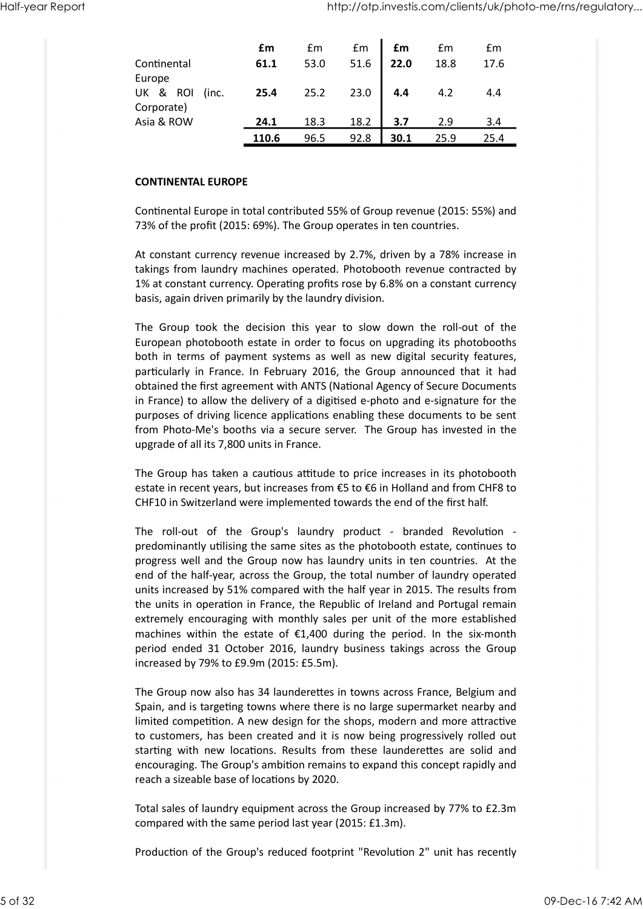| Half-year Report |                                                                                                                                                     |       |      |      |      |      | http://otp.investis.com/clients/uk/photo-me/rns/regulatory |
|------------------|-----------------------------------------------------------------------------------------------------------------------------------------------------|-------|------|------|------|------|------------------------------------------------------------|
|                  |                                                                                                                                                     |       |      |      |      |      |                                                            |
|                  |                                                                                                                                                     | £m    | £m   | £m   | £m   | £m   | £m                                                         |
|                  | Continental                                                                                                                                         | 61.1  | 53.0 | 51.6 | 22.0 | 18.8 | 17.6                                                       |
|                  | Europe<br>UK & ROI (inc.                                                                                                                            | 25.4  | 25.2 | 23.0 | 4.4  | 4.2  | 4.4                                                        |
|                  | Corporate)                                                                                                                                          |       |      |      |      |      |                                                            |
|                  | Asia & ROW                                                                                                                                          | 24.1  | 18.3 | 18.2 | 3.7  | 2.9  | 3.4                                                        |
|                  |                                                                                                                                                     | 110.6 | 96.5 | 92.8 | 30.1 | 25.9 | 25.4                                                       |
|                  | <b>CONTINENTAL EUROPE</b>                                                                                                                           |       |      |      |      |      |                                                            |
|                  | Continental Europe in total contributed 55% of Group revenue (2015: 55%) and<br>73% of the profit (2015: 69%). The Group operates in ten countries. |       |      |      |      |      |                                                            |
|                  | At constant currency revenue increased by 2.7%, driven by a 78% increase in                                                                         |       |      |      |      |      |                                                            |
|                  | takings from laundry machines operated. Photobooth revenue contracted by                                                                            |       |      |      |      |      |                                                            |
|                  | 1% at constant currency. Operating profits rose by 6.8% on a constant currency<br>basis, again driven primarily by the laundry division.            |       |      |      |      |      |                                                            |
|                  | The Group took the decision this year to slow down the roll-out of the                                                                              |       |      |      |      |      |                                                            |
|                  | European photobooth estate in order to focus on upgrading its photobooths                                                                           |       |      |      |      |      |                                                            |
|                  | both in terms of payment systems as well as new digital security features,                                                                          |       |      |      |      |      |                                                            |
|                  | particularly in France. In February 2016, the Group announced that it had                                                                           |       |      |      |      |      |                                                            |
|                  | obtained the first agreement with ANTS (National Agency of Secure Documents                                                                         |       |      |      |      |      |                                                            |

#### CONTINENTAL EUROPE

European photobooth estate in order to focus on upgrading its photobooths both in terms of payment systems as well as new digital security features, Corporate)<br>  $\frac{24.1}{110.6}$  96.5 92.8 3.7 2.9 3.4<br>  $\frac{110.6}{10.6}$  96.5 92.8 30.1 25.9 25.4<br>
CONTINENTAL EUROPE<br>
CONTINENTAL EUROPE<br>
CONTINENTAL EUROPE<br>
CONTINENTAL EUROPE<br>
CONTINENTAL EUROPE<br>
Actions and contributed 55 obtained the first agreement with ANTS (National Agency of Secure Documents in France) to allow the delivery of a digitised e-photo and e-signature for the purposes of driving licence applications enabling these documents to be sent from Photo-Me's booths via a secure server. The Group has invested in the upgrade of all its 7,800 units in France. takings from laundry machines operated. Photobooth revenue contracted by<br>25% at constant currency. Operating profits rose by 6.8% on a constant currency<br>basis, again driven primarily by the laundry division.<br>The Group took

The Group has taken a cautious attitude to price increases in its photobooth estate in recent years, but increases from €5 to €6 in Holland and from CHF8 to CHF10 in Switzerland were implemented towards the end of the first half.

predominantly utilising the same sites as the photobooth estate, continues to progress well and the Group now has laundry units in ten countries. At the end of the half-year, across the Group, the total number of laundry operated units increased by 51% compared with the half year in 2015. The results from the units in operation in France, the Republic of Ireland and Portugal remain extremely encouraging with monthly sales per unit of the more established particularly in France. In February 2016, the Group announced that it had obtained the first agreement with AITS (National Agency of Secure Documents in France) to allow the delivery of a digitised e-photo and e-signature obtained the first agreement with ANTS (National Agency of Secure Documents<br>in France) to allow the delivery of a digitsed e-photo and e-signature for the<br>purposes of driving licence applications enabling these documents t increased by 79% to £9.9m (2015: £5.5m). estate in recent years, but increases from €5 to €6 in Holland and from CHF8 to<br>CHF10 in Switzerland were implemented towards the end of the first half.<br>The roll-out of the Group's laundry product - branded Revolution -<br>pr

The Group now also has 34 launderettes in towns across France, Belgium and Spain, and is targeting towns where there is no large supermarket nearby and limited competition. A new design for the shops, modern and more attractive to customers, has been created and it is now being progressively rolled out encouraging. The Group's ambition remains to expand this concept rapidly and reach a sizeable base of locations by 2020. extremely encouraging with monthly saise per unit of the more established<br>machines within the estate of £1,400 during the period. In the six-month<br>period ended 31 October 2016, laundry business takings across the Group<br>inc

Total sales of laundry equipment across the Group increased by 77% to £2.3m compared with the same period last year (2015: £1.3m).

Production of the Group's reduced footprint "Revolution 2" unit has recently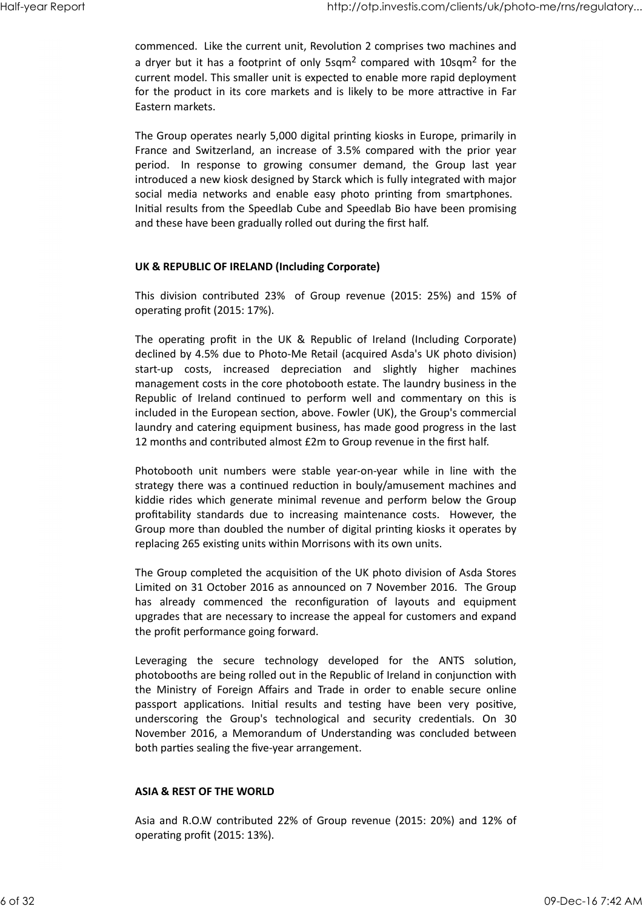commenced. Like the current unit, Revolution 2 comprises two machines and a dryer but it has a footprint of only 5sqm<sup>2</sup> compared with 10sqm<sup>2</sup> for the current model. This smaller unit is expected to enable more rapid deployment for the product in its core markets and is likely to be more attractive in Far Eastern markets. Half-year Report<br>
commenced. Like the current unit, Revolution 2 comprises two machines and<br>
a dryer but it has a footprint of only 5sqm<sup>2</sup> compared with 10sqm<sup>2</sup> for the<br>
summatured a This angular with a master the such m

The Group operates nearly 5,000 digital printing kiosks in Europe, primarily in France and Switzerland, an increase of 3.5% compared with the prior year http://otp.investis.com/clients/uk/photo-me/ms/regulatory...<br>
commenced. Like the current unit, Revolution 2 comprises two machines and<br>
a dryer but it has a footprint of only 5sqm<sup>2</sup> compared with 10sqm<sup>2</sup> for the<br>
for th introduced a new kiosk designed by Starck which is fully integrated with major social media networks and enable easy photo printing from smartphones. Initial results from the Speedlab Cube and Speedlab Bio have been promising and these have been gradually rolled out during the first half. commenced. Like the current unit, Revolution 2 comprises two machines and<br>a dryer but it has a footprint of only 5sqm<sup>2</sup> compared with 10sqm<sup>2</sup> for the<br>current model. This smaller unit is expected to enable more rapid depl current model. This smaller unit is expected to enable more rapid deployment<br>for the product in its core markets and is likely to be more attractive in Far<br>Fastern markets.<br>The Group operates nearly 5,000 digital printing

#### UK & REPUBLIC OF IRELAND (Including Corporate)

operating profit (2015: 17%).

declined by 4.5% due to Photo-Me Retail (acquired Asda's UK photo division) Eastern markets.<br>The Group operates nearly 5,000 digital printing kiosks in Europe, primarily in<br>France and Switzerland, an increase of 3.5% compared with the prior year<br>period. In response to growing consumer demand, the management costs in the core photobooth estate. The laundry business in the The Group operates nearly 5,000 digital printing kiosks in Europe, primarily in<br>France and Switterland, an increase of 3.5% compared with the prior year<br>period. In response to growing consumer demand, the Group last year<br>i included in the European section, above. Fowler (UK), the Group's commercial laundry and catering equipment business, has made good progress in the last 12 months and contributed almost £2m to Group revenue in the first half. Initial results from the Speedlab Cube and Speedlab Bio have been promising<br>and these have been gradually rolled out during the first half.<br>UK & REPUBLIC OF IRELAND (Including Corporate)<br>This division contributed 23% of Gr UK & REPUBLIC OF IRELAND (Including Corporate)<br>
This division contributed 23% of Group revenue (2015: 25%) and 15% of<br>
operating profit in the UK & Republic of Ireland (Including Corporate)<br>
The operating profit in the UK The operating profit in the UK & Republic of Ireland (Including Corporate)<br>declined by 4.5% due to Photo-Me Retail (acquired Asda's UK photo dvision)<br>start-up costs, increased depreciation and slightly higher machines<br>mana

strategy there was a continued reduction in bouly/amusement machines and kiddie rides which generate minimal revenue and perform below the Group Group more than doubled the number of digital printing kiosks it operates by replacing 265 existing units within Morrisons with its own units.

The Group completed the acquisition of the UK photo division of Asda Stores Limited on 31 October 2016 as announced on 7 November 2016. The Group upgrades that are necessary to increase the appeal for customers and expand the profit performance going forward.

Republic of Ireland continued to perform well and commentary on this is included in the European section, above. Fowler (UK), the Group's commercial laundry and catering equipment business, has made good progress in the la photobooths are being rolled out in the Republic of Ireland in conjunction with laundry and catering equipment business, has made good progress in the last<br>22 months and contributed almost £2m to Group revenue in the first half.<br>Photobooth unit numbers were stable year-on-year while in line with the<br>s 12 months and contributed almost £2m to Group revenue in the first half.<br>Photobooth unit numbers were stable year-on-year while in line with the<br>strategy there was a continued reduction in bouly/amusement machines and<br>kidd Photobooth unit numbers were stable year-on-year while in line with the strategy there was a continued reduction in boully/amusement machines and kiddle rides which generate minimal revenue and perform below the Group prof November 2016, a Memorandum of Understanding was concluded between both parties sealing the five-year arrangement. the profit performance going forward.<br>
the profit performance going forward.<br>
Leveraging the secure technology developed for the ANTS solution,<br>
photobooks are being rolled out in the Republic of Ireland in conjunction wit

#### ASIA & REST OF THE WORLD

Asia and R.O.W contributed 22% of Group revenue (2015: 20%) and 12% of operating profit (2015: 13%).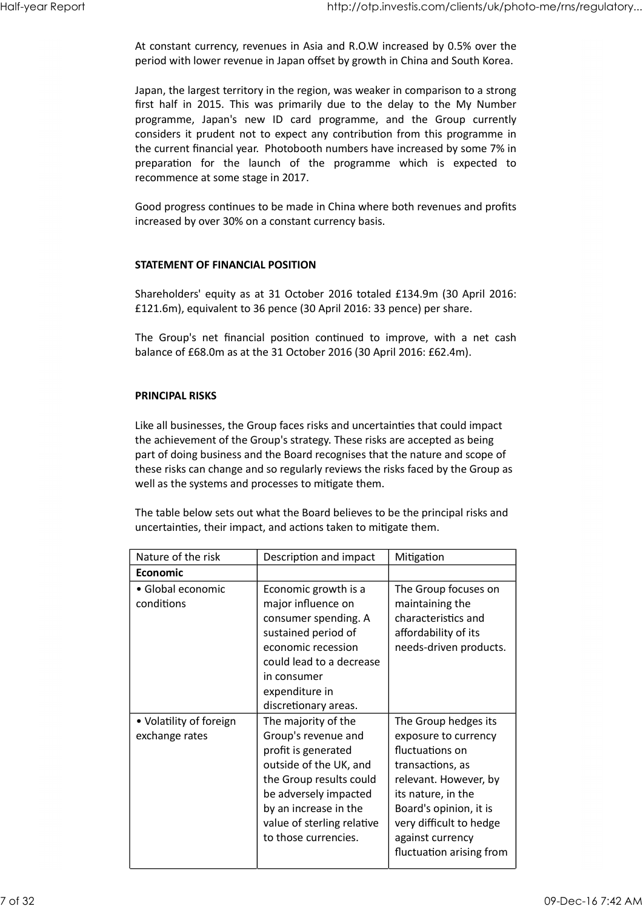At constant currency, revenues in Asia and R.O.W increased by 0.5% over the period with lower revenue in Japan offset by growth in China and South Korea. Half-year Report<br>At constant currency, revenues in Asia and R.O.W increased by 0.5% over the<br>period with lower revenue in Japan offset by growth in China and South Korea.

Japan, the largest territory in the region, was weaker in comparison to a strong http://otp.investis.com/clients/uk/photo-me/rns/regulatory...<br>At constant currency, revenues in Asia and R.O.W increased by 0.5% over the<br>period with lower revenue in Japan offset by growth in China and South Korea.<br>Japan, http://otp.investis.com/clients/uk/photo-me/rns/regulatory...<br>At constant currency, revenues in Asia and R.O.W increased by 0.5% over the<br>period with lower revenue in Japan offset by growth in China and South Korea.<br>Japan, considers it prudent not to expect any contribution from this programme in the current financial year. Photobooth numbers have increased by some 7% in http://otp.investis.com/clients/uk/photo-me/ms/regulatory...<br>At constant currency, revenues in Asia and R.O.W increased by 0.5% over the<br>period with lower revenue in Japan offset by growth in China and South Korea.<br>Japan, recommence at some stage in 2017. The Group's internal position continued to improve, with a net cash<br>plapan, the largest territory in the region, was weaker in comparison to a strong<br>programme, Japan's new 1D card programme, and the Group currently<br>consid

Good progress continues to be made in China where both revenues and profits increased by over 30% on a constant currency basis.

#### STATEMENT OF FINANCIAL POSITION

#### PRINCIPAL RISKS

|                                           | Shareholders' equity as at 31 October 2016 totaled £134.9m (30 April 2016:<br>£121.6m), equivalent to 36 pence (30 April 2016: 33 pence) per share.                                                                                                                                                                                                                                    |                                                                                                                                                                                                             |
|-------------------------------------------|----------------------------------------------------------------------------------------------------------------------------------------------------------------------------------------------------------------------------------------------------------------------------------------------------------------------------------------------------------------------------------------|-------------------------------------------------------------------------------------------------------------------------------------------------------------------------------------------------------------|
|                                           | The Group's net financial position continued to improve, with a net cash<br>balance of £68.0m as at the 31 October 2016 (30 April 2016: £62.4m).                                                                                                                                                                                                                                       |                                                                                                                                                                                                             |
| <b>PRINCIPAL RISKS</b>                    |                                                                                                                                                                                                                                                                                                                                                                                        |                                                                                                                                                                                                             |
|                                           | Like all businesses, the Group faces risks and uncertainties that could impact<br>the achievement of the Group's strategy. These risks are accepted as being<br>part of doing business and the Board recognises that the nature and scope of<br>these risks can change and so regularly reviews the risks faced by the Group as<br>well as the systems and processes to mitigate them. |                                                                                                                                                                                                             |
|                                           | The table below sets out what the Board believes to be the principal risks and<br>uncertainties, their impact, and actions taken to mitigate them.                                                                                                                                                                                                                                     |                                                                                                                                                                                                             |
| Nature of the risk                        | Description and impact                                                                                                                                                                                                                                                                                                                                                                 | Mitigation                                                                                                                                                                                                  |
| Economic                                  |                                                                                                                                                                                                                                                                                                                                                                                        |                                                                                                                                                                                                             |
| · Global economic<br>conditions           | Economic growth is a<br>major influence on<br>consumer spending. A<br>sustained period of<br>economic recession<br>could lead to a decrease<br>in consumer<br>expenditure in<br>discretionary areas.                                                                                                                                                                                   | The Group focuses on<br>maintaining the<br>characteristics and<br>affordability of its<br>needs-driven products.                                                                                            |
| • Volatility of foreign<br>exchange rates | The majority of the<br>Group's revenue and<br>profit is generated<br>outside of the UK, and<br>the Group results could<br>be adversely impacted<br>by an increase in the<br>value of sterling relative<br>to those currencies.                                                                                                                                                         | The Group hedges its<br>exposure to currency<br>fluctuations on<br>transactions, as<br>relevant. However, by<br>its nature, in the<br>Board's opinion, it is<br>very difficult to hedge<br>against currency |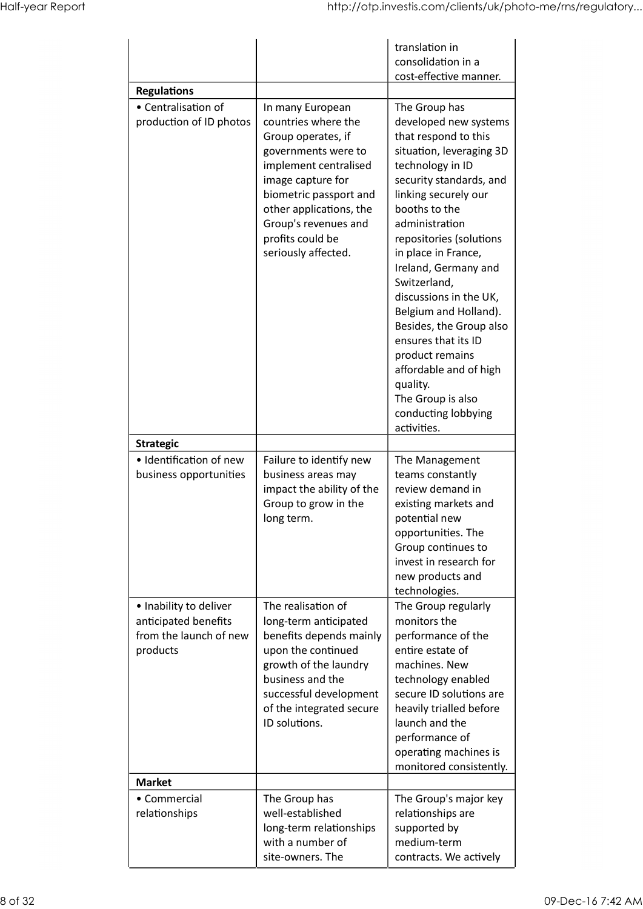| http://otp.investis.com/clients/uk/photo-me/rns/regulatory<br>translation in<br>consolidation in a<br>cost-effective manner.<br><b>Regulations</b><br>• Centralisation of<br>In many European<br>The Group has<br>developed new systems<br>production of ID photos<br>countries where the<br>Group operates, if<br>that respond to this<br>situation, leveraging 3D<br>governments were to<br>implement centralised<br>technology in ID<br>image capture for<br>security standards, and<br>linking securely our<br>biometric passport and<br>other applications, the<br>booths to the<br>Group's revenues and<br>administration<br>profits could be<br>repositories (solutions<br>seriously affected.<br>in place in France,<br>Ireland, Germany and<br>Switzerland,<br>discussions in the UK,<br>Belgium and Holland).<br>Besides, the Group also<br>ensures that its ID<br>product remains<br>affordable and of high<br>quality.<br>The Group is also<br>conducting lobbying<br>activities.<br><b>Strategic</b><br>· Identification of new<br>Failure to identify new<br>The Management<br>business opportunities<br>teams constantly<br>business areas may<br>impact the ability of the<br>review demand in | Half-year Report<br>Group to grow in the<br>existing markets and<br>potential new<br>long term.<br>opportunities. The<br>Group continues to<br>invest in research for<br>new products and<br>technologies.<br>. Inability to deliver<br>The realisation of<br>The Group regularly<br>anticipated benefits<br>long-term anticipated<br>monitors the<br>from the launch of new<br>performance of the<br>benefits depends mainly<br>upon the continued<br>entire estate of<br>products<br>growth of the laundry<br>machines. New |  |                                                                 |                                                       |
|----------------------------------------------------------------------------------------------------------------------------------------------------------------------------------------------------------------------------------------------------------------------------------------------------------------------------------------------------------------------------------------------------------------------------------------------------------------------------------------------------------------------------------------------------------------------------------------------------------------------------------------------------------------------------------------------------------------------------------------------------------------------------------------------------------------------------------------------------------------------------------------------------------------------------------------------------------------------------------------------------------------------------------------------------------------------------------------------------------------------------------------------------------------------------------------------------------------|-------------------------------------------------------------------------------------------------------------------------------------------------------------------------------------------------------------------------------------------------------------------------------------------------------------------------------------------------------------------------------------------------------------------------------------------------------------------------------------------------------------------------------|--|-----------------------------------------------------------------|-------------------------------------------------------|
|                                                                                                                                                                                                                                                                                                                                                                                                                                                                                                                                                                                                                                                                                                                                                                                                                                                                                                                                                                                                                                                                                                                                                                                                                |                                                                                                                                                                                                                                                                                                                                                                                                                                                                                                                               |  |                                                                 |                                                       |
|                                                                                                                                                                                                                                                                                                                                                                                                                                                                                                                                                                                                                                                                                                                                                                                                                                                                                                                                                                                                                                                                                                                                                                                                                |                                                                                                                                                                                                                                                                                                                                                                                                                                                                                                                               |  |                                                                 |                                                       |
|                                                                                                                                                                                                                                                                                                                                                                                                                                                                                                                                                                                                                                                                                                                                                                                                                                                                                                                                                                                                                                                                                                                                                                                                                |                                                                                                                                                                                                                                                                                                                                                                                                                                                                                                                               |  |                                                                 |                                                       |
|                                                                                                                                                                                                                                                                                                                                                                                                                                                                                                                                                                                                                                                                                                                                                                                                                                                                                                                                                                                                                                                                                                                                                                                                                |                                                                                                                                                                                                                                                                                                                                                                                                                                                                                                                               |  |                                                                 |                                                       |
| business and the<br>technology enabled<br>successful development<br>secure ID solutions are<br>of the integrated secure<br>heavily trialled before<br>launch and the<br>ID solutions.<br>performance of<br>operating machines is<br>monitored consistently.<br><b>Market</b><br>The Group has<br>The Group's major key<br>• Commercial<br>well-established<br>relationships are<br>relationships                                                                                                                                                                                                                                                                                                                                                                                                                                                                                                                                                                                                                                                                                                                                                                                                               |                                                                                                                                                                                                                                                                                                                                                                                                                                                                                                                               |  | long-term relationships<br>with a number of<br>site-owners. The | supported by<br>medium-term<br>contracts. We actively |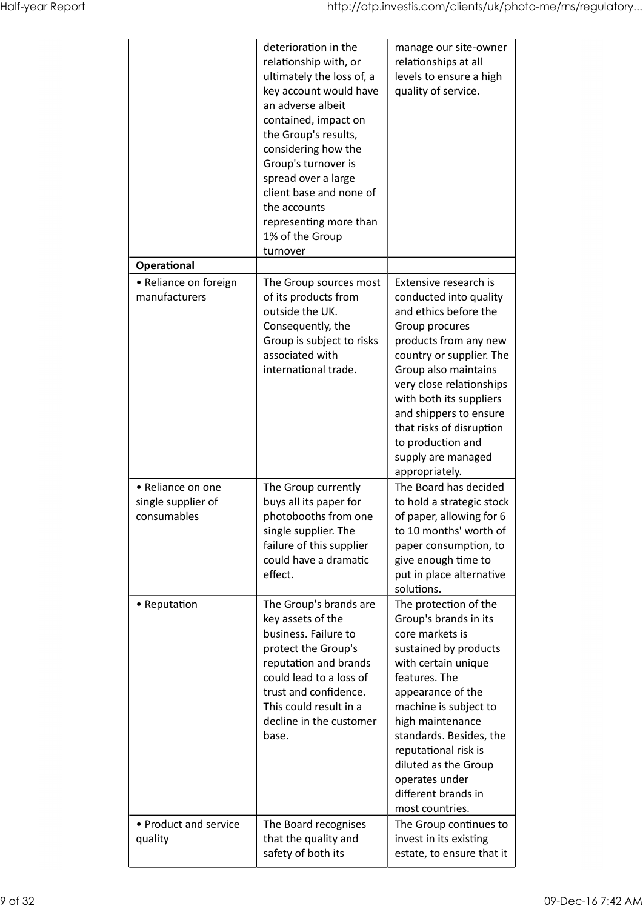|                                                        | deterioration in the<br>relationship with, or<br>ultimately the loss of, a<br>key account would have<br>an adverse albeit<br>contained, impact on<br>the Group's results,<br>considering how the                                      | manage our site-owner<br>relationships at all<br>levels to ensure a high<br>quality of service.                                                                                                                                                                                                                                                   |
|--------------------------------------------------------|---------------------------------------------------------------------------------------------------------------------------------------------------------------------------------------------------------------------------------------|---------------------------------------------------------------------------------------------------------------------------------------------------------------------------------------------------------------------------------------------------------------------------------------------------------------------------------------------------|
|                                                        | Group's turnover is<br>spread over a large<br>client base and none of<br>the accounts<br>representing more than<br>1% of the Group<br>turnover                                                                                        |                                                                                                                                                                                                                                                                                                                                                   |
| Operational<br>• Reliance on foreign<br>manufacturers  | The Group sources most<br>of its products from<br>outside the UK.<br>Consequently, the<br>Group is subject to risks<br>associated with<br>international trade.                                                                        | Extensive research is<br>conducted into quality<br>and ethics before the<br>Group procures<br>products from any new<br>country or supplier. The<br>Group also maintains<br>very close relationships<br>with both its suppliers<br>and shippers to ensure<br>that risks of disruption<br>to production and<br>supply are managed<br>appropriately. |
| • Reliance on one<br>single supplier of<br>consumables | The Group currently<br>buys all its paper for<br>photobooths from one<br>single supplier. The<br>failure of this supplier<br>could have a dramatic<br>effect.                                                                         | The Board has decided<br>to hold a strategic stock<br>of paper, allowing for 6<br>to 10 months' worth of<br>paper consumption, to<br>give enough time to<br>put in place alternative<br>solutions.                                                                                                                                                |
| • Reputation                                           | The Group's brands are<br>key assets of the<br>business. Failure to<br>protect the Group's<br>reputation and brands<br>could lead to a loss of<br>trust and confidence.<br>This could result in a<br>decline in the customer<br>base. | The protection of the<br>Group's brands in its<br>core markets is<br>sustained by products<br>with certain unique<br>features. The<br>appearance of the<br>machine is subject to<br>high maintenance<br>standards. Besides, the<br>reputational risk is<br>diluted as the Group<br>operates under<br>different brands in<br>most countries.       |
| • Product and service<br>quality                       | The Board recognises<br>that the quality and<br>safety of both its                                                                                                                                                                    | The Group continues to<br>invest in its existing<br>estate, to ensure that it                                                                                                                                                                                                                                                                     |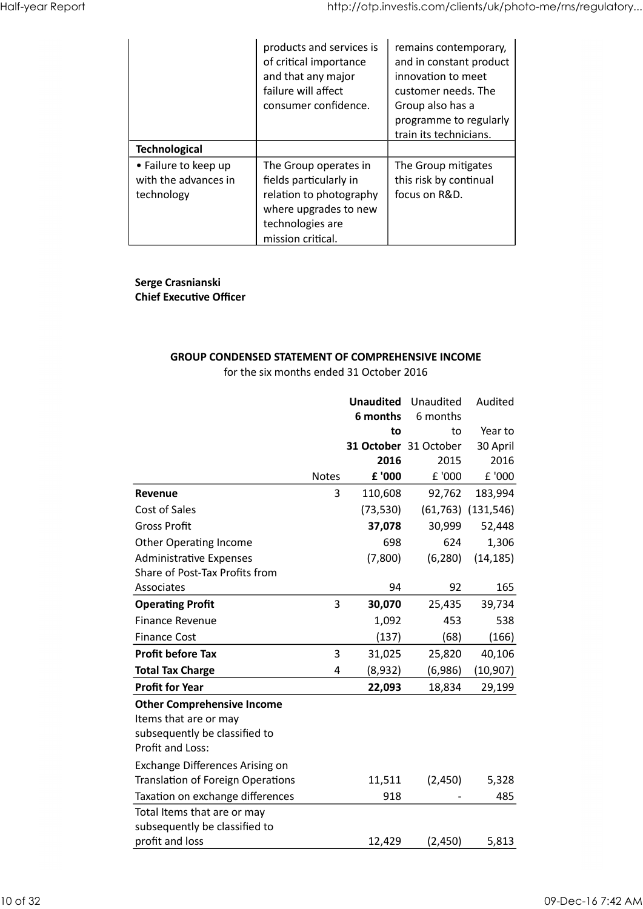| Half-year Report |                                                                                    |                                                                                                                                              | http://otp.investis.com/clients/uk/photo-me/rns/regulatory                                                                                                            |                            |
|------------------|------------------------------------------------------------------------------------|----------------------------------------------------------------------------------------------------------------------------------------------|-----------------------------------------------------------------------------------------------------------------------------------------------------------------------|----------------------------|
|                  |                                                                                    | products and services is<br>of critical importance<br>and that any major<br>failure will affect<br>consumer confidence.                      | remains contemporary,<br>and in constant product<br>innovation to meet<br>customer needs. The<br>Group also has a<br>programme to regularly<br>train its technicians. |                            |
|                  | <b>Technological</b><br>• Failure to keep up<br>with the advances in<br>technology | The Group operates in<br>fields particularly in<br>relation to photography<br>where upgrades to new<br>technologies are<br>mission critical. | The Group mitigates<br>this risk by continual<br>focus on R&D.                                                                                                        |                            |
|                  | Serge Crasnianski<br><b>Chief Executive Officer</b>                                |                                                                                                                                              |                                                                                                                                                                       |                            |
|                  |                                                                                    | <b>GROUP CONDENSED STATEMENT OF COMPREHENSIVE INCOME</b>                                                                                     |                                                                                                                                                                       |                            |
|                  |                                                                                    | for the six months ended 31 October 2016<br>6 months                                                                                         | <b>Unaudited</b> Unaudited<br>6 months<br>to<br>to                                                                                                                    | Audited<br>Year to         |
|                  |                                                                                    | £ '000<br>Notes                                                                                                                              | 31 October 31 October<br>2016<br>2015<br>£ '000                                                                                                                       | 30 April<br>2016<br>£ '000 |

#### Serge Crasnianski Chief Executive Officer

## GROUP CONDENSED STATEMENT OF COMPREHENSIVE INCOME

| with the advances in<br>technology                  | • Failure to keep up                                               | The Group operates in<br>fields particularly in<br>relation to photography<br>where upgrades to new<br>technologies are<br>mission critical. |                           | The Group mitigates<br>this risk by continual<br>focus on R&D. |                                     |
|-----------------------------------------------------|--------------------------------------------------------------------|----------------------------------------------------------------------------------------------------------------------------------------------|---------------------------|----------------------------------------------------------------|-------------------------------------|
| Serge Crasnianski<br><b>Chief Executive Officer</b> |                                                                    |                                                                                                                                              |                           |                                                                |                                     |
|                                                     | <b>GROUP CONDENSED STATEMENT OF COMPREHENSIVE INCOME</b>           | for the six months ended 31 October 2016                                                                                                     |                           |                                                                |                                     |
|                                                     |                                                                    |                                                                                                                                              | 6 months                  | <b>Unaudited</b> Unaudited<br>6 months                         | Audited                             |
|                                                     |                                                                    |                                                                                                                                              | 2016                      | to<br>to<br>31 October 31 October<br>2015                      | Year to<br>30 April<br>2016         |
| Revenue                                             |                                                                    | Notes                                                                                                                                        | £ '000                    | £ '000                                                         | £ '000                              |
| Cost of Sales                                       |                                                                    |                                                                                                                                              | 110,608<br>3<br>(73, 530) | 92,762                                                         | 183,994<br>$(61, 763)$ $(131, 546)$ |
| <b>Gross Profit</b>                                 |                                                                    |                                                                                                                                              | 37,078                    | 30,999                                                         | 52,448                              |
|                                                     | Other Operating Income                                             |                                                                                                                                              |                           | 698<br>624                                                     | 1,306                               |
|                                                     | Administrative Expenses                                            |                                                                                                                                              | (7,800)                   | (6, 280)                                                       | (14, 185)                           |
|                                                     | Share of Post-Tax Profits from                                     |                                                                                                                                              |                           |                                                                |                                     |
| Associates                                          |                                                                    |                                                                                                                                              |                           | 94<br>92                                                       | 165                                 |
| <b>Operating Profit</b>                             |                                                                    |                                                                                                                                              | 3<br>30,070               | 25,435                                                         | 39,734                              |
| Finance Revenue                                     |                                                                    |                                                                                                                                              | 1,092                     | 453                                                            | 538                                 |
| <b>Finance Cost</b>                                 |                                                                    |                                                                                                                                              | (137)                     | (68)                                                           | (166)                               |
| <b>Profit before Tax</b>                            |                                                                    |                                                                                                                                              | 3<br>31,025               | 25,820                                                         | 40,106                              |
| <b>Total Tax Charge</b>                             |                                                                    |                                                                                                                                              | (8,932)<br>4              | (6,986)                                                        | (10, 907)                           |
| <b>Profit for Year</b>                              |                                                                    |                                                                                                                                              | 22,093                    | 18,834                                                         | 29,199                              |
| Items that are or may<br>Profit and Loss:           | <b>Other Comprehensive Income</b><br>subsequently be classified to |                                                                                                                                              |                           |                                                                |                                     |
|                                                     | Exchange Differences Arising on                                    |                                                                                                                                              |                           |                                                                |                                     |
|                                                     |                                                                    |                                                                                                                                              | 11,511                    | (2,450)                                                        | 5,328                               |
|                                                     | <b>Translation of Foreign Operations</b>                           |                                                                                                                                              |                           | 918                                                            | 485                                 |
|                                                     | Taxation on exchange differences<br>Total Items that are or may    |                                                                                                                                              |                           |                                                                |                                     |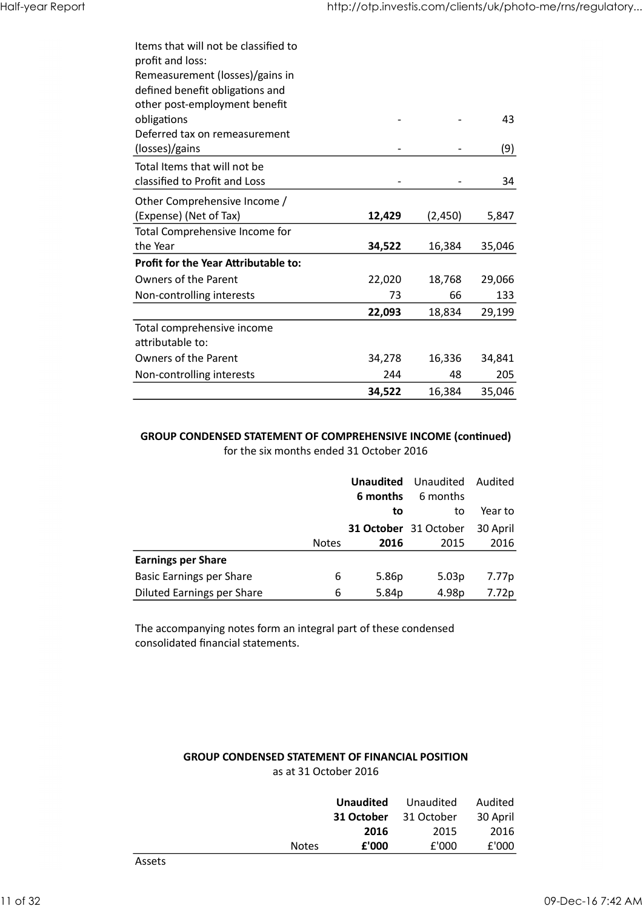| Half-year Report |                                                                  |        | http://otp.investis.com/clients/uk/photo-me/rns/regulatory |        |
|------------------|------------------------------------------------------------------|--------|------------------------------------------------------------|--------|
|                  |                                                                  |        |                                                            |        |
|                  | Items that will not be classified to                             |        |                                                            |        |
|                  | profit and loss:                                                 |        |                                                            |        |
|                  | Remeasurement (losses)/gains in                                  |        |                                                            |        |
|                  | defined benefit obligations and<br>other post-employment benefit |        |                                                            |        |
|                  | obligations                                                      |        |                                                            | 43     |
|                  | Deferred tax on remeasurement                                    |        |                                                            |        |
|                  | (losses)/gains                                                   |        |                                                            | (9)    |
|                  | Total Items that will not be                                     |        |                                                            |        |
|                  | classified to Profit and Loss                                    |        |                                                            | 34     |
|                  | Other Comprehensive Income /                                     |        |                                                            |        |
|                  | (Expense) (Net of Tax)<br>Total Comprehensive Income for         | 12,429 | (2,450)                                                    | 5,847  |
|                  | the Year                                                         | 34,522 | 16,384                                                     | 35,046 |
|                  | Profit for the Year Attributable to:                             |        |                                                            |        |
|                  | Owners of the Parent                                             | 22,020 | 18,768                                                     | 29,066 |
|                  | Non-controlling interests                                        | 73     | 66                                                         | 133    |
|                  |                                                                  | 22,093 | 18,834                                                     | 29,199 |
|                  | Total comprehensive income                                       |        |                                                            |        |
|                  | attributable to:<br>Owners of the Parent                         | 34,278 | 16,336                                                     | 34,841 |
|                  | Non-controlling interests                                        | 244    | 48                                                         | 205    |
|                  |                                                                  | 34,522 | 16,384                                                     | 35,046 |
|                  |                                                                  |        |                                                            |        |

#### GROUP CONDENSED STATEMENT OF COMPREHENSIVE INCOME (continued) for the six months ended 31 October 2016

|                                                                                                                  |                       | 22,093                       | 18,834                | 29,199        |
|------------------------------------------------------------------------------------------------------------------|-----------------------|------------------------------|-----------------------|---------------|
| Total comprehensive income<br>attributable to:                                                                   |                       |                              |                       |               |
| Owners of the Parent                                                                                             |                       | 34,278                       | 16,336                | 34,841        |
| Non-controlling interests                                                                                        |                       | 244                          | 48                    | 205           |
|                                                                                                                  |                       | 34,522                       | 16,384                | 35,046        |
| <b>GROUP CONDENSED STATEMENT OF COMPREHENSIVE INCOME (continued)</b><br>for the six months ended 31 October 2016 |                       |                              |                       |               |
|                                                                                                                  |                       |                              |                       |               |
|                                                                                                                  |                       | <b>Unaudited</b><br>6 months | Unaudited<br>6 months | Audited       |
|                                                                                                                  |                       | to                           | to                    | Year to       |
|                                                                                                                  |                       |                              | 31 October 31 October | 30 April      |
|                                                                                                                  | <b>Notes</b>          | 2016                         | 2015                  | 2016          |
|                                                                                                                  |                       |                              |                       |               |
| <b>Earnings per Share</b>                                                                                        |                       |                              |                       |               |
| <b>Basic Earnings per Share</b>                                                                                  | 6                     | 5.86p                        | 5.03p                 | 7.77p         |
| <b>Diluted Earnings per Share</b>                                                                                | 6                     | 5.84p                        | 4.98p                 | 7.72p         |
|                                                                                                                  |                       |                              |                       |               |
| consolidated financial statements.<br><b>GROUP CONDENSED STATEMENT OF FINANCIAL POSITION</b>                     | as at 31 October 2016 |                              |                       |               |
|                                                                                                                  |                       |                              |                       |               |
| The accompanying notes form an integral part of these condensed                                                  |                       | <b>Unaudited</b>             | Unaudited             | Audited       |
|                                                                                                                  |                       | 31 October                   | 31 October            | 30 April      |
|                                                                                                                  | <b>Notes</b>          | 2016<br>${\bf f}$ '000       | 2015<br>£'000         | 2016<br>£'000 |

#### GROUP CONDENSED STATEMENT OF FINANCIAL POSITION as at 31 October 2016

|          |                                                                 | <b>INACCO</b>         | <u>LVIV</u>      | ∠∪⊥        | 2010     |
|----------|-----------------------------------------------------------------|-----------------------|------------------|------------|----------|
|          | <b>Earnings per Share</b>                                       |                       |                  |            |          |
|          | <b>Basic Earnings per Share</b>                                 |                       | 6<br>5.86p       | 5.03p      | 7.77p    |
|          | <b>Diluted Earnings per Share</b>                               |                       | 6<br>5.84p       | 4.98p      | 7.72p    |
|          |                                                                 |                       |                  |            |          |
|          | The accompanying notes form an integral part of these condensed |                       |                  |            |          |
|          | consolidated financial statements.                              |                       |                  |            |          |
|          |                                                                 |                       |                  |            |          |
|          |                                                                 |                       |                  |            |          |
|          |                                                                 |                       |                  |            |          |
|          |                                                                 |                       |                  |            |          |
|          |                                                                 |                       |                  |            |          |
|          |                                                                 |                       |                  |            |          |
|          |                                                                 |                       |                  |            |          |
|          | <b>GROUP CONDENSED STATEMENT OF FINANCIAL POSITION</b>          |                       |                  |            |          |
|          |                                                                 | as at 31 October 2016 |                  |            |          |
|          |                                                                 |                       |                  |            |          |
|          |                                                                 |                       | <b>Unaudited</b> | Unaudited  | Audited  |
|          |                                                                 |                       | 31 October       | 31 October | 30 April |
|          |                                                                 |                       | 2016             | 2015       | 2016     |
|          |                                                                 | Notes                 | £'000            | £'000      | £'000    |
|          | Assets                                                          |                       |                  |            |          |
|          |                                                                 |                       |                  |            |          |
| 11 of 32 |                                                                 |                       |                  |            |          |
|          |                                                                 |                       |                  |            |          |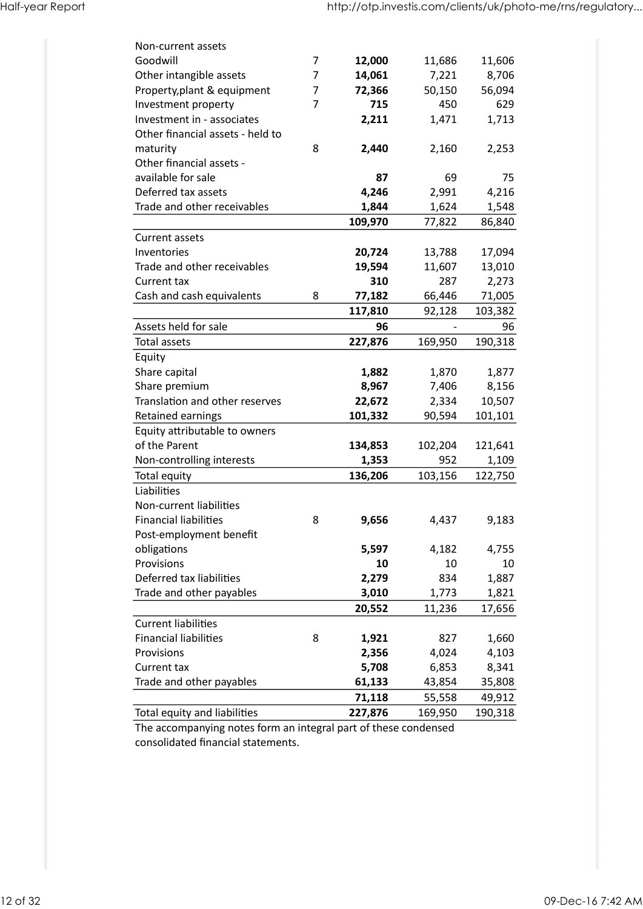| Non-current assets<br>Goodwill<br>7<br>12,000<br>11,686<br>11,606<br>Other intangible assets<br>8,706<br>7<br>14,061<br>7,221<br>$\overline{7}$<br>Property, plant & equipment<br>56,094<br>72,366<br>50,150<br>$\overline{7}$<br>715<br>629<br>Investment property<br>450<br>Investment in - associates<br>1,713<br>2,211<br>1,471<br>Other financial assets - held to<br>8<br>2,253<br>maturity<br>2,440<br>2,160<br>Other financial assets -<br>available for sale<br>75<br>87<br>69<br>Deferred tax assets<br>4,246<br>2,991<br>4,216<br>1,844<br>1,624<br>1,548<br>Trade and other receivables<br>109,970<br>86,840<br>77,822<br>Current assets<br>Inventories<br>20,724<br>17,094<br>13,788<br>Trade and other receivables<br>13,010<br>19,594<br>11,607<br>2,273<br>Current tax<br>310<br>287<br>Cash and cash equivalents<br>66,446<br>8<br>77,182<br>71,005<br>103,382<br>117,810<br>92,128<br>Assets held for sale<br>96<br>96<br>Total assets<br>227,876<br>169,950<br>190,318<br>Equity<br>Share capital<br>1,882<br>1,870<br>1,877<br>Share premium<br>8,967<br>8,156<br>7,406<br>Translation and other reserves<br>22,672<br>10,507<br>2,334<br>Retained earnings<br>101,332<br>90,594<br>101,101<br>Equity attributable to owners<br>of the Parent<br>102,204<br>134,853<br>121,641<br>1,353<br>952<br>Non-controlling interests<br>1,109<br>136,206<br>122,750<br>Total equity<br>103,156<br>Liabilities<br>Non-current liabilities<br><b>Financial liabilities</b><br>8<br>9,656<br>4,437<br>9,183<br>Post-employment benefit<br>obligations<br>5,597<br>4,182<br>4,755<br>10<br>Provisions<br>10<br>10<br>Deferred tax liabilities<br>834<br>2,279<br>1,887<br>Trade and other payables<br>3,010<br>1,773<br>1,821<br>20,552<br>11,236<br>17,656<br><b>Current liabilities</b><br><b>Financial liabilities</b><br>8<br>1,921<br>827<br>1,660<br>Provisions<br>4,103<br>2,356<br>4,024<br>5,708<br>8,341<br>Current tax<br>6,853<br>Trade and other payables<br>61,133<br>43,854<br>35,808<br>71,118<br>55,558<br>49,912<br>Total equity and liabilities<br>227,876<br>190,318<br>169,950 |
|------------------------------------------------------------------------------------------------------------------------------------------------------------------------------------------------------------------------------------------------------------------------------------------------------------------------------------------------------------------------------------------------------------------------------------------------------------------------------------------------------------------------------------------------------------------------------------------------------------------------------------------------------------------------------------------------------------------------------------------------------------------------------------------------------------------------------------------------------------------------------------------------------------------------------------------------------------------------------------------------------------------------------------------------------------------------------------------------------------------------------------------------------------------------------------------------------------------------------------------------------------------------------------------------------------------------------------------------------------------------------------------------------------------------------------------------------------------------------------------------------------------------------------------------------------------------------------------------------------------------------------------------------------------------------------------------------------------------------------------------------------------------------------------------------------------------------------------------------------------------------------------------------------------------------------------------------------------------------------------------------------------------------------------------------------------------------------------------------------|
|                                                                                                                                                                                                                                                                                                                                                                                                                                                                                                                                                                                                                                                                                                                                                                                                                                                                                                                                                                                                                                                                                                                                                                                                                                                                                                                                                                                                                                                                                                                                                                                                                                                                                                                                                                                                                                                                                                                                                                                                                                                                                                            |
|                                                                                                                                                                                                                                                                                                                                                                                                                                                                                                                                                                                                                                                                                                                                                                                                                                                                                                                                                                                                                                                                                                                                                                                                                                                                                                                                                                                                                                                                                                                                                                                                                                                                                                                                                                                                                                                                                                                                                                                                                                                                                                            |
|                                                                                                                                                                                                                                                                                                                                                                                                                                                                                                                                                                                                                                                                                                                                                                                                                                                                                                                                                                                                                                                                                                                                                                                                                                                                                                                                                                                                                                                                                                                                                                                                                                                                                                                                                                                                                                                                                                                                                                                                                                                                                                            |
|                                                                                                                                                                                                                                                                                                                                                                                                                                                                                                                                                                                                                                                                                                                                                                                                                                                                                                                                                                                                                                                                                                                                                                                                                                                                                                                                                                                                                                                                                                                                                                                                                                                                                                                                                                                                                                                                                                                                                                                                                                                                                                            |
|                                                                                                                                                                                                                                                                                                                                                                                                                                                                                                                                                                                                                                                                                                                                                                                                                                                                                                                                                                                                                                                                                                                                                                                                                                                                                                                                                                                                                                                                                                                                                                                                                                                                                                                                                                                                                                                                                                                                                                                                                                                                                                            |
|                                                                                                                                                                                                                                                                                                                                                                                                                                                                                                                                                                                                                                                                                                                                                                                                                                                                                                                                                                                                                                                                                                                                                                                                                                                                                                                                                                                                                                                                                                                                                                                                                                                                                                                                                                                                                                                                                                                                                                                                                                                                                                            |
|                                                                                                                                                                                                                                                                                                                                                                                                                                                                                                                                                                                                                                                                                                                                                                                                                                                                                                                                                                                                                                                                                                                                                                                                                                                                                                                                                                                                                                                                                                                                                                                                                                                                                                                                                                                                                                                                                                                                                                                                                                                                                                            |
|                                                                                                                                                                                                                                                                                                                                                                                                                                                                                                                                                                                                                                                                                                                                                                                                                                                                                                                                                                                                                                                                                                                                                                                                                                                                                                                                                                                                                                                                                                                                                                                                                                                                                                                                                                                                                                                                                                                                                                                                                                                                                                            |
|                                                                                                                                                                                                                                                                                                                                                                                                                                                                                                                                                                                                                                                                                                                                                                                                                                                                                                                                                                                                                                                                                                                                                                                                                                                                                                                                                                                                                                                                                                                                                                                                                                                                                                                                                                                                                                                                                                                                                                                                                                                                                                            |
|                                                                                                                                                                                                                                                                                                                                                                                                                                                                                                                                                                                                                                                                                                                                                                                                                                                                                                                                                                                                                                                                                                                                                                                                                                                                                                                                                                                                                                                                                                                                                                                                                                                                                                                                                                                                                                                                                                                                                                                                                                                                                                            |
|                                                                                                                                                                                                                                                                                                                                                                                                                                                                                                                                                                                                                                                                                                                                                                                                                                                                                                                                                                                                                                                                                                                                                                                                                                                                                                                                                                                                                                                                                                                                                                                                                                                                                                                                                                                                                                                                                                                                                                                                                                                                                                            |
|                                                                                                                                                                                                                                                                                                                                                                                                                                                                                                                                                                                                                                                                                                                                                                                                                                                                                                                                                                                                                                                                                                                                                                                                                                                                                                                                                                                                                                                                                                                                                                                                                                                                                                                                                                                                                                                                                                                                                                                                                                                                                                            |
|                                                                                                                                                                                                                                                                                                                                                                                                                                                                                                                                                                                                                                                                                                                                                                                                                                                                                                                                                                                                                                                                                                                                                                                                                                                                                                                                                                                                                                                                                                                                                                                                                                                                                                                                                                                                                                                                                                                                                                                                                                                                                                            |
|                                                                                                                                                                                                                                                                                                                                                                                                                                                                                                                                                                                                                                                                                                                                                                                                                                                                                                                                                                                                                                                                                                                                                                                                                                                                                                                                                                                                                                                                                                                                                                                                                                                                                                                                                                                                                                                                                                                                                                                                                                                                                                            |
|                                                                                                                                                                                                                                                                                                                                                                                                                                                                                                                                                                                                                                                                                                                                                                                                                                                                                                                                                                                                                                                                                                                                                                                                                                                                                                                                                                                                                                                                                                                                                                                                                                                                                                                                                                                                                                                                                                                                                                                                                                                                                                            |
|                                                                                                                                                                                                                                                                                                                                                                                                                                                                                                                                                                                                                                                                                                                                                                                                                                                                                                                                                                                                                                                                                                                                                                                                                                                                                                                                                                                                                                                                                                                                                                                                                                                                                                                                                                                                                                                                                                                                                                                                                                                                                                            |
|                                                                                                                                                                                                                                                                                                                                                                                                                                                                                                                                                                                                                                                                                                                                                                                                                                                                                                                                                                                                                                                                                                                                                                                                                                                                                                                                                                                                                                                                                                                                                                                                                                                                                                                                                                                                                                                                                                                                                                                                                                                                                                            |
|                                                                                                                                                                                                                                                                                                                                                                                                                                                                                                                                                                                                                                                                                                                                                                                                                                                                                                                                                                                                                                                                                                                                                                                                                                                                                                                                                                                                                                                                                                                                                                                                                                                                                                                                                                                                                                                                                                                                                                                                                                                                                                            |
|                                                                                                                                                                                                                                                                                                                                                                                                                                                                                                                                                                                                                                                                                                                                                                                                                                                                                                                                                                                                                                                                                                                                                                                                                                                                                                                                                                                                                                                                                                                                                                                                                                                                                                                                                                                                                                                                                                                                                                                                                                                                                                            |
|                                                                                                                                                                                                                                                                                                                                                                                                                                                                                                                                                                                                                                                                                                                                                                                                                                                                                                                                                                                                                                                                                                                                                                                                                                                                                                                                                                                                                                                                                                                                                                                                                                                                                                                                                                                                                                                                                                                                                                                                                                                                                                            |
|                                                                                                                                                                                                                                                                                                                                                                                                                                                                                                                                                                                                                                                                                                                                                                                                                                                                                                                                                                                                                                                                                                                                                                                                                                                                                                                                                                                                                                                                                                                                                                                                                                                                                                                                                                                                                                                                                                                                                                                                                                                                                                            |
|                                                                                                                                                                                                                                                                                                                                                                                                                                                                                                                                                                                                                                                                                                                                                                                                                                                                                                                                                                                                                                                                                                                                                                                                                                                                                                                                                                                                                                                                                                                                                                                                                                                                                                                                                                                                                                                                                                                                                                                                                                                                                                            |
|                                                                                                                                                                                                                                                                                                                                                                                                                                                                                                                                                                                                                                                                                                                                                                                                                                                                                                                                                                                                                                                                                                                                                                                                                                                                                                                                                                                                                                                                                                                                                                                                                                                                                                                                                                                                                                                                                                                                                                                                                                                                                                            |
|                                                                                                                                                                                                                                                                                                                                                                                                                                                                                                                                                                                                                                                                                                                                                                                                                                                                                                                                                                                                                                                                                                                                                                                                                                                                                                                                                                                                                                                                                                                                                                                                                                                                                                                                                                                                                                                                                                                                                                                                                                                                                                            |
|                                                                                                                                                                                                                                                                                                                                                                                                                                                                                                                                                                                                                                                                                                                                                                                                                                                                                                                                                                                                                                                                                                                                                                                                                                                                                                                                                                                                                                                                                                                                                                                                                                                                                                                                                                                                                                                                                                                                                                                                                                                                                                            |
|                                                                                                                                                                                                                                                                                                                                                                                                                                                                                                                                                                                                                                                                                                                                                                                                                                                                                                                                                                                                                                                                                                                                                                                                                                                                                                                                                                                                                                                                                                                                                                                                                                                                                                                                                                                                                                                                                                                                                                                                                                                                                                            |
|                                                                                                                                                                                                                                                                                                                                                                                                                                                                                                                                                                                                                                                                                                                                                                                                                                                                                                                                                                                                                                                                                                                                                                                                                                                                                                                                                                                                                                                                                                                                                                                                                                                                                                                                                                                                                                                                                                                                                                                                                                                                                                            |
|                                                                                                                                                                                                                                                                                                                                                                                                                                                                                                                                                                                                                                                                                                                                                                                                                                                                                                                                                                                                                                                                                                                                                                                                                                                                                                                                                                                                                                                                                                                                                                                                                                                                                                                                                                                                                                                                                                                                                                                                                                                                                                            |
|                                                                                                                                                                                                                                                                                                                                                                                                                                                                                                                                                                                                                                                                                                                                                                                                                                                                                                                                                                                                                                                                                                                                                                                                                                                                                                                                                                                                                                                                                                                                                                                                                                                                                                                                                                                                                                                                                                                                                                                                                                                                                                            |
|                                                                                                                                                                                                                                                                                                                                                                                                                                                                                                                                                                                                                                                                                                                                                                                                                                                                                                                                                                                                                                                                                                                                                                                                                                                                                                                                                                                                                                                                                                                                                                                                                                                                                                                                                                                                                                                                                                                                                                                                                                                                                                            |
|                                                                                                                                                                                                                                                                                                                                                                                                                                                                                                                                                                                                                                                                                                                                                                                                                                                                                                                                                                                                                                                                                                                                                                                                                                                                                                                                                                                                                                                                                                                                                                                                                                                                                                                                                                                                                                                                                                                                                                                                                                                                                                            |
|                                                                                                                                                                                                                                                                                                                                                                                                                                                                                                                                                                                                                                                                                                                                                                                                                                                                                                                                                                                                                                                                                                                                                                                                                                                                                                                                                                                                                                                                                                                                                                                                                                                                                                                                                                                                                                                                                                                                                                                                                                                                                                            |
|                                                                                                                                                                                                                                                                                                                                                                                                                                                                                                                                                                                                                                                                                                                                                                                                                                                                                                                                                                                                                                                                                                                                                                                                                                                                                                                                                                                                                                                                                                                                                                                                                                                                                                                                                                                                                                                                                                                                                                                                                                                                                                            |
|                                                                                                                                                                                                                                                                                                                                                                                                                                                                                                                                                                                                                                                                                                                                                                                                                                                                                                                                                                                                                                                                                                                                                                                                                                                                                                                                                                                                                                                                                                                                                                                                                                                                                                                                                                                                                                                                                                                                                                                                                                                                                                            |
|                                                                                                                                                                                                                                                                                                                                                                                                                                                                                                                                                                                                                                                                                                                                                                                                                                                                                                                                                                                                                                                                                                                                                                                                                                                                                                                                                                                                                                                                                                                                                                                                                                                                                                                                                                                                                                                                                                                                                                                                                                                                                                            |
|                                                                                                                                                                                                                                                                                                                                                                                                                                                                                                                                                                                                                                                                                                                                                                                                                                                                                                                                                                                                                                                                                                                                                                                                                                                                                                                                                                                                                                                                                                                                                                                                                                                                                                                                                                                                                                                                                                                                                                                                                                                                                                            |
|                                                                                                                                                                                                                                                                                                                                                                                                                                                                                                                                                                                                                                                                                                                                                                                                                                                                                                                                                                                                                                                                                                                                                                                                                                                                                                                                                                                                                                                                                                                                                                                                                                                                                                                                                                                                                                                                                                                                                                                                                                                                                                            |
|                                                                                                                                                                                                                                                                                                                                                                                                                                                                                                                                                                                                                                                                                                                                                                                                                                                                                                                                                                                                                                                                                                                                                                                                                                                                                                                                                                                                                                                                                                                                                                                                                                                                                                                                                                                                                                                                                                                                                                                                                                                                                                            |
|                                                                                                                                                                                                                                                                                                                                                                                                                                                                                                                                                                                                                                                                                                                                                                                                                                                                                                                                                                                                                                                                                                                                                                                                                                                                                                                                                                                                                                                                                                                                                                                                                                                                                                                                                                                                                                                                                                                                                                                                                                                                                                            |
|                                                                                                                                                                                                                                                                                                                                                                                                                                                                                                                                                                                                                                                                                                                                                                                                                                                                                                                                                                                                                                                                                                                                                                                                                                                                                                                                                                                                                                                                                                                                                                                                                                                                                                                                                                                                                                                                                                                                                                                                                                                                                                            |
|                                                                                                                                                                                                                                                                                                                                                                                                                                                                                                                                                                                                                                                                                                                                                                                                                                                                                                                                                                                                                                                                                                                                                                                                                                                                                                                                                                                                                                                                                                                                                                                                                                                                                                                                                                                                                                                                                                                                                                                                                                                                                                            |
|                                                                                                                                                                                                                                                                                                                                                                                                                                                                                                                                                                                                                                                                                                                                                                                                                                                                                                                                                                                                                                                                                                                                                                                                                                                                                                                                                                                                                                                                                                                                                                                                                                                                                                                                                                                                                                                                                                                                                                                                                                                                                                            |
| The accompanying notes form an integral part of these condensed<br>consolidated financial statements.                                                                                                                                                                                                                                                                                                                                                                                                                                                                                                                                                                                                                                                                                                                                                                                                                                                                                                                                                                                                                                                                                                                                                                                                                                                                                                                                                                                                                                                                                                                                                                                                                                                                                                                                                                                                                                                                                                                                                                                                      |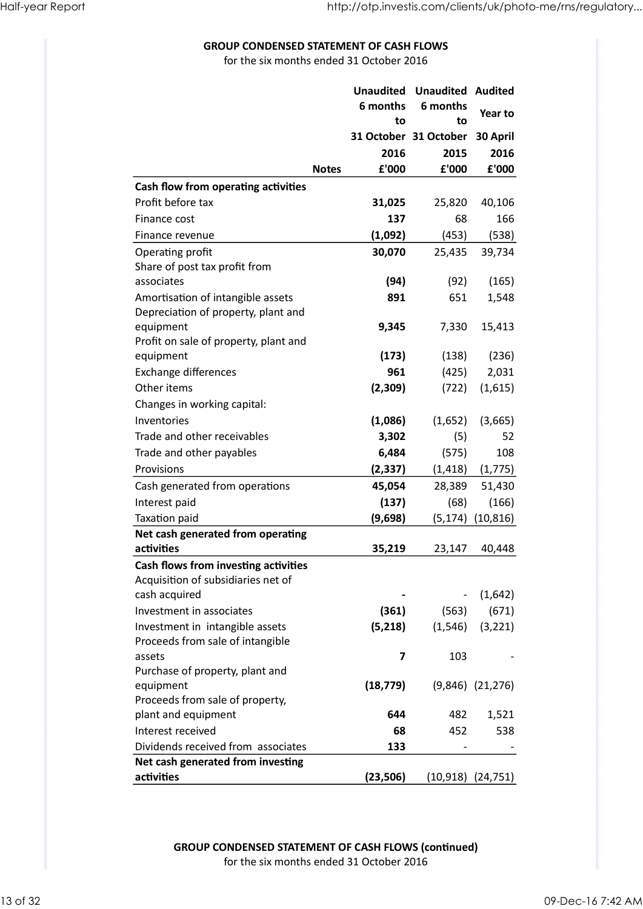#### GROUP CONDENSED STATEMENT OF CASH FLOWS

| <b>GROUP CONDENSED STATEMENT OF CASH FLOWS</b>                             |                                          |                         |                                        | http://otp.investis.com/clients/uk/photo-me/rns/regulatory |
|----------------------------------------------------------------------------|------------------------------------------|-------------------------|----------------------------------------|------------------------------------------------------------|
|                                                                            | for the six months ended 31 October 2016 |                         |                                        |                                                            |
|                                                                            |                                          |                         | <b>Unaudited Unaudited Audited</b>     |                                                            |
|                                                                            |                                          | 6 months<br>to          | 6 months<br>to                         | Year to                                                    |
|                                                                            |                                          | 2016                    | 31 October 31 October 30 April<br>2015 | 2016                                                       |
|                                                                            | <b>Notes</b>                             | £'000                   | £'000                                  | £'000                                                      |
| Cash flow from operating activities<br>Profit before tax                   |                                          | 31,025                  | 25,820                                 | 40,106                                                     |
| Finance cost                                                               |                                          | 137                     | 68                                     | 166                                                        |
| Finance revenue                                                            |                                          | (1,092)                 | (453)                                  | (538)                                                      |
| Operating profit<br>Share of post tax profit from                          |                                          | 30,070                  | 25,435                                 | 39,734                                                     |
| associates                                                                 |                                          | (94)                    | (92)                                   | (165)                                                      |
| Amortisation of intangible assets                                          |                                          | 891                     | 651                                    | 1,548                                                      |
| Depreciation of property, plant and<br>equipment                           |                                          | 9,345                   | 7,330                                  | 15,413                                                     |
| Profit on sale of property, plant and<br>equipment                         |                                          | (173)                   | (138)                                  | (236)                                                      |
| <b>Exchange differences</b>                                                |                                          | 961                     | (425)                                  | 2,031                                                      |
| Other items                                                                |                                          | (2,309)                 | (722)                                  | (1,615)                                                    |
| Changes in working capital:                                                |                                          |                         |                                        |                                                            |
| Inventories<br>Trade and other receivables                                 |                                          | (1,086)<br>3,302        | (1,652)<br>(5)                         | (3,665)<br>52                                              |
| Trade and other payables                                                   |                                          | 6,484                   | (575)                                  | 108                                                        |
| Provisions                                                                 |                                          | (2, 337)                | (1, 418)                               | (1, 775)                                                   |
| Cash generated from operations<br>Interest paid                            |                                          | 45,054<br>(137)         | 28,389<br>(68)                         | 51,430<br>(166)                                            |
| Taxation paid                                                              |                                          | (9,698)                 |                                        | $(5,174)$ $(10,816)$                                       |
| Net cash generated from operating                                          |                                          |                         |                                        |                                                            |
| activities                                                                 |                                          | 35,219                  | 23,147                                 | 40,448                                                     |
| Cash flows from investing activities<br>Acquisition of subsidiaries net of |                                          |                         |                                        |                                                            |
| cash acquired                                                              |                                          |                         | $\overline{\phantom{a}}$               | (1,642)                                                    |
| Investment in associates                                                   |                                          | (361)                   | (563)                                  | (671)                                                      |
| Investment in intangible assets<br>Proceeds from sale of intangible        |                                          | (5,218)                 | (1, 546)                               | (3, 221)                                                   |
| assets                                                                     |                                          | $\overline{\mathbf{z}}$ | 103                                    |                                                            |
| Purchase of property, plant and<br>equipment                               |                                          | (18, 779)               |                                        | $(9,846)$ $(21,276)$                                       |
| Proceeds from sale of property,                                            |                                          |                         |                                        |                                                            |
| plant and equipment                                                        |                                          | 644                     | 482                                    | 1,521                                                      |
| Interest received<br>Dividends received from associates                    |                                          | 68<br>133               | 452                                    | 538                                                        |
| Net cash generated from investing                                          |                                          |                         |                                        |                                                            |
| activities                                                                 |                                          | (23, 506)               |                                        | $(10,918)$ $(24,751)$                                      |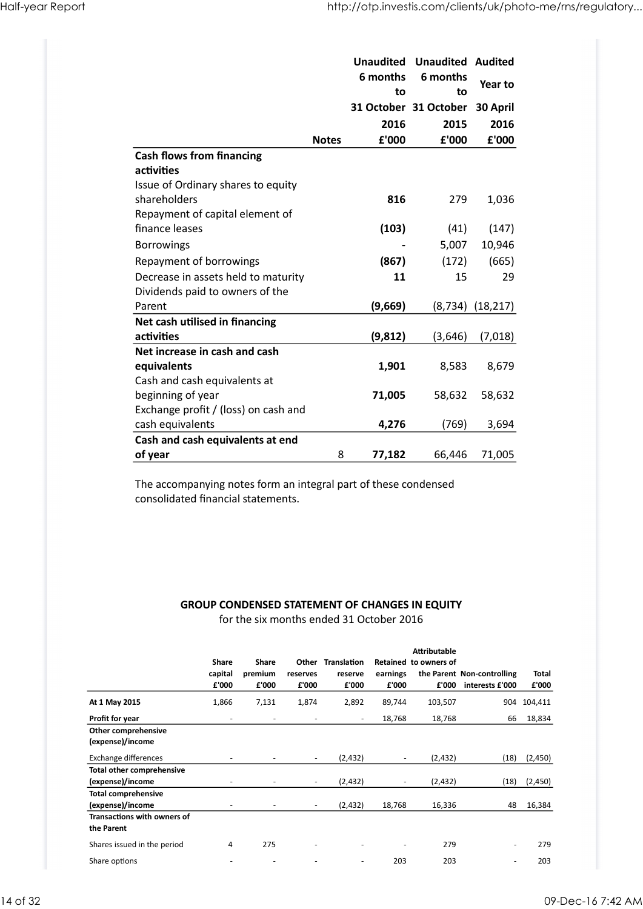| Half-year Report                                                       |              | http://otp.investis.com/clients/uk/photo-me/rns/regulatory |                                      |                      |
|------------------------------------------------------------------------|--------------|------------------------------------------------------------|--------------------------------------|----------------------|
|                                                                        |              |                                                            |                                      |                      |
|                                                                        |              |                                                            |                                      |                      |
|                                                                        |              |                                                            |                                      |                      |
|                                                                        |              |                                                            |                                      |                      |
|                                                                        |              |                                                            |                                      |                      |
|                                                                        |              |                                                            |                                      |                      |
|                                                                        |              |                                                            |                                      |                      |
|                                                                        |              |                                                            |                                      |                      |
|                                                                        |              | <b>Unaudited</b>                                           | <b>Unaudited Audited</b>             |                      |
|                                                                        |              | 6 months                                                   | 6 months                             | Year to              |
|                                                                        |              | to                                                         | to<br>31 October 31 October 30 April |                      |
|                                                                        |              | 2016                                                       | 2015                                 | 2016                 |
|                                                                        | <b>Notes</b> | £'000                                                      | £'000                                | £'000                |
| <b>Cash flows from financing</b>                                       |              |                                                            |                                      |                      |
| activities<br>Issue of Ordinary shares to equity                       |              |                                                            |                                      |                      |
| shareholders                                                           |              | 816                                                        | 279                                  | 1,036                |
| Repayment of capital element of                                        |              |                                                            |                                      |                      |
| finance leases                                                         |              | (103)                                                      | (41)                                 | (147)                |
| Borrowings                                                             |              | $\qquad \qquad \blacksquare$                               | 5,007                                | 10,946               |
| Repayment of borrowings                                                |              | (867)                                                      | (172)                                | (665)                |
| Decrease in assets held to maturity<br>Dividends paid to owners of the |              | 11                                                         | 15                                   | 29                   |
| Parent                                                                 |              | (9,669)                                                    |                                      | $(8,734)$ $(18,217)$ |
| Net cash utilised in financing                                         |              |                                                            |                                      |                      |
| activities                                                             |              | (9, 812)                                                   | (3,646)                              | (7,018)              |
| Net increase in cash and cash                                          |              |                                                            |                                      |                      |
| equivalents                                                            |              | 1,901                                                      | 8,583                                | 8,679                |
| Cash and cash equivalents at                                           |              |                                                            |                                      |                      |
| beginning of year<br>Exchange profit / (loss) on cash and              |              | 71,005                                                     | 58,632                               | 58,632               |
| cash equivalents                                                       |              | 4,276                                                      | (769)                                | 3,694                |
|                                                                        |              |                                                            |                                      |                      |
| Cash and cash equivalents at end                                       | 8            | 77,182                                                     | 66,446                               | 71,005               |

## GROUP CONDENSED STATEMENT OF CHANGES IN EQUITY

| Cash and cash equivalents at end                                                                      |                           |                           |                          |                                                                                                   |                          |                                              |                                                     |                       |
|-------------------------------------------------------------------------------------------------------|---------------------------|---------------------------|--------------------------|---------------------------------------------------------------------------------------------------|--------------------------|----------------------------------------------|-----------------------------------------------------|-----------------------|
|                                                                                                       |                           |                           |                          |                                                                                                   |                          |                                              |                                                     |                       |
| of year                                                                                               |                           |                           |                          | 8                                                                                                 | 77,182                   | 66,446                                       | 71,005                                              |                       |
| The accompanying notes form an integral part of these condensed<br>consolidated financial statements. |                           |                           |                          |                                                                                                   |                          |                                              |                                                     |                       |
|                                                                                                       |                           |                           |                          | <b>GROUP CONDENSED STATEMENT OF CHANGES IN EQUITY</b><br>for the six months ended 31 October 2016 |                          |                                              |                                                     |                       |
|                                                                                                       | Share<br>capital<br>£'000 | Share<br>premium<br>£'000 | reserves<br>£'000        | Other Translation<br>reserve<br>£'000                                                             | earnings<br>£'000        | <b>Attributable</b><br>Retained to owners of | the Parent Non-controlling<br>£'000 interests £'000 | <b>Total</b><br>£'000 |
| At 1 May 2015                                                                                         | 1,866                     | 7,131                     | 1,874                    | 2,892                                                                                             | 89,744                   | 103,507                                      |                                                     | 904 104,411           |
| Profit for year                                                                                       | $\overline{\phantom{a}}$  | $\overline{\phantom{a}}$  | $\overline{\phantom{a}}$ | $\sim$                                                                                            | 18,768                   | 18,768                                       |                                                     | 66 18,834             |
| Other comprehensive<br>(expense)/income                                                               |                           |                           |                          |                                                                                                   |                          |                                              |                                                     |                       |
| Exchange differences                                                                                  | $\overline{\phantom{a}}$  | $\sim$                    | $\sim$                   | (2, 432)                                                                                          | $\sim$                   | (2, 432)                                     |                                                     | $(18)$ $(2,450)$      |
| <b>Total other comprehensive</b>                                                                      |                           |                           |                          |                                                                                                   |                          |                                              |                                                     |                       |
| (expense)/income<br><b>Total comprehensive</b>                                                        |                           |                           | $\blacksquare$           | (2, 432)                                                                                          | $\overline{\phantom{a}}$ | (2, 432)                                     |                                                     | $(18)$ $(2,450)$      |
| (expense)/income                                                                                      |                           |                           | $\overline{\phantom{a}}$ | (2, 432)                                                                                          | 18,768                   | 16,336                                       |                                                     | 48 16,384             |
| Transactions with owners of<br>the Parent                                                             |                           |                           |                          |                                                                                                   |                          |                                              |                                                     |                       |
| Shares issued in the period                                                                           | 4                         | 275                       |                          |                                                                                                   |                          | 279                                          | $\sim$                                              | 279                   |
|                                                                                                       |                           |                           |                          |                                                                                                   | 203                      | 203                                          | $\sim$                                              | 203                   |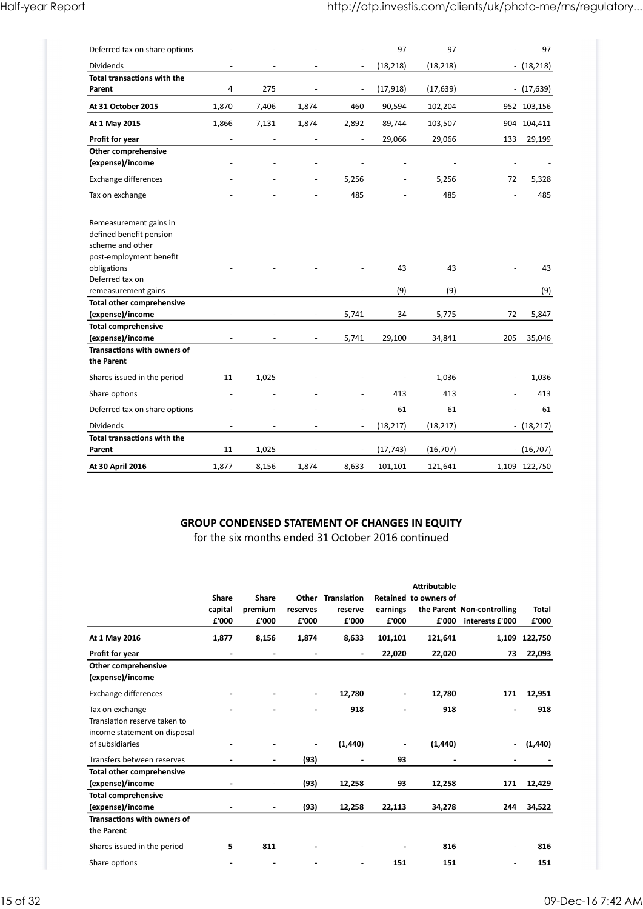| Half-year Report                                  |                          |                          |                          |        |                          |                          |                                 | http://otp.investis.com/clients/uk/photo-me/rns/regulatory |
|---------------------------------------------------|--------------------------|--------------------------|--------------------------|--------|--------------------------|--------------------------|---------------------------------|------------------------------------------------------------|
|                                                   |                          |                          |                          |        |                          |                          |                                 |                                                            |
| Deferred tax on share options                     |                          |                          |                          |        | 97                       | 97                       | $\overline{\phantom{a}}$        | 97                                                         |
| Dividends                                         | $\overline{\phantom{a}}$ | $\overline{\phantom{a}}$ | $\overline{\phantom{a}}$ | $\sim$ | (18, 218)                | (18, 218)                | $- (18,218)$                    |                                                            |
| Total transactions with the<br>Parent             | 4                        | 275                      | $\sim$                   | $\sim$ | (17, 918)                | (17, 639)                | $- (17,639)$                    |                                                            |
| At 31 October 2015                                | 1,870                    | 7,406                    | 1,874                    | 460    | 90,594                   | 102,204                  | 952 103,156                     |                                                            |
| At 1 May 2015                                     | 1,866                    | 7,131                    | 1,874                    | 2,892  | 89,744                   | 103,507                  | 904 104,411                     |                                                            |
| Profit for year                                   | $\overline{\phantom{a}}$ | $\overline{\phantom{a}}$ | $\sim$                   | $\sim$ | 29,066                   | 29,066                   | 133 29,199                      |                                                            |
| Other comprehensive<br>(expense)/income           |                          |                          |                          |        |                          | $\overline{\phantom{a}}$ | $\overline{\phantom{a}}$        | $\sim$                                                     |
| Exchange differences                              |                          |                          | $\blacksquare$           | 5,256  | $\overline{\phantom{a}}$ | 5,256                    | 72<br>5,328                     |                                                            |
| Tax on exchange                                   |                          |                          |                          | 485    |                          | 485                      | 485<br>$\overline{\phantom{a}}$ |                                                            |
|                                                   |                          |                          |                          |        |                          |                          |                                 |                                                            |
| Remeasurement gains in<br>defined benefit pension |                          |                          |                          |        |                          |                          |                                 |                                                            |
| scheme and other                                  |                          |                          |                          |        |                          |                          |                                 |                                                            |
| post-employment benefit<br>obligations            | $\overline{\phantom{a}}$ | $\sim$                   |                          | $\sim$ | 43                       | 43                       | $\overline{\phantom{a}}$        | 43                                                         |
| Deferred tax on                                   |                          |                          |                          |        |                          |                          |                                 |                                                            |
| remeasurement gains                               |                          |                          | $\overline{a}$           |        | (9)                      | (9)                      | $\overline{\phantom{a}}$        | (9)                                                        |
| Total other comprehensive<br>(expense)/income     | $\overline{\phantom{a}}$ | $\overline{\phantom{a}}$ | $\sim$                   | 5,741  | 34                       | 5,775                    | 5,847<br>72                     |                                                            |
| <b>Total comprehensive</b>                        |                          |                          |                          |        |                          |                          |                                 |                                                            |
| (expense)/income<br>Transactions with owners of   |                          | $\overline{\phantom{a}}$ | $\sim$                   | 5,741  | 29,100                   | 34,841                   | 205 35,046                      |                                                            |
| the Parent                                        |                          |                          |                          |        |                          |                          |                                 |                                                            |
| Shares issued in the period                       | 11                       | 1,025                    |                          |        |                          | 1,036                    | $-1,036$                        |                                                            |
| Share options                                     |                          |                          |                          |        | 413                      | 413                      | 413<br>$\overline{\phantom{a}}$ |                                                            |
| Deferred tax on share options                     |                          |                          |                          |        | 61                       | 61                       | $\overline{\phantom{a}}$        | 61                                                         |
| Dividends<br>Total transactions with the          | $\sim$                   | $\overline{\phantom{a}}$ | $\overline{\phantom{a}}$ | $\sim$ | (18, 217)                | (18, 217)                | $- (18,217)$                    |                                                            |
| Parent                                            | 11                       | 1,025                    | $\sim$                   | $\sim$ | (17, 743)                | (16, 707)                | $- (16,707)$                    |                                                            |
|                                                   | 1,877                    | 8,156                    | 1,874                    | 8,633  | 101,101                  | 121,641                  | 1,109 122,750                   |                                                            |

#### GROUP CONDENSED STATEMENT OF CHANGES IN EQUITY

| Shares issued in the period                   |                           | 1,025                     |                          |                                                                                                             |                   | 1,036                                 |                                                     | 1,036<br>$\sim 100$ |
|-----------------------------------------------|---------------------------|---------------------------|--------------------------|-------------------------------------------------------------------------------------------------------------|-------------------|---------------------------------------|-----------------------------------------------------|---------------------|
|                                               | 11                        |                           |                          |                                                                                                             |                   |                                       |                                                     |                     |
| Share options                                 |                           |                           |                          |                                                                                                             | 413               | 413                                   | $\overline{\phantom{a}}$                            | 413                 |
| Deferred tax on share options                 |                           |                           |                          |                                                                                                             | 61                | 61                                    | $\blacksquare$                                      | 61                  |
| Dividends                                     | $\overline{\phantom{a}}$  | $\overline{\phantom{a}}$  | $\overline{\phantom{a}}$ | $\sim$                                                                                                      | (18, 217)         | (18, 217)                             |                                                     | $- (18,217)$        |
| Total transactions with the<br>Parent         | 11                        | 1,025                     | $\overline{\phantom{a}}$ | $\sim$                                                                                                      | (17, 743)         | (16, 707)                             |                                                     | $- (16,707)$        |
|                                               |                           |                           |                          |                                                                                                             |                   |                                       |                                                     |                     |
| At 30 April 2016                              | 1,877                     | 8,156                     | 1,874                    | 8,633                                                                                                       | 101,101           | 121,641                               |                                                     | 1,109 122,750       |
|                                               |                           |                           |                          | <b>GROUP CONDENSED STATEMENT OF CHANGES IN EQUITY</b><br>for the six months ended 31 October 2016 continued |                   |                                       |                                                     |                     |
|                                               | Share<br>capital<br>£'000 | Share<br>premium<br>£'000 | reserves<br>£'000        | Other Translation<br>reserve<br>£'000                                                                       | earnings<br>£'000 | Attributable<br>Retained to owners of | the Parent Non-controlling<br>£'000 interests £'000 | Total<br>£'000      |
| At 1 May 2016                                 | 1,877                     | 8,156                     | 1,874                    | 8,633                                                                                                       | 101,101           | 121,641                               |                                                     | 1,109 122,750       |
| Profit for year                               | $\sim$                    | $\overline{\phantom{a}}$  | $\sim$                   | $\sim$                                                                                                      | 22,020            | 22,020                                |                                                     | 73 22,093           |
| Other comprehensive<br>(expense)/income       |                           |                           |                          |                                                                                                             |                   |                                       |                                                     |                     |
| Exchange differences                          |                           |                           |                          | 12,780                                                                                                      | $\blacksquare$    | 12,780                                |                                                     | 171 12,951          |
| Tax on exchange                               |                           |                           |                          | 918                                                                                                         |                   | 918                                   | $\blacksquare$                                      | 918                 |
| Translation reserve taken to                  |                           |                           |                          |                                                                                                             |                   |                                       |                                                     |                     |
| income statement on disposal                  |                           |                           |                          |                                                                                                             |                   |                                       |                                                     |                     |
| of subsidiaries                               |                           | $\blacksquare$            |                          | (1, 440)                                                                                                    | $\sim$            | (1, 440)                              |                                                     | $-$ (1,440)         |
| Transfers between reserves                    |                           | $\blacksquare$            | (93)                     | $\sim$                                                                                                      | 93                | $\blacksquare$                        | $\blacksquare$                                      |                     |
| Total other comprehensive<br>(expense)/income |                           | $\overline{\phantom{a}}$  | (93)                     | 12,258                                                                                                      | 93                | 12,258                                |                                                     | 171 12,429          |
| <b>Total comprehensive</b>                    |                           |                           |                          |                                                                                                             |                   |                                       |                                                     |                     |
| (expense)/income                              |                           | $\overline{\phantom{a}}$  | (93)                     | 12,258                                                                                                      | 22,113            | 34,278                                |                                                     | 244 34,522          |
| Transactions with owners of<br>the Parent     |                           |                           |                          |                                                                                                             |                   |                                       |                                                     |                     |
|                                               | 5                         | 811                       | $\blacksquare$           | $\sim$                                                                                                      |                   | 816                                   | $\overline{\phantom{a}}$                            | 816                 |
| Shares issued in the period                   |                           |                           |                          |                                                                                                             | 151               | 151                                   | $\sim$                                              | 151                 |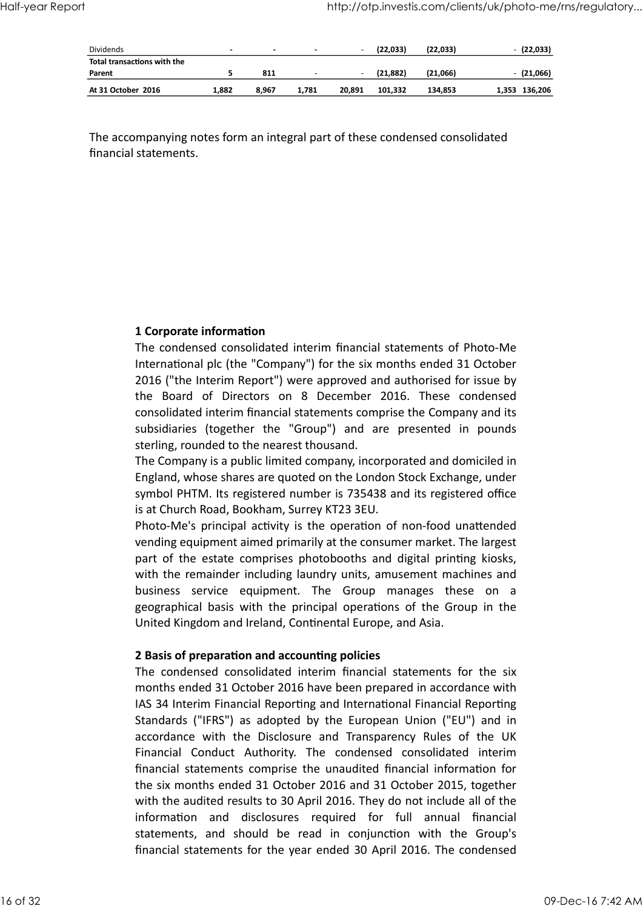|                    | $\sim$                      |       | $\sim$                   | $\overline{\phantom{a}}$ |           |           |               |              |                                                            |
|--------------------|-----------------------------|-------|--------------------------|--------------------------|-----------|-----------|---------------|--------------|------------------------------------------------------------|
|                    | 5                           | 811   | $\overline{\phantom{a}}$ |                          | (21, 882) | (21,066)  | $-$ (21,066)  |              |                                                            |
| At 31 October 2016 | 1,882                       | 8,967 | 1,781                    | 20,891                   | 101,332   | 134,853   | 1,353 136,206 |              |                                                            |
|                    | Total transactions with the |       |                          |                          |           | (22, 033) | (22, 033)     | $-$ (22,033) | http://otp.investis.com/clients/uk/photo-me/rns/regulatory |

#### 1 Corporate information

The condensed consolidated interim financial statements of Photo-Me International plc (the "Company") for the six months ended 31 October 2016 ("the Interim Report") were approved and authorised for issue by mpanying notes form an integral part of these condensed consolidated<br>statements.<br>The condensed consolidated interim financial statements of Photo-Me<br>international plc (the "Company") for the six months ended 31 October<br>201 consolidated interim financial statements comprise the Company and its **1 Corporate information**<br>The condensed consolidated interim financial statements of Photo-Me<br>International plc (the "Company") for the six months ended 31 October<br>2016 ("the Interim Report") were approved and authorised f sterling, rounded to the nearest thousand. **1 Corporate information**<br>The condensed consolidated interim financial statements of Photo-Me<br>International plc (the "Company") for the six months ended 31 October<br>1016 ("the Interim Report") were approved and authorised f The condensed consolidated interim financial statements of Photo-Me<br>International plc (the "Company") for the six months ended 31 October<br>2016 ("the Interim Report") were approved and authorised for issue by<br>the Board of D

The Company is a public limited company, incorporated and domiciled in England, whose shares are quoted on the London Stock Exchange, under symbol PHTM. Its registered number is 735438 and its registered office is at Church Road, Bookham, Surrey KT23 3EU.

Photo-Me's principal activity is the operation of non-food unattended vending equipment aimed primarily at the consumer market. The largest part of the estate comprises photobooths and digital printing kiosks, with the remainder including laundry units, amusement machines and United Kingdom and Ireland, Continental Europe, and Asia. ensuldated interim financial statements comprise the Company and its subsidiaries (together the "Group") and are presented in pounds stelsidiaries (together the "Group") and are presented in pounds the Company is a public

#### 2 Basis of preparation and accounting policies

months ended 31 October 2016 have been prepared in accordance with IAS 34 Interim Financial Reporting and International Financial Reporting The Company is a public limited company, incorporated and domiciled in England, whose shares are quoted on the London Stock Exchange, under systemed I more in the ST 35438 and its registered office is at Church Road, Bookh Fingland, whose shares are quoted on the London Stock Exchange, under<br>England, whose shares are quoted on the London Stock Exchange, under<br>sis at Church Road, Bookham, Surrey KT23 3EU.<br>Photo-Me's principal activity is the Eymbol PHTM. Its registered number is 735438 and its registered office<br>is at Church Road, Bookham, Surrey KT23 3EU.<br>Photo-Me's principal activity is the operation of non-food unattended<br>Photo-Me's principal activity is the financial statements comprise the unaudited financial information for the six months ended 31 October 2016 and 31 October 2015, together with the audited results to 30 April 2016. They do not include all of the Fraction of the estate comprises photobooths and digital printing kiosks,<br>part of the estate comprises photobooths and digital printing kiosks,<br>with the remainder including laundry units, amusement machines and<br>business se statements, and should be read in complements, and should be read in condense the condense of the Group's the Group's the Group's the Group's the Group's the Group's the Group's the Group's in the United Kingdom and Irelan financial statements for the year ended 30 April 2016. The condensed United Kingdom and Ireland, Continental Europe, and Asia.<br> **2 Basis of preparation and accounting policies**<br>
The condensed consolidated interim financial statements for the six<br>
months ended 31 October 2016 have been prep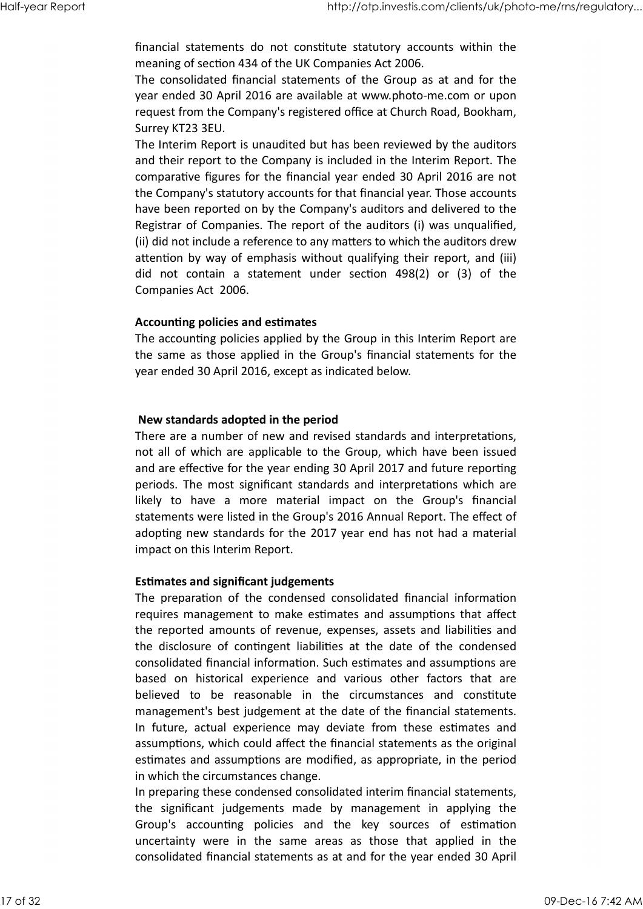meaning of section 434 of the UK Companies Act 2006. Half-year Report<br>
financial statements do not constitute statutory accounts within the<br>
meaning of section 434 of the UK Companies Act 2006.

http://otp.investis.com/clients/uk/photo-me/rns/regulatory...<br>financial statements do not constitute statutory accounts within the<br>meaning of section 434 of the UK Companies Act 2006.<br>The consolidated financial statements The consolidated financial statements of the Group as at and for the year ended 30 April 2016 are available at www.photo-me.com or upon request from the Company's registered office at Church Road, Bookham, Surrey KT23 3EU.

The Interim Report is unaudited but has been reviewed by the auditors and their report to the Company is included in the Interim Report. The comparative figures for the financial year ended 30 April 2016 are not the Company's statutory accounts for that financial year. Those accounts have been reported on by the Company's auditors and delivered to the Registrar of Companies. The report of the auditors (i) was unqualified, (ii) did not include a reference to any matters to which the auditors drew attention by way of emphasis without qualifying their report, and (iii) http://otp.investis.com/clients/ok/photo-me//ns/regulatory...<br>
financial statements do not constitute statutory accounts within the<br>
meaning of section 434 of the UK Companies Act 2006.<br>
The consolidated financial statemen Companies Act 2006.

#### Accounting policies and estimates

The accounting policies applied by the Group in this Interim Report are the same as those applied in the Group's financial statements for the year ended 30 April 2016, except as indicated below.

#### New standards adopted in the period

There are a number of new and revised standards and interpretations, not all of which are applicable to the Group, which have been issued and are effective for the year ending 30 April 2017 and future reporting periods. The most significant standards and interpretations which are III) did not include a reference to any matters to which the auditors drew<br>
attention by way of emphasis without qualifying their report, and (iii)<br>
did not include a reference to any matters to which the auditors drew<br>
a statements were listed in the Group's 2016 Annual Report. The effect of adopting new standards for the 2017 year end has not had a material impact on this Interim Report. The accounting policies applied by the Group in this Interim Report are<br>the accounting policies applied by the Group's financial statements for the<br>year ended 30 April 2016, except as indicated below.<br>There are a number of

#### **Estimates and significant judgements**

requires management to make estimates and assumptions that affect the reported amounts of revenue, expenses, assets and liabilities and The disclosure of the period of the period and interpretations,<br>There are a number of new and revised standards and interpretations,<br>not all of which are applicable to the Group, which have been issued<br>and are effective fo consolidated financial information. Such estimates and assumptions are **New standards adopted in the period**<br>There are a number of new and revised standards and interpretations,<br>ond all of which are applicable to the Group, which have been issued<br>and are effective for the year ending 30 April There are a number of new and revised standards and interpretations,<br>
There are a number of new and revised standards and interpretations,<br>
and are effective for the year ending 30 April 2017 and fluter reporting<br>
periods. management's best judgement at the date of the financial statements. and are effective for the year ending 30 April 2017 and future reporting<br>periods. The most significant standards and interpretations which are<br>likely to have a more material impact on the Group's principal<br>statements were assumptions, which could affect the financial statements as the original estimates and assumptions are modified, as appropriate, in the period in which the circumstances change. Experimentation this interim Report.<br>
Estimates and significant judgements<br>
The preparation of the condensed consolidated financial information<br>
requires management to make estimates and assumptions that affect<br>
the disclo Estimates and significant judgements<br>The preparation of the condensed consolidated financial information<br>requires management to make estimates and assumptions that affect<br>the reported amounts of revenue, expenses, assets a **Estimates and significant judgements**<br>The preparation of the condensed consolidated financial information<br>requires management to make estimates and assumptions that affect<br>the reported amounts of revenue, expenses, assets the reported amounts of revenue, expenses, assets and liabilities and<br>the reported amounts of revenue, expenses, assets and liabilities and<br>consolidated finncial information. Such estimates and assumptions are<br>based on his

In preparing these condensed consolidated interim financial statements, consolidated financial statements as at and for the year ended 30 April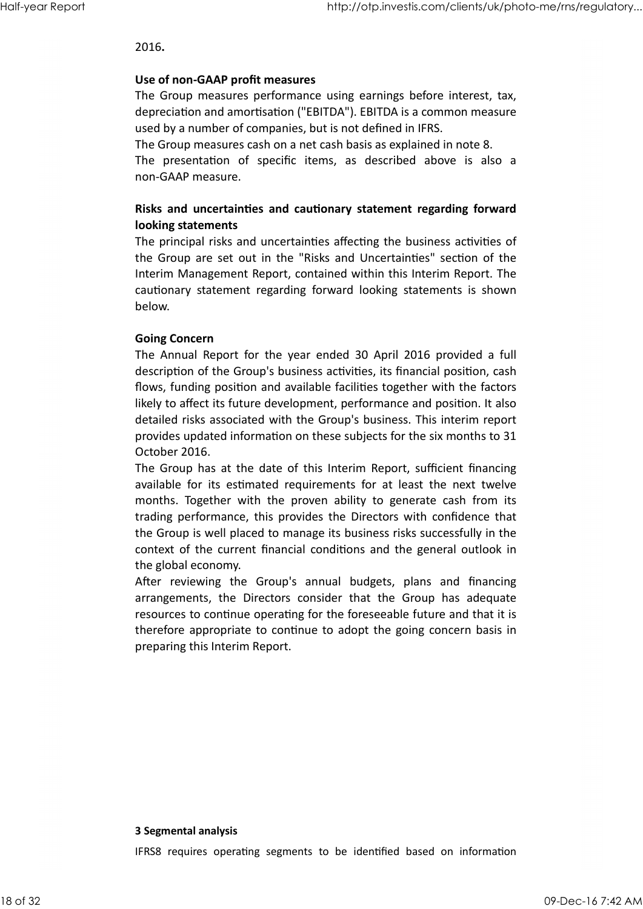http://otp.investis.com/clients/uk/p<br>2016.<br>Use of non-GAAP profit measures<br>The Group measures performance using earnings before interest, tax<br>depreciation and amortisation ("EBITDA"). EBITDA is a common measure<br>used by a n The Group measures performance using earnings before interest, tax, depreciation and amortisation ("EBITDA"). EBITDA is a common measure used by a number of companies, but is not defined in IFRS. http://otp.investis.com/clients/uk/photo-me/ms/regulatory...<br>
2016.<br>
Use of non-GAAP profit measures<br>
The Group measures performance using earnings before interest, tax,<br>
used by a number of companies, but is not defined i

The Group measures cash on a net cash basis as explained in note 8.

non-GAAP measure.

#### Risks and uncertainties and cautionary statement regarding forward looking statements

The principal risks and uncertainties affecting the business activities of the Group are set out in the "Risks and Uncertainties" section of the Interim Management Report, contained within this Interim Report. The 2016.<br>
Use of non-GAAP profit measures<br>
The Group measures performance using earnings before interest, tax,<br>
depreciation and amortisation ("EBITDA"). EBITDA is a common measure<br>
used by a number of companies, but is not d below.

#### Going Concern

The Annual Report for the year ended 30 April 2016 provided a full description of the Group's business activities, its financial position, cash flows, funding position and available facilities together with the factors likely to affect its future development, performance and position. It also detailed risks associated with the Group's business. This interim report provides updated information on these subjects for the six months to 31 October 2016. **IDENT INTERT CONTERT CONTERT CONTERT CONTERT CONTERT CONTERT CONTERT TO THE THE GROUP are set out in the "Risks and Uncertainties" section of the Intertiment Management Report, contained within this Intertim Report. The c** The principal risks and uncertainties affecting the business activities of<br>the principal risks and uncertainties" section of the<br>interim Management Report, contained within this literim Report. The<br>interim Management Repor **Constraint Community**<br> **Gromerical Report** for the year ended 30 April 2016 provided a full<br>
description of the Group's business activities, its financial position, cash<br>
flows, funding position and available facilities t **Going Concern**<br>The Annual Report for the year ended 30 April 2016 provided a full<br>description of the Group's business activities, its financial position, cash<br>flows, funding position and available facilities together with

The Group has at the date of this Interim Report, sufficient financing trading performance, this provides the Directors with confidence that the Group is well placed to manage its business risks successfully in the context of the current financial conditions and the general outlook in the global economy.

resources to continue operating for the foreseeable future and that it is therefore appropriate to continue to adopt the going concern basis in preparing this Interim Report. After reviewing the Groups annual buggets, plans and manaring<br>arrangements, the Directors consider that the Group has adequate<br>resources to continue operating for the foreseeable future and that it is<br>therefore appropriate therefore appropriate to continue to adopt the going concern basis in<br>preparing this Interim Report.<br>**3 Segmental analysis**<br>IFRS8 requires operating segments to be identified based on information<br>18 of 32<br>09-Dec-16 7:42 AM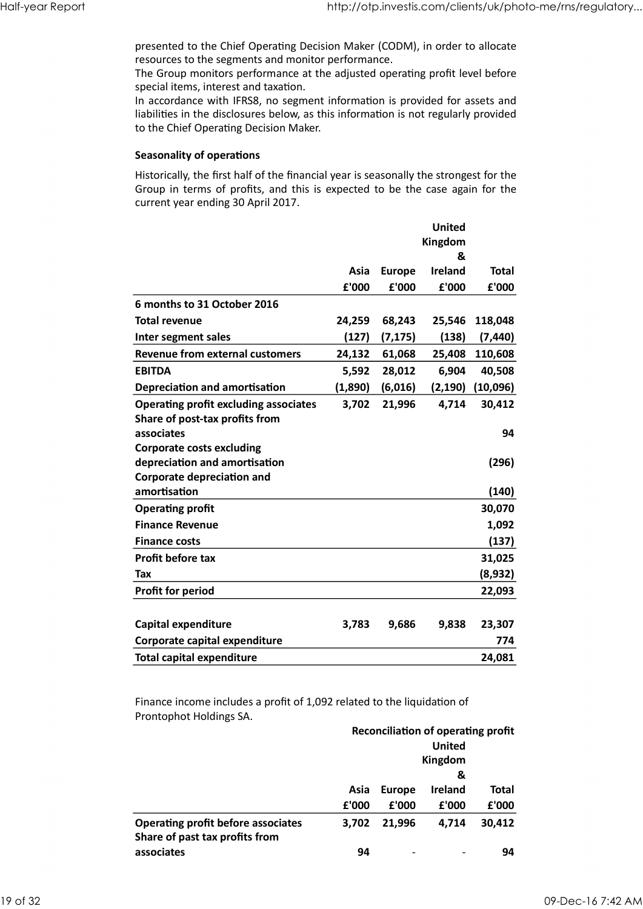presented to the Chief Operating Decision Maker (CODM), in order to allocate resources to the segments and monitor performance. Half-year Report<br>presented to the Chief Operating Decision Maker (CODM), in order to allocate<br>resources to the segments and monitor performance.<br>The Group monitors performance at the adjusted operating profit level before

#### Seasonality of operations

|                                                                                                                                                                                                                                                                                                                                            |               |                        |                               | http://otp.investis.com/clients/uk/photo-me/rns/regulatory |
|--------------------------------------------------------------------------------------------------------------------------------------------------------------------------------------------------------------------------------------------------------------------------------------------------------------------------------------------|---------------|------------------------|-------------------------------|------------------------------------------------------------|
| presented to the Chief Operating Decision Maker (CODM), in order to allocate<br>resources to the segments and monitor performance.<br>The Group monitors performance at the adjusted operating profit level before<br>special items, interest and taxation.<br>In accordance with IFRS8, no segment information is provided for assets and |               |                        |                               |                                                            |
| liabilities in the disclosures below, as this information is not regularly provided<br>to the Chief Operating Decision Maker.                                                                                                                                                                                                              |               |                        |                               |                                                            |
| <b>Seasonality of operations</b>                                                                                                                                                                                                                                                                                                           |               |                        |                               |                                                            |
| Historically, the first half of the financial year is seasonally the strongest for the<br>Group in terms of profits, and this is expected to be the case again for the<br>current year ending 30 April 2017.                                                                                                                               |               |                        |                               |                                                            |
|                                                                                                                                                                                                                                                                                                                                            |               |                        | <b>United</b><br>Kingdom<br>& |                                                            |
|                                                                                                                                                                                                                                                                                                                                            | Asia<br>£'000 | <b>Europe</b><br>£'000 | Ireland<br>£'000              | <b>Total</b><br>£'000                                      |
| 6 months to 31 October 2016                                                                                                                                                                                                                                                                                                                |               |                        |                               |                                                            |
| <b>Total revenue</b>                                                                                                                                                                                                                                                                                                                       | 24,259        | 68,243                 |                               | 25,546 118,048                                             |
| Inter segment sales                                                                                                                                                                                                                                                                                                                        | (127)         | (7, 175)               | (138)                         | (7, 440)                                                   |
| <b>Revenue from external customers</b>                                                                                                                                                                                                                                                                                                     | 24,132        | 61,068                 | 25,408                        | 110,608                                                    |
| <b>EBITDA</b>                                                                                                                                                                                                                                                                                                                              | 5,592         | 28,012                 | 6,904                         | 40,508                                                     |
| <b>Depreciation and amortisation</b>                                                                                                                                                                                                                                                                                                       | (1,890)       | (6,016)                | (2, 190)                      | (10,096)                                                   |
| <b>Operating profit excluding associates</b>                                                                                                                                                                                                                                                                                               | 3,702         | 21,996                 | 4,714                         | 30,412                                                     |
| Share of post-tax profits from<br>associates                                                                                                                                                                                                                                                                                               |               |                        |                               | 94                                                         |
| <b>Corporate costs excluding</b>                                                                                                                                                                                                                                                                                                           |               |                        |                               |                                                            |
| depreciation and amortisation                                                                                                                                                                                                                                                                                                              |               |                        |                               | (296)                                                      |
| <b>Corporate depreciation and</b>                                                                                                                                                                                                                                                                                                          |               |                        |                               |                                                            |
| amortisation                                                                                                                                                                                                                                                                                                                               |               |                        |                               | (140)                                                      |
| <b>Operating profit</b>                                                                                                                                                                                                                                                                                                                    |               |                        |                               | 30,070                                                     |
| <b>Finance Revenue</b>                                                                                                                                                                                                                                                                                                                     |               |                        |                               | 1,092                                                      |
| <b>Finance costs</b>                                                                                                                                                                                                                                                                                                                       |               |                        |                               | (137)                                                      |
| Profit before tax                                                                                                                                                                                                                                                                                                                          |               |                        |                               | 31,025                                                     |
| Tax                                                                                                                                                                                                                                                                                                                                        |               |                        |                               | (8,932)                                                    |
| <b>Profit for period</b>                                                                                                                                                                                                                                                                                                                   |               |                        |                               | 22,093                                                     |
| <b>Capital expenditure</b>                                                                                                                                                                                                                                                                                                                 | 3,783         | 9,686                  | 9,838                         | 23,307                                                     |
| Corporate capital expenditure                                                                                                                                                                                                                                                                                                              |               |                        |                               | 774                                                        |
| <b>Total capital expenditure</b>                                                                                                                                                                                                                                                                                                           |               |                        |                               | 24,081                                                     |
|                                                                                                                                                                                                                                                                                                                                            |               |                        |                               |                                                            |
| Finance income includes a profit of 1,092 related to the liquidation of                                                                                                                                                                                                                                                                    |               |                        |                               |                                                            |
| Prontophot Holdings SA.                                                                                                                                                                                                                                                                                                                    |               |                        |                               |                                                            |
|                                                                                                                                                                                                                                                                                                                                            |               |                        |                               | Reconciliation of operating profit                         |
|                                                                                                                                                                                                                                                                                                                                            |               |                        | <b>United</b>                 |                                                            |
|                                                                                                                                                                                                                                                                                                                                            |               |                        | Kingdom                       |                                                            |
|                                                                                                                                                                                                                                                                                                                                            | Asia          | <b>Europe</b>          | &<br>Ireland                  | <b>Total</b>                                               |
|                                                                                                                                                                                                                                                                                                                                            | £'000         | £'000                  | £'000                         | £'000                                                      |
| <b>Operating profit before associates</b>                                                                                                                                                                                                                                                                                                  | 3,702         | 21,996                 | 4,714                         | 30,412                                                     |
| Share of past tax profits from                                                                                                                                                                                                                                                                                                             |               |                        |                               |                                                            |
| associates                                                                                                                                                                                                                                                                                                                                 | 94            |                        |                               | 94                                                         |
|                                                                                                                                                                                                                                                                                                                                            |               |                        |                               |                                                            |

| (8,932)<br>Tax<br><b>Profit for period</b><br>22,093<br>Capital expenditure<br>3,783<br>9,686<br>23,307<br>9,838<br>Corporate capital expenditure<br>774<br><b>Total capital expenditure</b><br>24,081<br>Finance income includes a profit of 1,092 related to the liquidation of<br>Prontophot Holdings SA.<br><b>Reconciliation of operating profit</b><br><b>United</b><br>Kingdom<br>&<br>Ireland<br>Asia Europe<br><b>Total</b><br>£'000<br>£'000<br>£'000<br>£'000<br><b>Operating profit before associates</b><br>21,996<br>4,714<br>30,412<br>3,702<br>Share of past tax profits from<br>94<br>94<br>associates<br>19 of 32 | Profit before tax |  | 31,025 |                   |
|-------------------------------------------------------------------------------------------------------------------------------------------------------------------------------------------------------------------------------------------------------------------------------------------------------------------------------------------------------------------------------------------------------------------------------------------------------------------------------------------------------------------------------------------------------------------------------------------------------------------------------------|-------------------|--|--------|-------------------|
|                                                                                                                                                                                                                                                                                                                                                                                                                                                                                                                                                                                                                                     |                   |  |        |                   |
|                                                                                                                                                                                                                                                                                                                                                                                                                                                                                                                                                                                                                                     |                   |  |        |                   |
|                                                                                                                                                                                                                                                                                                                                                                                                                                                                                                                                                                                                                                     |                   |  |        |                   |
|                                                                                                                                                                                                                                                                                                                                                                                                                                                                                                                                                                                                                                     |                   |  |        |                   |
|                                                                                                                                                                                                                                                                                                                                                                                                                                                                                                                                                                                                                                     |                   |  |        |                   |
|                                                                                                                                                                                                                                                                                                                                                                                                                                                                                                                                                                                                                                     |                   |  |        |                   |
|                                                                                                                                                                                                                                                                                                                                                                                                                                                                                                                                                                                                                                     |                   |  |        |                   |
|                                                                                                                                                                                                                                                                                                                                                                                                                                                                                                                                                                                                                                     |                   |  |        |                   |
|                                                                                                                                                                                                                                                                                                                                                                                                                                                                                                                                                                                                                                     |                   |  |        |                   |
|                                                                                                                                                                                                                                                                                                                                                                                                                                                                                                                                                                                                                                     |                   |  |        |                   |
|                                                                                                                                                                                                                                                                                                                                                                                                                                                                                                                                                                                                                                     |                   |  |        |                   |
|                                                                                                                                                                                                                                                                                                                                                                                                                                                                                                                                                                                                                                     |                   |  |        |                   |
|                                                                                                                                                                                                                                                                                                                                                                                                                                                                                                                                                                                                                                     |                   |  |        |                   |
|                                                                                                                                                                                                                                                                                                                                                                                                                                                                                                                                                                                                                                     |                   |  |        |                   |
|                                                                                                                                                                                                                                                                                                                                                                                                                                                                                                                                                                                                                                     |                   |  |        |                   |
|                                                                                                                                                                                                                                                                                                                                                                                                                                                                                                                                                                                                                                     |                   |  |        | 09-Dec-16 7:42 AM |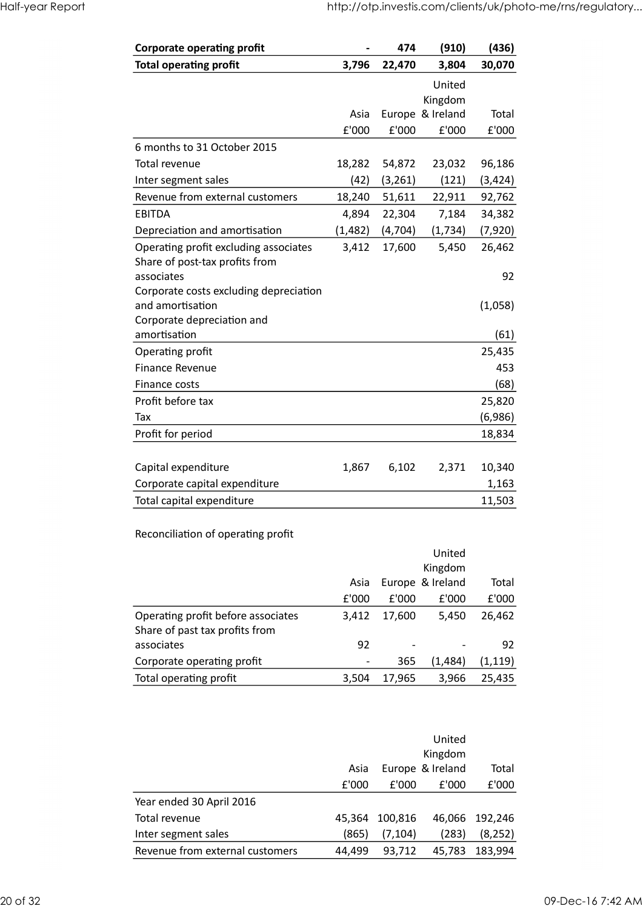| Half-year Report |                                              |          |                 |                                                            |                 |
|------------------|----------------------------------------------|----------|-----------------|------------------------------------------------------------|-----------------|
|                  |                                              |          |                 |                                                            |                 |
|                  |                                              |          |                 | http://otp.investis.com/clients/uk/photo-me/rns/regulatory |                 |
|                  | <b>Corporate operating profit</b>            |          | 474             | (910)                                                      | (436)           |
|                  | <b>Total operating profit</b>                | 3,796    | 22,470          | 3,804                                                      | 30,070          |
|                  |                                              |          |                 | United                                                     |                 |
|                  |                                              | Asia     |                 | Kingdom<br>Europe & Ireland                                | Total           |
|                  |                                              | £'000    | £'000           | £'000                                                      | £'000           |
|                  | 6 months to 31 October 2015                  |          |                 |                                                            |                 |
|                  | Total revenue                                | 18,282   | 54,872          | 23,032                                                     | 96,186          |
|                  | Inter segment sales                          | (42)     | (3,261)         | (121)                                                      | (3, 424)        |
|                  | Revenue from external customers              | 18,240   | 51,611          | 22,911                                                     | 92,762          |
|                  | <b>EBITDA</b>                                | 4,894    | 22,304          | 7,184                                                      | 34,382          |
|                  | Depreciation and amortisation                | (1, 482) | (4,704)         | (1,734)                                                    | (7,920)         |
|                  | Operating profit excluding associates        |          | 3,412 17,600    | 5,450                                                      | 26,462          |
|                  | Share of post-tax profits from<br>associates |          |                 |                                                            | 92              |
|                  | Corporate costs excluding depreciation       |          |                 |                                                            |                 |
|                  | and amortisation                             |          |                 |                                                            | (1,058)         |
|                  | Corporate depreciation and                   |          |                 |                                                            |                 |
|                  | amortisation                                 |          |                 |                                                            | (61)            |
|                  | Operating profit                             |          |                 |                                                            | 25,435          |
|                  | Finance Revenue<br>Finance costs             |          |                 |                                                            | 453<br>(68)     |
|                  | Profit before tax                            |          |                 |                                                            | 25,820          |
|                  | Tax                                          |          |                 |                                                            | (6,986)         |
|                  | Profit for period                            |          |                 |                                                            | 18,834          |
|                  |                                              |          |                 |                                                            |                 |
|                  | Capital expenditure                          | 1,867    | 6,102           | 2,371                                                      | 10,340          |
|                  | Corporate capital expenditure                |          |                 |                                                            | 1,163           |
|                  | Total capital expenditure                    |          |                 |                                                            | 11,503          |
|                  |                                              |          |                 |                                                            |                 |
|                  | Reconciliation of operating profit           |          |                 |                                                            |                 |
|                  |                                              |          |                 | United                                                     |                 |
|                  |                                              |          |                 | Kingdom                                                    |                 |
|                  |                                              | Asia     |                 | Europe & Ireland                                           | Total           |
|                  | Operating profit before associates           | £'000    | £'000<br>17,600 | £'000<br>5,450                                             | £'000<br>26,462 |
|                  | Share of past tax profits from               | 3,412    |                 |                                                            |                 |
|                  | associates                                   | 92       |                 |                                                            | 92              |
|                  | Corporate operating profit                   |          | 365             | (1, 484)                                                   | (1, 119)        |
|                  |                                              |          |                 |                                                            |                 |

| (68)<br>25,820<br>(6,986)<br>18,834<br>10,340<br>1,163<br>11,503<br>Total<br>£'000 |
|------------------------------------------------------------------------------------|
|                                                                                    |
|                                                                                    |
|                                                                                    |
|                                                                                    |
|                                                                                    |
|                                                                                    |
|                                                                                    |
|                                                                                    |
|                                                                                    |
|                                                                                    |
|                                                                                    |
|                                                                                    |
|                                                                                    |
| 26,462                                                                             |
|                                                                                    |
| 92                                                                                 |
| (1, 119)                                                                           |
| 25,435                                                                             |
|                                                                                    |
|                                                                                    |
|                                                                                    |
| Total                                                                              |
| £'000                                                                              |
|                                                                                    |
| 46,066 192,246                                                                     |
| (8, 252)                                                                           |
| 45,783 183,994                                                                     |
|                                                                                    |

|          |                                    |                          |          | Kingdom          |                |
|----------|------------------------------------|--------------------------|----------|------------------|----------------|
|          |                                    | Asia                     |          | Europe & Ireland | Total          |
|          |                                    | £'000                    | £'000    | £'000            | £'000          |
|          | Operating profit before associates | 3,412                    | 17,600   | 5,450            | 26,462         |
|          | Share of past tax profits from     |                          |          |                  |                |
|          | associates                         | 92                       |          |                  | 92             |
|          | Corporate operating profit         | $\overline{\phantom{a}}$ | 365      | (1, 484)         | (1, 119)       |
|          | Total operating profit             | 3,504                    | 17,965   | 3,966            | 25,435         |
|          |                                    |                          |          |                  |                |
|          |                                    |                          |          |                  |                |
|          |                                    |                          |          | United           |                |
|          |                                    |                          |          | Kingdom          |                |
|          |                                    | Asia                     |          | Europe & Ireland | Total          |
|          |                                    | £'000                    | f'000    | £'000            | £'000          |
|          | Year ended 30 April 2016           |                          |          |                  |                |
|          | Total revenue                      | 45,364                   | 100,816  |                  | 46,066 192,246 |
|          | Inter segment sales                | (865)                    | (7, 104) | (283)            | (8, 252)       |
|          | Revenue from external customers    | 44,499                   | 93,712   | 45,783           | 183,994        |
|          |                                    |                          |          |                  |                |
|          |                                    |                          |          |                  |                |
| 20 of 32 |                                    |                          |          |                  |                |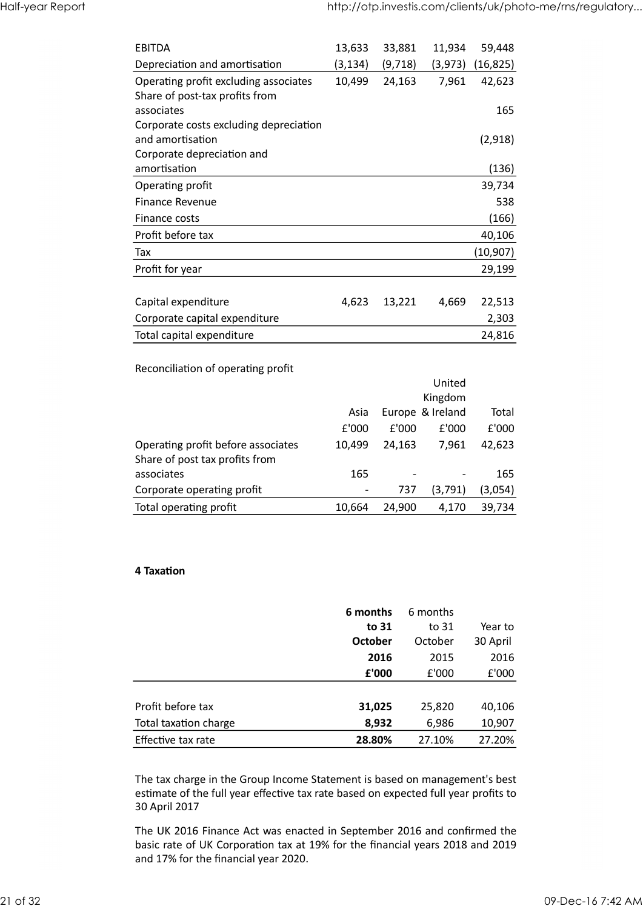| Half-year Report |                                              |                                   |                          |                                  | http://otp.investis.com/clients/uk/photo-me/rns/regulatory |
|------------------|----------------------------------------------|-----------------------------------|--------------------------|----------------------------------|------------------------------------------------------------|
|                  |                                              |                                   |                          |                                  |                                                            |
|                  | <b>EBITDA</b>                                |                                   |                          |                                  |                                                            |
|                  | Depreciation and amortisation                | 13,633<br>(3, 134)                | 33,881<br>(9, 718)       | 11,934                           | 59,448<br>$(3,973)$ $(16,825)$                             |
|                  | Operating profit excluding associates        | 10,499                            | 24,163                   | 7,961                            | 42,623                                                     |
|                  | Share of post-tax profits from               |                                   |                          |                                  |                                                            |
|                  | associates                                   |                                   |                          |                                  | 165                                                        |
|                  | Corporate costs excluding depreciation       |                                   |                          |                                  |                                                            |
|                  | and amortisation                             |                                   |                          |                                  | (2,918)                                                    |
|                  | Corporate depreciation and                   |                                   |                          |                                  |                                                            |
|                  | amortisation                                 |                                   |                          |                                  | (136)                                                      |
|                  | Operating profit<br>Finance Revenue          |                                   |                          |                                  | 39,734<br>538                                              |
|                  | Finance costs                                |                                   |                          |                                  | (166)                                                      |
|                  | Profit before tax                            |                                   |                          |                                  | 40,106                                                     |
|                  | Tax                                          |                                   |                          |                                  | (10, 907)                                                  |
|                  | Profit for year                              |                                   |                          |                                  | 29,199                                                     |
|                  |                                              |                                   |                          |                                  |                                                            |
|                  | Capital expenditure                          | 4,623                             | 13,221                   | 4,669                            | 22,513                                                     |
|                  | Corporate capital expenditure                |                                   |                          |                                  | 2,303                                                      |
|                  | Total capital expenditure                    |                                   |                          |                                  | 24,816                                                     |
|                  |                                              |                                   |                          |                                  |                                                            |
|                  | Reconciliation of operating profit           |                                   |                          |                                  |                                                            |
|                  |                                              |                                   |                          | United                           |                                                            |
|                  |                                              |                                   |                          | Kingdom                          |                                                            |
|                  |                                              | Asia                              |                          | Europe & Ireland                 | Total                                                      |
|                  | Operating profit before associates           | $\pmb{\mathsf{E}}$ '000<br>10,499 | £'000<br>24,163          | $\pmb{\mathsf{E}}$ '000<br>7,961 | $\pmb{\mathsf{E}}$ '000<br>42,623                          |
|                  |                                              |                                   |                          |                                  |                                                            |
|                  |                                              |                                   |                          |                                  |                                                            |
|                  | Share of post tax profits from<br>associates | 165                               | $\overline{\phantom{a}}$ | $\overline{\phantom{a}}$         | 165                                                        |
|                  | Corporate operating profit                   | $\overline{\phantom{a}}$          | 737                      | (3,791)                          | (3,054)                                                    |

| <b>FINANCE COSTS</b>                                                 |                |        |                  | (100)     |
|----------------------------------------------------------------------|----------------|--------|------------------|-----------|
| Profit before tax                                                    |                |        |                  | 40,106    |
| Tax                                                                  |                |        |                  | (10, 907) |
| Profit for year                                                      |                |        |                  | 29,199    |
| Capital expenditure                                                  | 4,623          | 13,221 | 4,669            | 22,513    |
|                                                                      |                |        |                  |           |
| Corporate capital expenditure                                        |                |        |                  | 2,303     |
| Total capital expenditure                                            |                |        |                  | 24,816    |
| Reconciliation of operating profit                                   |                |        |                  |           |
|                                                                      |                |        | United           |           |
|                                                                      |                |        | Kingdom          |           |
|                                                                      | Asia           |        | Europe & Ireland | Total     |
|                                                                      | £'000          | £'000  | £'000            | £'000     |
| Operating profit before associates<br>Share of post tax profits from | 10,499         | 24,163 | 7,961            | 42,623    |
| associates                                                           | 165            |        |                  | 165       |
| Corporate operating profit                                           | $\blacksquare$ | 737    | (3,791)          | (3,054)   |
| Total operating profit                                               | 10,664         | 24,900 | 4,170            | 39,734    |
|                                                                      |                |        |                  |           |
|                                                                      |                |        |                  |           |
| 4 Taxation                                                           |                |        |                  |           |
|                                                                      |                |        |                  |           |

#### 4 TaxaƟon

|                                                                                                                                                                                                  |                |        | ------           |                         |
|--------------------------------------------------------------------------------------------------------------------------------------------------------------------------------------------------|----------------|--------|------------------|-------------------------|
|                                                                                                                                                                                                  |                |        | Kingdom          |                         |
| Asia                                                                                                                                                                                             |                |        | Europe & Ireland | Total                   |
| £'000                                                                                                                                                                                            |                | £'000  | £'000            | £'000                   |
| Operating profit before associates<br>10,499                                                                                                                                                     |                | 24,163 | 7,961            | 42,623                  |
| Share of post tax profits from                                                                                                                                                                   |                |        |                  |                         |
| associates<br>165                                                                                                                                                                                |                |        |                  | 165                     |
| Corporate operating profit                                                                                                                                                                       |                | 737    | (3, 791)         | (3,054)                 |
| Total operating profit<br>10,664                                                                                                                                                                 |                | 24,900 | 4,170            | 39,734                  |
|                                                                                                                                                                                                  |                |        |                  |                         |
| 4 Taxation                                                                                                                                                                                       |                |        |                  |                         |
|                                                                                                                                                                                                  |                |        |                  |                         |
|                                                                                                                                                                                                  | 6 months       |        | 6 months         |                         |
|                                                                                                                                                                                                  | to 31          |        | to 31            | Year to                 |
|                                                                                                                                                                                                  | <b>October</b> |        | October          | 30 April                |
|                                                                                                                                                                                                  | 2016           |        | 2015             | 2016                    |
|                                                                                                                                                                                                  | £'000          |        | £'000            | $\pmb{\mathsf{E}}$ '000 |
| Profit before tax                                                                                                                                                                                | 31,025         |        | 25,820           | 40,106                  |
| Total taxation charge                                                                                                                                                                            | 8,932          |        | 6,986            | 10,907                  |
| Effective tax rate                                                                                                                                                                               | 28.80%         |        | 27.10%           | 27.20%                  |
|                                                                                                                                                                                                  |                |        |                  |                         |
| The tax charge in the Group Income Statement is based on management's best<br>estimate of the full year effective tax rate based on expected full year profits to<br>30 April 2017               |                |        |                  |                         |
| The UK 2016 Finance Act was enacted in September 2016 and confirmed the<br>basic rate of UK Corporation tax at 19% for the financial years 2018 and 2019<br>and 17% for the financial year 2020. |                |        |                  |                         |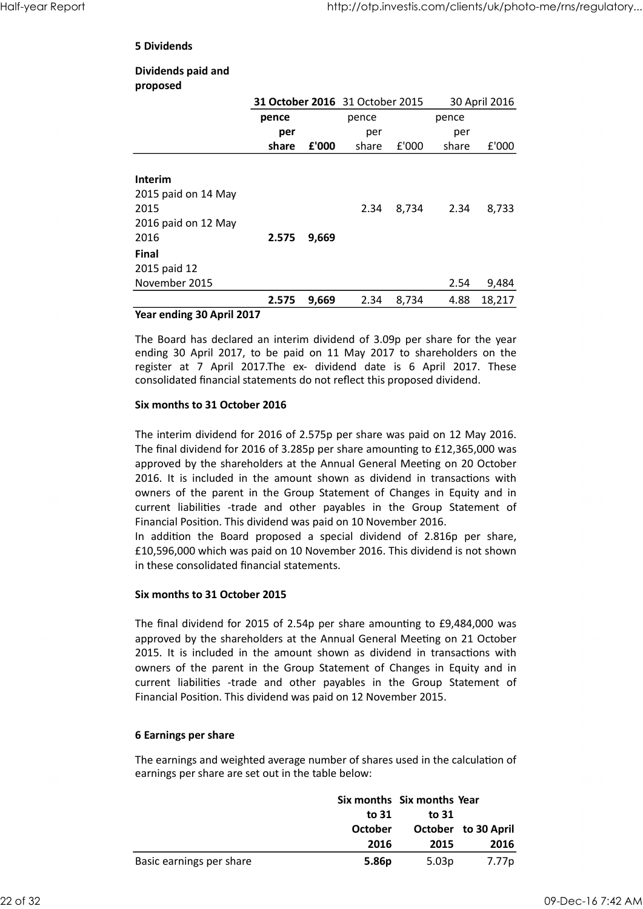#### 5 Dividends

#### Dividends paid and proposed

|                                                                                                                                                                                                                                                                                                                                                                                                                                                                                                                                              |              |       |                                 |       | http://otp.investis.com/clients/uk/photo-me/rns/regulatory |               |
|----------------------------------------------------------------------------------------------------------------------------------------------------------------------------------------------------------------------------------------------------------------------------------------------------------------------------------------------------------------------------------------------------------------------------------------------------------------------------------------------------------------------------------------------|--------------|-------|---------------------------------|-------|------------------------------------------------------------|---------------|
| <b>5 Dividends</b>                                                                                                                                                                                                                                                                                                                                                                                                                                                                                                                           |              |       |                                 |       |                                                            |               |
| Dividends paid and<br>proposed                                                                                                                                                                                                                                                                                                                                                                                                                                                                                                               |              |       |                                 |       |                                                            |               |
|                                                                                                                                                                                                                                                                                                                                                                                                                                                                                                                                              |              |       | 31 October 2016 31 October 2015 |       |                                                            | 30 April 2016 |
|                                                                                                                                                                                                                                                                                                                                                                                                                                                                                                                                              | pence<br>per |       | pence<br>per                    |       | pence<br>per                                               |               |
|                                                                                                                                                                                                                                                                                                                                                                                                                                                                                                                                              | share        | £'000 | share                           | £'000 | share                                                      | £'000         |
| <b>Interim</b>                                                                                                                                                                                                                                                                                                                                                                                                                                                                                                                               |              |       |                                 |       |                                                            |               |
| 2015 paid on 14 May                                                                                                                                                                                                                                                                                                                                                                                                                                                                                                                          |              |       |                                 |       |                                                            |               |
| 2015                                                                                                                                                                                                                                                                                                                                                                                                                                                                                                                                         |              |       | 2.34                            | 8,734 | 2.34                                                       | 8,733         |
| 2016 paid on 12 May<br>2016                                                                                                                                                                                                                                                                                                                                                                                                                                                                                                                  | 2.575        | 9,669 |                                 |       |                                                            |               |
| <b>Final</b>                                                                                                                                                                                                                                                                                                                                                                                                                                                                                                                                 |              |       |                                 |       |                                                            |               |
| 2015 paid 12                                                                                                                                                                                                                                                                                                                                                                                                                                                                                                                                 |              |       |                                 |       |                                                            |               |
| November 2015                                                                                                                                                                                                                                                                                                                                                                                                                                                                                                                                |              |       |                                 |       | 2.54                                                       | 9,484         |
|                                                                                                                                                                                                                                                                                                                                                                                                                                                                                                                                              | 2.575        | 9,669 | 2.34                            | 8,734 | 4.88                                                       | 18,217        |
| Year ending 30 April 2017                                                                                                                                                                                                                                                                                                                                                                                                                                                                                                                    |              |       |                                 |       |                                                            |               |
| The Board has declared an interim dividend of 3.09p per share for the year<br>ending 30 April 2017, to be paid on 11 May 2017 to shareholders on the<br>register at 7 April 2017. The ex- dividend date is 6 April 2017. These<br>consolidated financial statements do not reflect this proposed dividend.                                                                                                                                                                                                                                   |              |       |                                 |       |                                                            |               |
| Six months to 31 October 2016                                                                                                                                                                                                                                                                                                                                                                                                                                                                                                                |              |       |                                 |       |                                                            |               |
| The interim dividend for 2016 of 2.575p per share was paid on 12 May 2016.<br>The final dividend for 2016 of 3.285p per share amounting to £12,365,000 was<br>approved by the shareholders at the Annual General Meeting on 20 October<br>2016. It is included in the amount shown as dividend in transactions with<br>owners of the parent in the Group Statement of Changes in Equity and in<br>current liabilities -trade and other payables in the Group Statement of<br>Financial Position. This dividend was paid on 10 November 2016. |              |       |                                 |       |                                                            |               |
| In addition the Board proposed a special dividend of 2.816p per share,                                                                                                                                                                                                                                                                                                                                                                                                                                                                       |              |       |                                 |       |                                                            |               |
| £10,596,000 which was paid on 10 November 2016. This dividend is not shown                                                                                                                                                                                                                                                                                                                                                                                                                                                                   |              |       |                                 |       |                                                            |               |

#### Year ending 30 April 2017

#### Six months to 31 October 2016

The interim dividend for 2016 of 2.575p per share was paid on 12 May 2016. The final dividend for 2016 of 3.285p per share amounting to £12,365,000 was approved by the shareholders at the Annual General Meeting on 20 October owners of the parent in the Group Statement of Changes in Equity and in 2.575 9,669<br>
2015 paid 12<br>
Rinal<br>
Rinal<br>
Rinal<br>
2.675 9,669 2.34 8,734 4.88 18,217<br>
Year ending 30 April 2017<br>
The Board has declared an interim dividend of 3.09p per share for the year<br>
renting 30 April 2017, to be paid Financial Position. This dividend was paid on 10 November 2016. 2015 paid 12<br>
2015 movember 2015<br>
2.575 9,669 2.34 8,734 4.88 18,217<br> **Year ending 30 April 2017**<br>
The Board has declared an interim dividend of 3.09p per share for the year<br>
ending 30 April 2017, to be paid on 11 May 2017 Extrimential statements of not renet tims proposed unvienditional Six months to 31 October 2016 of 3.575p per share amounting to £1.2,365,000 was approved by the shareholders at the Amound General Meeting on 20 October 201 The interim dividend for 2016 of 2.575p per share was paid on 12 May 2016.<br>The final dividend for 2016 of 3.285p per share amounting to £12,365,000 was<br>approved by the shareholders at the Annual General Meeting on 20 Octob

£10,596,000 which was paid on 10 November 2016. This dividend is not shown in these consolidated financial statements.

#### Six months to 31 October 2015

The final dividend for 2015 of 2.54p per share amounting to £9,484,000 was approved by the shareholders at the Annual General Meeting on 21 October owners of the parent in the Group Statement of Changes in Equity and in Financial Position. This dividend was paid on 12 November 2015. cial dividend of 2.816p per share,<br>bber 2016. This dividend is not shown<br>share amounting to £9,484,000 was<br>saivedend in transactions with<br>ement of Changes in Equity and in<br>caples in the Group Statement of<br>on 12 November 2 ng to £9,484,000 was<br>
eeting on 21 October<br>
in transactions with<br>
ges in Equity and in<br>
Group Statement of<br>
r 2015.<br>
d in the calculation of<br> **months Year**<br> **to 31**<br> **October to 30 April<br>
2015 2016**<br>
5.03p 7.77p<br>
09-Dec-16 amounting to £9,484,000 was<br>
eneral Meeting on 21 October<br>
dividend in transactions with<br>
in the Group Statement of<br>
November 2015.<br>
Anares used in the calculation of<br>
r:<br>
hares used in the calculation of<br>
r:<br>
ports Six mo Six months to 31 October 2015<br>
The final dividend for 2015 of 2.54p per share amounting to £9,484,000 was<br>
approved by the shareholders at the Annual General Meeting on 21 October<br>
2015. It is included in the amount shown The final dividend for 2015 of 2.54p per share amounting to £9,484,000 was<br>approved by the shareholders at the Amund General Meeting on 21 October<br>2015. It is included in the amount shown as dividend in transactions with<br>

#### 6 Earnings per share

The earnings and weighted average number of shares used in the calculation of earnings per share are set out in the table below:

|                          |                | Six months Six months Year |                            |
|--------------------------|----------------|----------------------------|----------------------------|
|                          | to 31          | to $31$                    |                            |
|                          | <b>October</b> |                            | <b>October</b> to 30 April |
|                          | 2016           | 2015                       | 2016                       |
| Basic earnings per share | 5.86p          | 5.03p                      | 7.77p                      |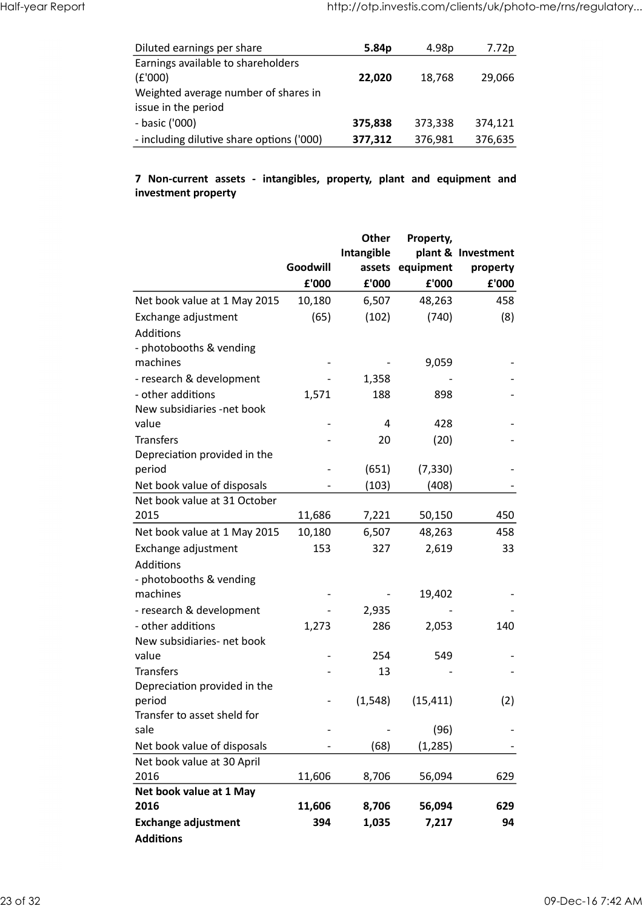| Half-year Report |                                                                                                                     | http://otp.investis.com/clients/uk/photo-me/rns/regulatory |         |                 |
|------------------|---------------------------------------------------------------------------------------------------------------------|------------------------------------------------------------|---------|-----------------|
|                  |                                                                                                                     | 5.84p                                                      | 4.98p   |                 |
|                  | Diluted earnings per share<br>Earnings available to shareholders<br>(E'000)<br>Weighted average number of shares in | 22,020                                                     | 18,768  | 7.72p<br>29,066 |
|                  | issue in the period<br>- basic ('000)                                                                               | 375,838                                                    | 373,338 | 374,121         |

# investment property

| Diluted earnings per share                                                                   |                          | 5.84p                    | 4.98p                         | 7.72p                          |
|----------------------------------------------------------------------------------------------|--------------------------|--------------------------|-------------------------------|--------------------------------|
| Earnings available to shareholders<br>(E'000)                                                |                          | 22,020                   | 18,768                        | 29,066                         |
| Weighted average number of shares in<br>issue in the period                                  |                          |                          |                               |                                |
| - basic ('000)                                                                               |                          | 375,838                  | 373,338                       | 374,121                        |
| - including dilutive share options ('000)                                                    |                          |                          |                               |                                |
|                                                                                              |                          | 377,312                  | 376,981                       | 376,635                        |
| 7 Non-current assets - intangibles, property, plant and equipment and<br>investment property |                          |                          |                               |                                |
|                                                                                              | Goodwill                 | Other<br>Intangible      | Property,<br>assets equipment | plant & Investment<br>property |
|                                                                                              | £'000                    | £'000                    | £'000                         | £'000                          |
|                                                                                              |                          |                          |                               |                                |
| Net book value at 1 May 2015                                                                 | 10,180                   | 6,507                    | 48,263                        | 458                            |
| Exchange adjustment<br>Additions<br>- photobooths & vending                                  | (65)                     | (102)                    | (740)                         | (8)                            |
| machines                                                                                     |                          |                          | 9,059                         |                                |
| - research & development                                                                     |                          | 1,358                    | $\overline{\phantom{a}}$      |                                |
| - other additions                                                                            | 1,571                    | 188                      | 898                           |                                |
| New subsidiaries -net book                                                                   |                          |                          |                               |                                |
| value                                                                                        | $\overline{\phantom{a}}$ | 4                        | 428                           |                                |
| Transfers                                                                                    |                          | 20                       | (20)                          |                                |
| Depreciation provided in the                                                                 |                          |                          |                               |                                |
| period                                                                                       |                          | (651)                    | (7, 330)                      |                                |
| Net book value of disposals                                                                  |                          | (103)                    | (408)                         |                                |
| Net book value at 31 October                                                                 |                          |                          |                               |                                |
| 2015                                                                                         | 11,686                   | 7,221                    | 50,150                        | 450                            |
| Net book value at 1 May 2015                                                                 | 10,180                   | 6,507                    | 48,263                        | 458                            |
| Exchange adjustment                                                                          | 153                      | 327                      | 2,619                         | 33                             |
| Additions                                                                                    |                          |                          |                               |                                |
| - photobooths & vending                                                                      |                          |                          |                               |                                |
| machines                                                                                     | $\overline{\phantom{a}}$ | $\overline{\phantom{a}}$ | 19,402                        |                                |
| - research & development                                                                     |                          | 2,935                    |                               |                                |
| - other additions                                                                            | 1,273                    | 286                      | 2,053                         | 140                            |
| New subsidiaries- net book                                                                   |                          |                          |                               |                                |
| value                                                                                        | $\overline{\phantom{a}}$ | 254                      | 549                           | $\overline{\phantom{a}}$       |
| Transfers                                                                                    |                          | 13                       |                               | $\overline{\phantom{a}}$       |
| Depreciation provided in the                                                                 |                          |                          |                               |                                |
| period                                                                                       | $\overline{\phantom{a}}$ | (1, 548)                 | (15, 411)                     | (2)                            |
| Transfer to asset sheld for                                                                  |                          |                          |                               |                                |
| sale                                                                                         |                          | $\overline{\phantom{a}}$ | (96)                          |                                |
| Net book value of disposals                                                                  |                          | (68)                     | (1, 285)                      | $\overline{\phantom{a}}$       |
| Net book value at 30 April                                                                   |                          |                          |                               |                                |
| 2016                                                                                         | 11,606                   | 8,706                    | 56,094                        | 629                            |
| Net book value at 1 May                                                                      |                          |                          |                               |                                |
| 2016                                                                                         | 11,606                   | 8,706                    | 56,094                        | 629                            |
| <b>Exchange adjustment</b>                                                                   | 394                      | 1,035                    | 7,217                         | 94                             |
| <b>Additions</b>                                                                             |                          |                          |                               |                                |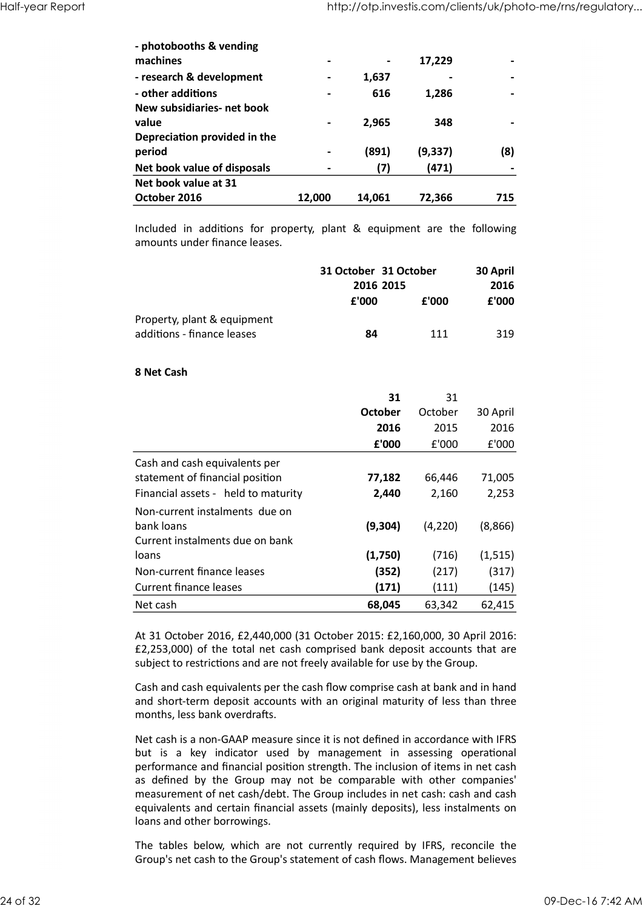| Half-year Report |                                                                                                          |                          | http://otp.investis.com/clients/uk/photo-me/rns/regulatory |                |                          |
|------------------|----------------------------------------------------------------------------------------------------------|--------------------------|------------------------------------------------------------|----------------|--------------------------|
|                  |                                                                                                          |                          |                                                            |                |                          |
|                  | - photobooths & vending                                                                                  |                          |                                                            |                |                          |
|                  | machines                                                                                                 | $\blacksquare$           |                                                            | 17,229         |                          |
|                  | - research & development                                                                                 | $\blacksquare$           | 1,637                                                      | $\blacksquare$ |                          |
|                  | - other additions                                                                                        | $\overline{\phantom{0}}$ | 616                                                        | 1,286          |                          |
|                  | New subsidiaries- net book                                                                               |                          |                                                            |                |                          |
|                  | value                                                                                                    | $\blacksquare$           | 2,965                                                      | 348            |                          |
|                  | Depreciation provided in the                                                                             |                          |                                                            |                |                          |
|                  | period                                                                                                   | $\blacksquare$           | (891)                                                      | (9, 337)       | (8)                      |
|                  | Net book value of disposals                                                                              | $\overline{\phantom{a}}$ | (7)                                                        | (471)          | $\overline{\phantom{a}}$ |
|                  | Net book value at 31                                                                                     |                          |                                                            |                |                          |
|                  | October 2016                                                                                             | 12,000                   | 14,061                                                     | 72,366         | 715                      |
|                  |                                                                                                          |                          |                                                            |                |                          |
|                  | Included in additions for property, plant & equipment are the following<br>amounts under finance leases. |                          |                                                            |                |                          |
|                  |                                                                                                          |                          | 31 October 31 October                                      |                |                          |
|                  |                                                                                                          |                          | 2016 2015                                                  |                | 30 April<br>2016         |
|                  |                                                                                                          |                          | £'000                                                      | £'000          | ${\bf f}$ '000           |
|                  |                                                                                                          |                          |                                                            |                |                          |
|                  | Property, plant & equipment<br>additions - finance leases                                                |                          | 84                                                         | 111            | 319                      |
|                  | 8 Net Cash                                                                                               |                          |                                                            |                |                          |
|                  |                                                                                                          |                          | 31                                                         | 31             |                          |

|                             | 31 October 31 October |       | 30 April |
|-----------------------------|-----------------------|-------|----------|
|                             | 2016 2015             |       | 2016     |
|                             | £'000                 | £'000 | £'000    |
| Property, plant & equipment |                       |       |          |
| additions - finance leases  | 84                    | 111   | 319      |

#### 8 Net Cash

| period                                                                                                                                                                                                                                                                                                                                                                                                                                                                                                          |        | (891)                 | (9, 337) | (8)      |
|-----------------------------------------------------------------------------------------------------------------------------------------------------------------------------------------------------------------------------------------------------------------------------------------------------------------------------------------------------------------------------------------------------------------------------------------------------------------------------------------------------------------|--------|-----------------------|----------|----------|
| Net book value of disposals                                                                                                                                                                                                                                                                                                                                                                                                                                                                                     |        | (7)                   | (471)    |          |
| Net book value at 31                                                                                                                                                                                                                                                                                                                                                                                                                                                                                            |        |                       |          |          |
| October 2016                                                                                                                                                                                                                                                                                                                                                                                                                                                                                                    | 12,000 | 14,061                | 72,366   | 715      |
|                                                                                                                                                                                                                                                                                                                                                                                                                                                                                                                 |        |                       |          |          |
| Included in additions for property, plant & equipment are the following<br>amounts under finance leases.                                                                                                                                                                                                                                                                                                                                                                                                        |        |                       |          |          |
|                                                                                                                                                                                                                                                                                                                                                                                                                                                                                                                 |        | 31 October 31 October |          | 30 April |
|                                                                                                                                                                                                                                                                                                                                                                                                                                                                                                                 |        | 2016 2015             |          | 2016     |
|                                                                                                                                                                                                                                                                                                                                                                                                                                                                                                                 |        | £'000                 | £'000    | £'000    |
| Property, plant & equipment                                                                                                                                                                                                                                                                                                                                                                                                                                                                                     |        |                       |          |          |
| additions - finance leases                                                                                                                                                                                                                                                                                                                                                                                                                                                                                      |        | 84                    | 111      | 319      |
|                                                                                                                                                                                                                                                                                                                                                                                                                                                                                                                 |        |                       |          |          |
| 8 Net Cash                                                                                                                                                                                                                                                                                                                                                                                                                                                                                                      |        |                       |          |          |
|                                                                                                                                                                                                                                                                                                                                                                                                                                                                                                                 |        | 31                    | 31       |          |
|                                                                                                                                                                                                                                                                                                                                                                                                                                                                                                                 |        | <b>October</b>        | October  | 30 April |
|                                                                                                                                                                                                                                                                                                                                                                                                                                                                                                                 |        | 2016                  | 2015     | 2016     |
|                                                                                                                                                                                                                                                                                                                                                                                                                                                                                                                 |        | £'000                 | £'000    | £'000    |
| Cash and cash equivalents per                                                                                                                                                                                                                                                                                                                                                                                                                                                                                   |        |                       |          |          |
| statement of financial position                                                                                                                                                                                                                                                                                                                                                                                                                                                                                 |        | 77,182                | 66,446   | 71,005   |
| Financial assets - held to maturity                                                                                                                                                                                                                                                                                                                                                                                                                                                                             |        | 2,440                 | 2,160    | 2,253    |
| Non-current instalments due on                                                                                                                                                                                                                                                                                                                                                                                                                                                                                  |        |                       |          |          |
| bank loans                                                                                                                                                                                                                                                                                                                                                                                                                                                                                                      |        | (9,304)               | (4, 220) | (8,866)  |
| Current instalments due on bank                                                                                                                                                                                                                                                                                                                                                                                                                                                                                 |        |                       |          |          |
| loans                                                                                                                                                                                                                                                                                                                                                                                                                                                                                                           |        | (1,750)               | (716)    | (1, 515) |
| Non-current finance leases                                                                                                                                                                                                                                                                                                                                                                                                                                                                                      |        | (352)                 | (217)    | (317)    |
| <b>Current finance leases</b>                                                                                                                                                                                                                                                                                                                                                                                                                                                                                   |        | (171)                 | (111)    | (145)    |
| Net cash                                                                                                                                                                                                                                                                                                                                                                                                                                                                                                        |        | 68,045                | 63,342   | 62,415   |
| At 31 October 2016, £2,440,000 (31 October 2015: £2,160,000, 30 April 2016:<br>£2,253,000) of the total net cash comprised bank deposit accounts that are<br>subject to restrictions and are not freely available for use by the Group.                                                                                                                                                                                                                                                                         |        |                       |          |          |
| Cash and cash equivalents per the cash flow comprise cash at bank and in hand<br>and short-term deposit accounts with an original maturity of less than three<br>months, less bank overdrafts.                                                                                                                                                                                                                                                                                                                  |        |                       |          |          |
| Net cash is a non-GAAP measure since it is not defined in accordance with IFRS<br>but is a key indicator used by management in assessing operational<br>performance and financial position strength. The inclusion of items in net cash<br>as defined by the Group may not be comparable with other companies'<br>measurement of net cash/debt. The Group includes in net cash: cash and cash<br>equivalents and certain financial assets (mainly deposits), less instalments on<br>loans and other borrowings. |        |                       |          |          |
| The tables below, which are not currently required by IFRS, reconcile the<br>Group's net cash to the Group's statement of cash flows Management helieves                                                                                                                                                                                                                                                                                                                                                        |        |                       |          |          |

Net cash is a non-GAAP measure since it is not defined in accordance with IFRS performance and financial position strength. The inclusion of items in net cash measurement of net cash/debt. The Group includes in net cash: cash and cash equivalents and certain financial assets (mainly deposits), less instalments on loans and other borrowings. Current finance leases<br>
(171) (111) (145)<br>
Net cash<br>
(68,045 63,342 62,415<br>
At 31 October 2016, £2,440,000 (31 October 2015: £2,160,000, 30 April 2016:<br>
£2,253,000) of the total net cash comprised bank deposit accounts th At 31 October 2016, £2,440,000 (31 October 2015: £2,160,000, 30 April 2016:<br>
£2,253,000) of the total net cash comprised bank deposit accounts that are<br>
subject to restrictions and are not freely available for use by the

Group's net cash to the Group's statement of cash flows. Management believes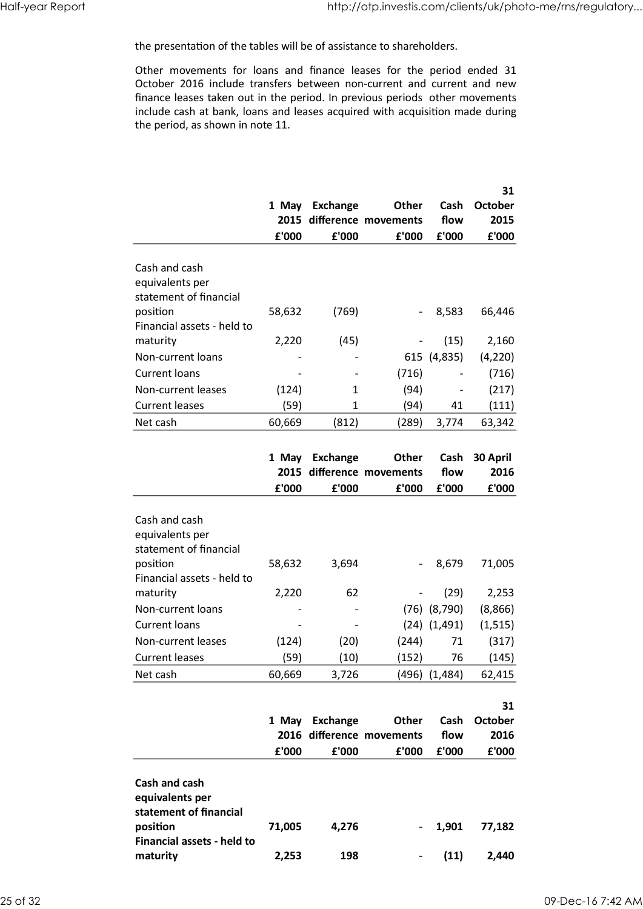http://otp.investis.com/clients/uk/photo-me/rns/regulatory...<br>the presentation of the tables will be of assistance to shareholders.<br>Other movements for loans and finance leases for the period ended 31<br>October 2016 include http://otp.investis.com/clients/uk/photo-me/rns/regulatory...<br>the presentation of the tables will be of assistance to shareholders.<br>Other movements for loans and finance leases for the period ended 31<br>October 2016 include finance leases taken out in the period. In previous periods other movements include cash at bank, loans and leases acquired with acquisition made during the period, as shown in note 11. Half-year Report<br>the presentation of the tables will be of assistance to shareholders.<br>Other movements for loans and finance leases for the period ended 31

| Half-year Report |                                                                                                                                                                                                                                                                                                                                                   |                                   |                                                              | http://otp.investis.com/clients/uk/photo-me/rns/regulatory |                                                 |                                       |
|------------------|---------------------------------------------------------------------------------------------------------------------------------------------------------------------------------------------------------------------------------------------------------------------------------------------------------------------------------------------------|-----------------------------------|--------------------------------------------------------------|------------------------------------------------------------|-------------------------------------------------|---------------------------------------|
|                  | the presentation of the tables will be of assistance to shareholders.                                                                                                                                                                                                                                                                             |                                   |                                                              |                                                            |                                                 |                                       |
|                  | Other movements for loans and finance leases for the period ended 31<br>October 2016 include transfers between non-current and current and new<br>finance leases taken out in the period. In previous periods other movements<br>include cash at bank, loans and leases acquired with acquisition made during<br>the period, as shown in note 11. |                                   |                                                              |                                                            |                                                 |                                       |
|                  |                                                                                                                                                                                                                                                                                                                                                   | £'000                             | 1 May Exchange<br>£'000                                      | Other<br>2015 difference movements<br>£'000                | Cash<br>flow<br>£'000                           | 31<br><b>October</b><br>2015<br>£'000 |
|                  | Cash and cash<br>equivalents per<br>statement of financial                                                                                                                                                                                                                                                                                        |                                   |                                                              |                                                            |                                                 |                                       |
|                  | position<br>Financial assets - held to                                                                                                                                                                                                                                                                                                            | 58,632                            | (769)                                                        |                                                            | 8,583<br>$\sim$                                 | 66,446                                |
|                  | maturity<br>Non-current loans<br><b>Current loans</b>                                                                                                                                                                                                                                                                                             | 2,220<br>$\overline{\phantom{a}}$ | (45)<br>$\overline{\phantom{a}}$<br>$\overline{\phantom{a}}$ | (716)                                                      | (15)<br>615 (4,835)<br>$\overline{\phantom{a}}$ | 2,160<br>(4, 220)<br>(716)            |
|                  | Non-current leases<br><b>Current leases</b>                                                                                                                                                                                                                                                                                                       | (124)<br>(59)                     | 1<br>1                                                       | (94)<br>(94)                                               | $\overline{\phantom{a}}$<br>41                  | (217)<br>(111)                        |
|                  | Net cash                                                                                                                                                                                                                                                                                                                                          | 60,669                            | (812)                                                        | (289)                                                      | 3,774                                           | 63,342                                |
|                  |                                                                                                                                                                                                                                                                                                                                                   | 1 May<br>${\bf f}$ '000           | <b>Exchange</b><br>${\bf f}$ '000                            | Other<br>2015 difference movements<br>£'000                | flow<br>£'000                                   | Cash 30 April<br>2016<br>£'000        |
|                  | Cash and cash<br>equivalents per<br>statement of financial                                                                                                                                                                                                                                                                                        |                                   |                                                              |                                                            |                                                 |                                       |
|                  | position<br>Financial assets - held to                                                                                                                                                                                                                                                                                                            | 58,632                            | 3,694                                                        |                                                            | 8,679<br>$\sim$                                 | 71,005                                |
|                  | maturity<br>Non-current loans<br><b>Current loans</b>                                                                                                                                                                                                                                                                                             | 2,220<br>$\blacksquare$           | 62<br>$\overline{\phantom{a}}$<br>$\overline{\phantom{a}}$   | $\overline{\phantom{a}}$                                   | (29)<br>$(76)$ $(8,790)$<br>$(24)$ $(1,491)$    | 2,253<br>(8,866)<br>(1, 515)          |
|                  | Non-current leases<br><b>Current leases</b>                                                                                                                                                                                                                                                                                                       | (124)<br>(59)                     | (20)<br>(10)                                                 | (244)<br>(152)                                             | 71<br>76                                        | (317)<br>(145)                        |
|                  | Net cash                                                                                                                                                                                                                                                                                                                                          | 60,669                            | 3,726                                                        |                                                            | $(496)$ $(1,484)$                               | 62,415                                |
|                  |                                                                                                                                                                                                                                                                                                                                                   | £'000                             | 1 May Exchange<br>£'000                                      | Other<br>2016 difference movements<br>£'000                | flow<br>£'000                                   | 31<br>Cash October<br>2016<br>£'000   |
|                  | Cash and cash<br>equivalents per<br>statement of financial<br>position<br>Financial assets - held to                                                                                                                                                                                                                                              | 71,005                            | 4,276                                                        |                                                            | 1,901<br>$\sim$                                 | 77,182                                |
|                  | maturity                                                                                                                                                                                                                                                                                                                                          | 2,253                             | 198                                                          | $\overline{\phantom{a}}$                                   | (11)                                            | 2,440                                 |
| 25 of 32         |                                                                                                                                                                                                                                                                                                                                                   |                                   |                                                              |                                                            |                                                 |                                       |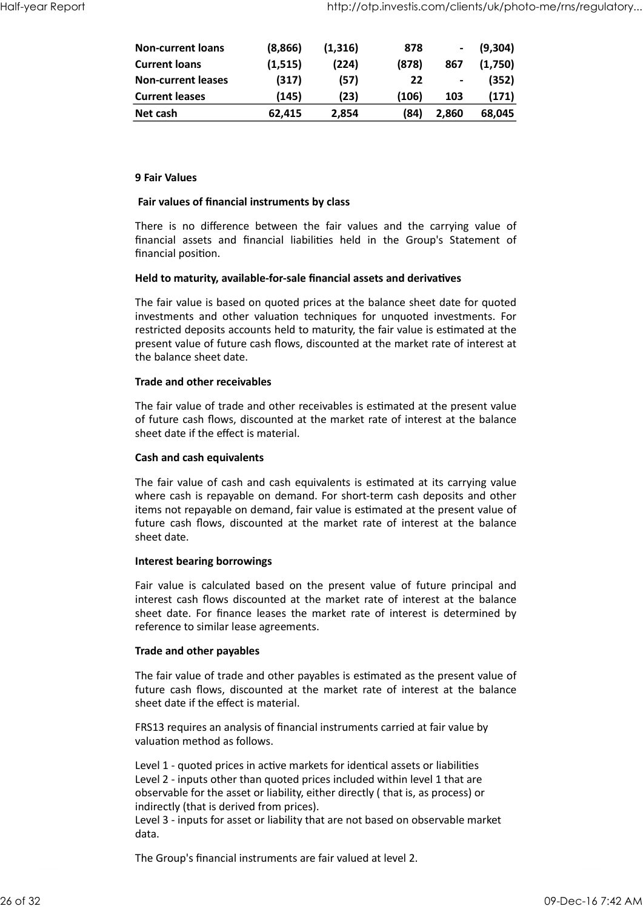| Half-year Report |                                                                                                                                                                                |                   |               | http://otp.investis.com/clients/uk/photo-me/rns/regulatory |                          |                  |
|------------------|--------------------------------------------------------------------------------------------------------------------------------------------------------------------------------|-------------------|---------------|------------------------------------------------------------|--------------------------|------------------|
|                  |                                                                                                                                                                                |                   |               |                                                            |                          |                  |
|                  | <b>Non-current loans</b><br><b>Current loans</b>                                                                                                                               | (8,866)           | (1, 316)      | 878                                                        | $\overline{\phantom{a}}$ | (9, 304)         |
|                  | <b>Non-current leases</b>                                                                                                                                                      | (1, 515)<br>(317) | (224)<br>(57) | (878)<br>22                                                | 867<br>$\blacksquare$    | (1,750)<br>(352) |
|                  | <b>Current leases</b>                                                                                                                                                          | (145)             | (23)          | (106)                                                      | 103                      | (171)            |
|                  | Net cash                                                                                                                                                                       | 62,415            | 2,854         | (84)                                                       | 2,860                    | 68,045           |
|                  |                                                                                                                                                                                |                   |               |                                                            |                          |                  |
|                  | 9 Fair Values                                                                                                                                                                  |                   |               |                                                            |                          |                  |
|                  | Fair values of financial instruments by class                                                                                                                                  |                   |               |                                                            |                          |                  |
|                  | There is no difference between the fair values and the carrying value of<br>financial assets and financial liabilities held in the Group's Statement of<br>financial position. |                   |               |                                                            |                          |                  |
|                  | Held to maturity, available-for-sale financial assets and derivatives                                                                                                          |                   |               |                                                            |                          |                  |
|                  | The fair value is based on quoted prices at the balance sheet date for quoted<br>investments and other valuation techniques for unquoted investments. For                      |                   |               |                                                            |                          |                  |

#### 9 Fair Values

#### Fair values of financial instruments by class

#### Held to maturity, available-for-sale financial assets and derivatives

The fair value is based on quoted prices at the balance sheet date for quoted investments and other valuation techniques for unquoted investments. For restricted deposits accounts held to maturity, the fair value is estimated at the present value of future cash flows, discounted at the market rate of interest at the balance sheet date.

#### Trade and other receivables

The fair value of trade and other receivables is estimated at the present value of future cash flows, discounted at the market rate of interest at the balance sheet date if the effect is material.

#### Cash and cash equivalents

The fair value of cash and cash equivalents is estimated at its carrying value where cash is repayable on demand. For short-term cash deposits and other items not repayable on demand, fair value is estimated at the present value of future cash flows, discounted at the market rate of interest at the balance sheet date.

#### Interest bearing borrowings

Fair value is calculated based on the present value of future principal and interest cash flows discounted at the market rate of interest at the balance sheet date. For finance leases the market rate of interest is determined by reference to similar lease agreements.

#### Trade and other payables

The fair value of trade and other payables is estimated as the present value of future cash flows, discounted at the market rate of interest at the balance sheet date if the effect is material.

FRS13 requires an analysis of financial instruments carried at fair value by valuation method as follows.

Level 1 - quoted prices in active markets for identical assets or liabilities Level 2 - inputs other than quoted prices included within level 1 that are observable for the asset or liability, either directly ( that is, as process) or indirectly (that is derived from prices). reference to similar lease agreements.<br>
Trade and other payables<br>
The fair value of trade and other payables is estimated as the present value of<br>
future cash flows, discounted at the market rate of interest at the balance

Level 3 - inputs for asset or liability that are not based on observable market data.

The Group's financial instruments are fair valued at level 2.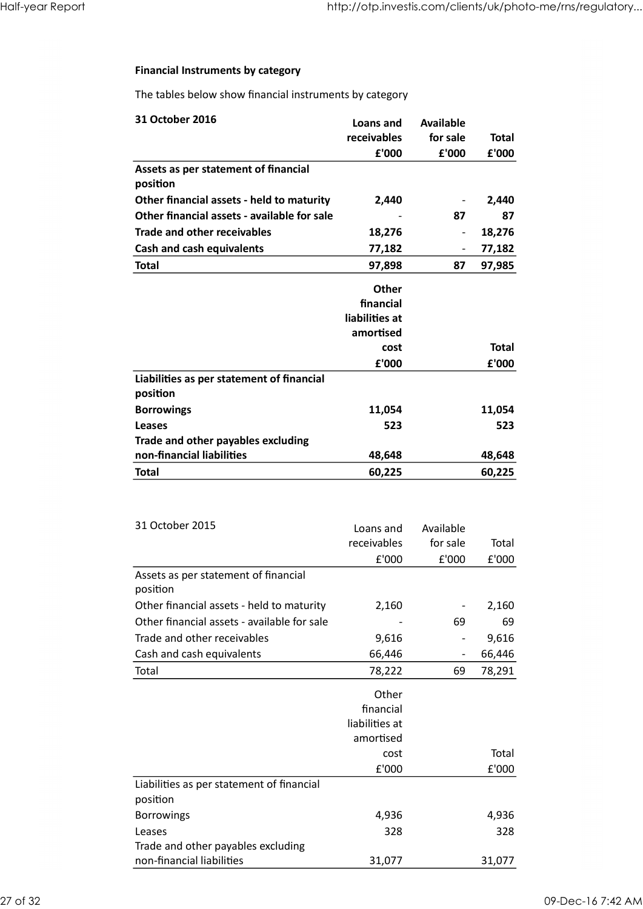#### Financial Instruments by category

| Half-year Report |                                                                                                                         | http://otp.investis.com/clients/uk/photo-me/rns/regulatory |                                                            |                                               |
|------------------|-------------------------------------------------------------------------------------------------------------------------|------------------------------------------------------------|------------------------------------------------------------|-----------------------------------------------|
|                  |                                                                                                                         |                                                            |                                                            |                                               |
|                  | <b>Financial Instruments by category</b>                                                                                |                                                            |                                                            |                                               |
|                  | The tables below show financial instruments by category                                                                 |                                                            |                                                            |                                               |
|                  | 31 October 2016                                                                                                         | Loans and<br>receivables                                   | <b>Available</b><br>for sale                               | <b>Total</b>                                  |
|                  | Assets as per statement of financial<br>position                                                                        | £'000                                                      | £'000                                                      | £'000                                         |
|                  | Other financial assets - held to maturity<br>Other financial assets - available for sale                                | 2,440<br>$\overline{\phantom{a}}$                          | 87                                                         | 2,440<br>87                                   |
|                  | Trade and other receivables<br><b>Cash and cash equivalents</b>                                                         | 18,276<br>77,182                                           | $\overline{\phantom{a}}$                                   | 18,276<br>77,182                              |
|                  | <b>Total</b>                                                                                                            | 97,898                                                     | 87                                                         | 97,985                                        |
|                  |                                                                                                                         | Other<br>financial<br>liabilities at<br>amortised          |                                                            |                                               |
|                  |                                                                                                                         | cost<br>£'000                                              |                                                            | <b>Total</b><br>${\bf f}$ '000                |
|                  | Liabilities as per statement of financial<br>position                                                                   |                                                            |                                                            |                                               |
|                  | <b>Borrowings</b><br><b>Leases</b><br>Trade and other payables excluding                                                | 11,054<br>523                                              |                                                            | 11,054<br>523                                 |
|                  | non-financial liabilities<br><b>Total</b>                                                                               | 48,648<br>60,225                                           |                                                            | 48,648<br>60,225                              |
|                  |                                                                                                                         |                                                            |                                                            |                                               |
|                  | 31 October 2015                                                                                                         | Loans and<br>receivables<br>£'000                          | Available<br>for sale<br>£'000                             | Total<br>£'000                                |
|                  | Assets as per statement of financial<br>position                                                                        |                                                            |                                                            |                                               |
|                  | Other financial assets - held to maturity<br>Other financial assets - available for sale<br>Trade and other receivables | 2,160<br>$\overline{\phantom{a}}$                          | 69                                                         | 2,160<br>69                                   |
|                  | Cash and cash equivalents<br>Total                                                                                      | 9,616<br>66,446<br>78,222                                  | $\overline{\phantom{a}}$<br>$\overline{\phantom{a}}$<br>69 | 9,616<br>66,446<br>78,291                     |
|                  |                                                                                                                         | Other<br>financial<br>liabilities at                       |                                                            |                                               |
|                  |                                                                                                                         | amortised<br>cost<br>£'000                                 |                                                            | Total<br>$\ensuremath{\mathsf{E}}\xspace'000$ |
|                  | Liabilities as per statement of financial<br>position                                                                   |                                                            |                                                            |                                               |
|                  | Borrowings<br>Leases<br>Trade and other payables excluding                                                              | 4,936<br>328                                               |                                                            | 4,936<br>328                                  |
|                  | non-financial liabilities                                                                                               | 31,077                                                     |                                                            | 31,077                                        |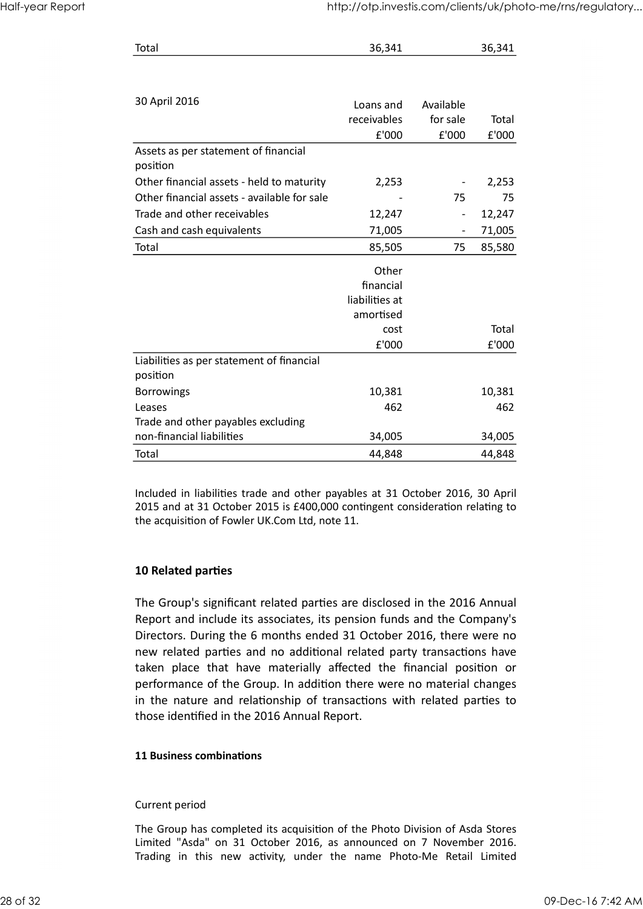| http://otp.investis.com/clients/uk/photo-me/rns/regulatory<br>Half-year Report | Total | 36,341 | 36,341 |  |
|--------------------------------------------------------------------------------|-------|--------|--------|--|
|                                                                                |       |        |        |  |
|                                                                                |       |        |        |  |
|                                                                                |       |        |        |  |
|                                                                                |       |        |        |  |
|                                                                                |       |        |        |  |
|                                                                                |       |        |        |  |
|                                                                                |       |        |        |  |
|                                                                                |       |        |        |  |
|                                                                                |       |        |        |  |
|                                                                                |       |        |        |  |
|                                                                                |       |        |        |  |

|                                                                                          | http://otp.investis.com/clients/uk/photo-me/rns/regulatory |                          |                                      |
|------------------------------------------------------------------------------------------|------------------------------------------------------------|--------------------------|--------------------------------------|
|                                                                                          |                                                            |                          |                                      |
| Total                                                                                    | 36,341                                                     |                          | 36,341                               |
|                                                                                          |                                                            |                          |                                      |
|                                                                                          |                                                            |                          |                                      |
| 30 April 2016                                                                            | Loans and                                                  | Available                |                                      |
|                                                                                          | receivables                                                | for sale                 | Total                                |
|                                                                                          | f'000                                                      | £'000                    | £'000                                |
| Assets as per statement of financial                                                     |                                                            |                          |                                      |
| position                                                                                 |                                                            |                          |                                      |
| Other financial assets - held to maturity<br>Other financial assets - available for sale | 2,253                                                      | 75                       | 2,253<br>75                          |
| Trade and other receivables                                                              | $\overline{\phantom{a}}$<br>12,247                         | $\overline{\phantom{a}}$ | 12,247                               |
| Cash and cash equivalents                                                                | 71,005                                                     |                          | 71,005                               |
| Total                                                                                    | 85,505                                                     | 75                       | 85,580                               |
|                                                                                          |                                                            |                          |                                      |
|                                                                                          | Other<br>financial                                         |                          |                                      |
|                                                                                          | liabilities at                                             |                          |                                      |
|                                                                                          | amortised                                                  |                          |                                      |
|                                                                                          | cost                                                       |                          | Total                                |
|                                                                                          | £'000                                                      |                          | $\ensuremath{\mathsf{E}}\xspace'000$ |
| Liabilities as per statement of financial                                                |                                                            |                          |                                      |
| position                                                                                 |                                                            |                          |                                      |
| Borrowings<br>Leases                                                                     | 10,381<br>462                                              |                          | 10,381<br>462                        |
|                                                                                          |                                                            |                          |                                      |
|                                                                                          | 34,005                                                     |                          | 34,005                               |
| Trade and other payables excluding<br>non-financial liabilities                          |                                                            |                          |                                      |
| Total                                                                                    | 44,848                                                     |                          | 44,848                               |

#### 10 Related parties

The Group's significant related parties are disclosed in the 2016 Annual Report and include its associates, its pension funds and the Company's Directors. During the 6 months ended 31 October 2016, there were no new related parties and no additional related party transactions have Leases<br>
Trade and other payables excluding<br>
Then and other payables excluding<br>
14,848 and at 31 October 2015 is £400,000 contingent consideration relating to<br>
14.848 and at 31 October 2015 is £400,000 contingent considerat performance of the Group. In addition there were no material changes in the nature and relationship of transactions with related parties to those identified in the 2016 Annual Report. In Group's significant related parties are disclosed in the 2016 Annual<br>The Group's significant related associates, its pension funds and the Company's<br>Directors. During the 6 months ended 31 October 2016, there were no<br>ne The Group's significant related parties are disclosed in the 2016 Annual<br>Report and include its associates, its pension funds and the Company's<br>Directors. During the 6 months ended 31 October 2016, there were no<br>new relate Report an include its associates, its pension tunuss and the Company's<br>Directors. During the 6 months ended 31 October 2016, there were no<br>new related parties and no additional related party transactions have<br>taken place t

#### 11 Business combinations

#### Current period

The Group has completed its acquisition of the Photo Division of Asda Stores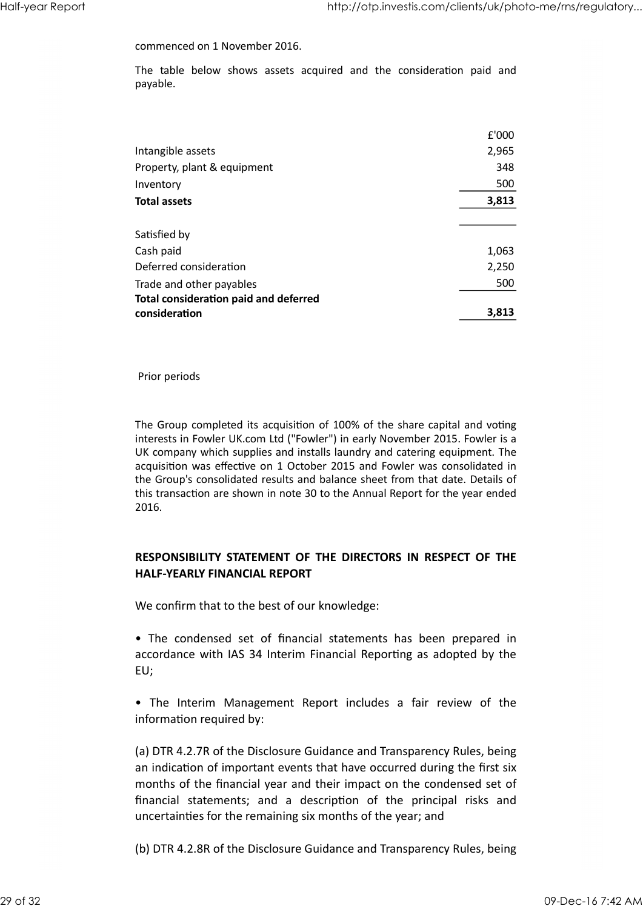http://otp.investis.com/clients/uk/photo-me/rns/regulatory...<br>
commenced on 1 November 2016.<br>
The table below shows assets acquired and the consideration paid and<br>
payable.<br>
f<sup>'000</sup> payable. Half-year Report http://otp.investis.com/clients/uk/photo-me/rns/regulatory...<br>commenced on 1 November 2016.<br>The table below shows assets acquired and the consideration paid and

|                                                                                  | http://otp.investis.com/clients/uk/photo-me/rns/regulatory |  |
|----------------------------------------------------------------------------------|------------------------------------------------------------|--|
| commenced on 1 November 2016.                                                    |                                                            |  |
| The table below shows assets acquired and the consideration paid and<br>payable. |                                                            |  |
|                                                                                  |                                                            |  |
|                                                                                  | £'000                                                      |  |
| Intangible assets                                                                | 2,965                                                      |  |
| Property, plant & equipment                                                      | 348                                                        |  |
| Inventory                                                                        | 500                                                        |  |
| <b>Total assets</b>                                                              | 3,813                                                      |  |
| Satisfied by                                                                     |                                                            |  |
| Cash paid                                                                        | 1,063                                                      |  |
| Deferred consideration                                                           | 2,250                                                      |  |
| Trade and other payables                                                         | 500                                                        |  |
|                                                                                  |                                                            |  |
| <b>Total consideration paid and deferred</b>                                     |                                                            |  |

Prior periods

The Group completed its acquisition of 100% of the share capital and voting interests in Fowler UK.com Ltd ("Fowler") in early November 2015. Fowler is a UK company which supplies and installs laundry and catering equipment. The acquisition was effective on 1 October 2015 and Fowler was consolidated in the Group's consolidated results and balance sheet from that date. Details of this transaction are shown in note 30 to the Annual Report for the year ended 2016. Prior periods<br>
The Group completed its acquisition of 100% of the share capital and voting<br>
interests in Fowler UK.com td ("Fowler") in early November 2015. Fowler is a<br>
UK company which supplies and installs laundry and c interests in Fowier UK.com Ltd ("Fowier") in early November 2015. Fowler is a<br>UK company which supplies and installs laundry and catering equipment. The<br>diction was effective on 1 October 2015 and Fowler was consolidated i

#### RESPONSIBILITY STATEMENT OF THE DIRECTORS IN RESPECT OF THE HALF-YEARLY FINANCIAL REPORT

We confirm that to the best of our knowledge:

accordance with IAS 34 Interim Financial Reporting as adopted by the EU;

information required by:

(a) DTR 4.2.7R of the Disclosure Guidance and Transparency Rules, being an indication of important events that have occurred during the first six months of the financial year and their impact on the condensed set of **RESPONSIBILITY STATEMENT OF THE DIRECTORS IN RESPECT OF THE**<br> **HALF-YEARLY FINANCIAL REPORT**<br>
We confirm that to the best of our knowledge:<br>
• The condensed set of financial statements has been prepared in<br>
accordance wit uncertainties for the remaining six months of the year; and • The condensed set of financial statements has been prepared in<br>accordance with IAS 34 Interim Financial Reporting as adopted by the<br>EU;<br>
• The Interim Management Report includes a fair review of the<br>
information require

(b) DTR 4.2.8R of the Disclosure Guidance and Transparency Rules, being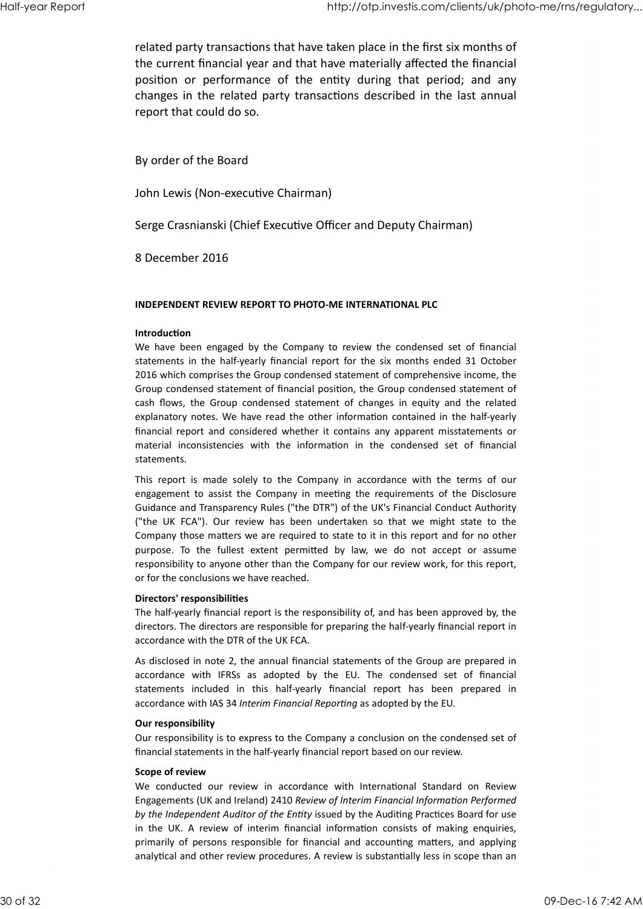related party transactions that have taken place in the first six months of the current financial year and that have materially affected the financial http://otp.investis.com/clients/uk/photo-me/ms/regulatory...<br>related party transactions that have taken place in the first six months of<br>the current financial year and that have materially affected the financial<br>position o changes in the related party transactions described in the last annual report that could do so. Half-year Report<br>
related party transactions that have taken place in the first six months of<br>
the current financial year and that have materially affected the financial<br>
the current financial year and that have materially

By order of the Board

John Lewis (Non-executive Chairman)

Serge Crasnianski (Chief Executive Officer and Deputy Chairman)

8 December 2016

#### INDEPENDENT REVIEW REPORT TO PHOTO-ME INTERNATIONAL PLC

#### **Introduction**

position or performance of the entity during that period; and any<br>changes in the related party transactions described in the last annual<br>report that could do so.<br>By order of the Board<br>Dohn Lewis (Non-executive Chairman)<br>Se statements in the half-yearly financial report for the six months ended 31 October 2016 which comprises the Group condensed statement of comprehensive income, the Group condensed statement of financial position, the Group condensed statement of By order of the Board<br>
John Lewis (Non-executive Chairman)<br>
Serge Crasnianski (Chief Executive Officer and Deputy Chairman)<br>
8 December 2016<br>
INDEPENDENT REVIEW REPORT TO PHOTO-ME INTERNATIONAL PLC<br>
INTERNATIONAL PLC<br>
INTE explanatory notes. We have read the other information contained in the half-yearly financial report and considered whether it contains any apparent misstatements or John Lewis (Non-executive Chairman)<br>Serge Crasnianski (Chief Executive Officer and Deputy Chairman)<br>8 December 2016<br>INDEPENDENT REVIEW REPORT TO PHOTO-ME INTERNATIONAL PLC<br>Introduction<br>We have been engaged by the Compaony statements. Serge Crasnianski (Chief Executive Officer and Deputy Chairman)<br>
8 December 2016<br>
INDEPENDENT REVIEW REPORT TO PHOTO-ME INTERNATIONAL PLC<br>
Introduction<br>
We have been engaged by the Company to review the condensed set of fi Serge Crasnianski (Chief Executive Officer and Deputy Chairman)<br>
8 December 2016<br>
INDEPENDENT REVIEW REPORT TO PHOTO-ME INTERNATIONAL PLC<br>
INTOGUITED MEVENT REVIEW REPORT TO PHOTO-ME INTERNATIONAL PLC<br>
INTOGUITED WIRE the (S) December 2016<br>
(INDEPENDENT REVIEW REPORT TO PHOTO-ME INTERNATIONAL PLC<br>
Introduction<br>
We have been engaged by the Company to review the condensed set of financial<br>
statements in the half-yearly financial report for th **INDEPENDENT REVIEW REPORT TO PHOTO-ME INTERNATIONAL PLC**<br>
Introduction<br>
We have been engaged by the Company to review the condensed set of financial<br>
statements in the half-yearly financial report for the six months ended

Guidance and Transparency Rules ("the DTR") of the UK's Financial Conduct Authority Company those matters we are required to state to it in this report and for no other responsibility to anyone other than the Company for our review work, for this report, or for the conclusions we have reached. East nows, uie oriony condensed valent into transposite the effected valent particles weld the their information contained in the half-yearly<br>financial report and considered whether it contains any apparent misstatements o expandioly holes. We have lead to outer immulation contained in the inari-yearly financial report and considered whether it contains any apparent misstatements or material inconsistencies with the information in the conden

#### Directors' responsibilities

The half-yearly financial report is the responsibility of, and has been approved by, the directors. The directors are responsible for preparing the half-yearly financial report in accordance with the DTR of the UK FCA.

As disclosed in note 2, the annual financial statements of the Group are prepared in accordance with IAS 34 Interim Financial Reporting as adopted by the EU.

#### Our responsibility

Our responsibility is to express to the Company a conclusion on the condensed set of financial statements in the half-yearly financial report based on our review.

#### Scope of review

("the UK FCA"). Our review has been undertaken so that we might state to the Company those matters we are required to state to it in this report and for no other purpose. To the fullest exert permitted by law, we do not ac Engagements (UK and Ireland) 2410 Review of Interim Financial Information Performed by the Independent Auditor of the Entity issued by the Auditing Practices Board for use responsibility to anyone other than the Company for our review work, for this report,<br>Directors' responsibilities<br>The half-yearly financial report is the responsibility of, and has been approved by, the<br>directors' responsi primarily of persons responsible for financial and accounting matters, and applying analytical and other review procedures. A review is substantially less in scope than an directors. The directors are responsible for preparing the half-yearly financial report in<br>accordance with the DTK of the UK FCA.<br>As disclosed in note 2, the annual fiamchat statements of the Group are prepared in<br>accordan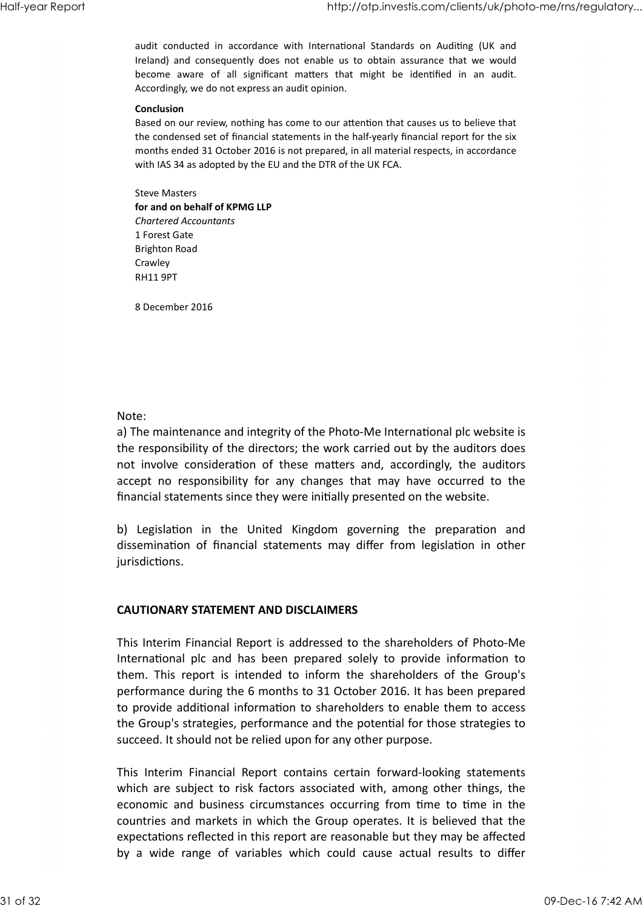http://otp.investis.com/clients/uk/photo-me/rns/regulatory...<br>audit conducted in accordance with International Standards on Auditing (UK and<br>Ireland) and consequently does not enable us to obtain assurance that we would<br>be http://otp.investis.com/clients/uk/photo-me/rns/regulatory...<br>
audit conducted in accordance with International Standards on Auditing (UK and<br>
Ireland) and consequently does not enable us to obtain assurance that we would<br> http://otp.investis.com/clients/uk/photo-me/rns/regulatory...<br>audit conducted in accordance with International Standards on Auditing (UK and<br>Ireland) and consequently does not enable us to obtain assurance that we would<br>be Accordingly, we do not express an audit opinion. Half-year Report<br>audit conducted in accordance with International Standards on Auditing (UK and<br>Ireland) and consequently does not enable us to obtain assurance that we would<br>hecome aware of all significant matters that mi

#### Conclusion

Based on our review, nothing has come to our attention that causes us to believe that the condensed set of financial statements in the half-yearly financial report for the six months ended 31 October 2016 is not prepared, in all material respects, in accordance with IAS 34 as adopted by the EU and the DTR of the UK FCA.

Steve Masters for and on behalf of KPMG LLP Chartered Accountants 1 Forest Gate Brighton Road **Crawley** RH11 9PT

8 December 2016

#### Note:

a) The maintenance and integrity of the Photo-Me International plc website is the responsibility of the directors; the work carried out by the auditors does note was entitled Accountants<br>
of a rand on behalf of KPMG LIP<br>
I Forest Gate<br>
Brighton Road<br>
Crawley<br>
RH119FT<br>
8 December 2016<br>
Note:<br>
Note:<br>
Note:<br>
Note:<br>
and interpretacy and integrity of the Photo-Me International plc Accountered Accounters<br>
1 Forest Gate<br>
1 Fighton Road<br>
Crawley<br>
RH11 9PT<br>
8 December 2016<br>
Alter esponsibility of the Photo-Me International plc website is<br>
a) The maintenance and integrity of the Photo-Me International pl financial statements since they were initially presented on the website. Crawley<br>
B) The maintenance and integrity of the Photo-Me International plc website is<br>
a) The maintenance and integrity of the Photo-Me International plc website is<br>
the responsibility of the directors; the work carried o RH119PT<br>a) The maintenance and integrity of the Photo-Me International plc website is<br>a) The maintenance and integrity of the Photo-Me International plc website is<br>the responsibility of the directors; the work carried out Note:<br>
a) The maintenance and integrity of the Photo-Me International plc website is<br>
the responsibility of the directors; the work carried out by the auditors does<br>
not involve consideration of these matters and, accordin

jurisdictions.

This Interim Financial Report is addressed to the shareholders of Photo-Me Note:<br>
a) The maintenance and integrity of the Photo-Me International plc website is<br>
the responsibility of the directors; the work carried out by the auditors does<br>
not involve consideration of these matters and, accordin Note:<br>
a) The maintenance and integrity of the Photo-Me International plc website is<br>
the responsibility of the directors; the work carried out by the auditors does<br>
not involve consideration of these matters and, accordin performance during the 6 months to 31 October 2016. It has been prepared to provide additional information to shareholders to enable them to access the Group's strategies, performance and the potential for those strategies to succeed. It should not be relied upon for any other purpose. This Interim Financial Report contains certain forward-order of the present of financial Statements may differ from legislation in other purisdictions.<br> **CAUTIONARY STATEMENT AND DISCLAIMERS**<br>
This Interim Financial Report **CAUTIONARY STATEMENT AND DISCLAIMERS**<br>This Interim Financial Report is addressed to the shareholders of Photo-Me<br>International plc and has been prepared solely to provide information to<br>them. This report is intended to in This Interim Financial Report is addressed to the shareholders of Photo-Me<br>International plc and has been prepared solely to provide information to<br>them. This report is intended to inform the shareholders of the Group's<br>pe

which are subject to risk factors associated with, among other things, the economic and business circumstances occurring from time to time in the countries and markets in which the Group operates. It is believed that the expectations reflected in this report are reasonable but they may be affected